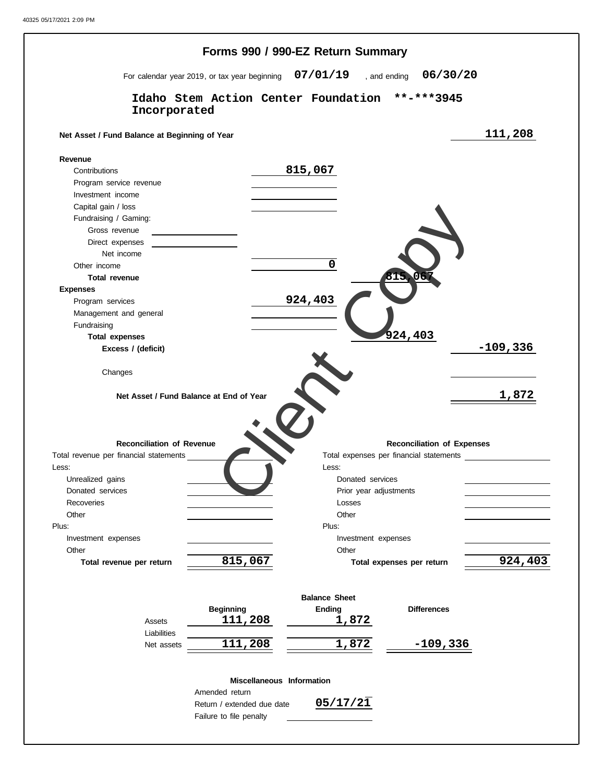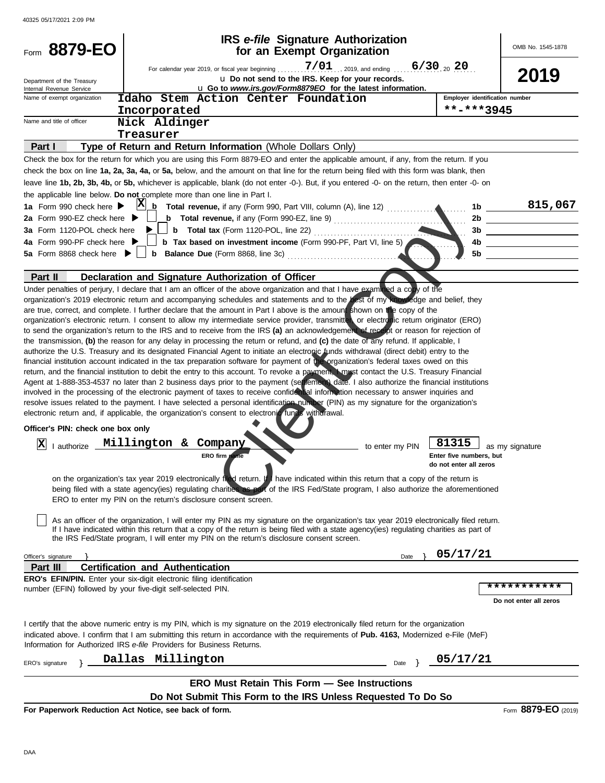| Form 8879-EO                                                                 |                                         |                                                                                                                                                                                                                                                                                                                                                                                  | IRS e-file Signature Authorization<br>for an Exempt Organization               |      |                        |                                | OMB No. 1545-1878      |
|------------------------------------------------------------------------------|-----------------------------------------|----------------------------------------------------------------------------------------------------------------------------------------------------------------------------------------------------------------------------------------------------------------------------------------------------------------------------------------------------------------------------------|--------------------------------------------------------------------------------|------|------------------------|--------------------------------|------------------------|
| Department of the Treasury<br>Internal Revenue Service                       |                                         | For calendar year 2019, or fiscal year beginning<br>L Go to www.irs.gov/Form8879EO for the latest information.                                                                                                                                                                                                                                                                   | 7/01<br>, 2019, and ending<br>U Do not send to the IRS. Keep for your records. |      | $6/30_{20}$ 20         |                                | 2019                   |
| Name of exempt organization                                                  |                                         | Idaho Stem Action Center Foundation                                                                                                                                                                                                                                                                                                                                              |                                                                                |      |                        | Employer identification number |                        |
|                                                                              | Incorporated                            |                                                                                                                                                                                                                                                                                                                                                                                  |                                                                                |      |                        | **-***3945                     |                        |
| Name and title of officer                                                    | Nick Aldinger                           |                                                                                                                                                                                                                                                                                                                                                                                  |                                                                                |      |                        |                                |                        |
|                                                                              | Treasurer                               |                                                                                                                                                                                                                                                                                                                                                                                  |                                                                                |      |                        |                                |                        |
| Part I                                                                       |                                         | Type of Return and Return Information (Whole Dollars Only)                                                                                                                                                                                                                                                                                                                       |                                                                                |      |                        |                                |                        |
|                                                                              |                                         | Check the box for the return for which you are using this Form 8879-EO and enter the applicable amount, if any, from the return. If you                                                                                                                                                                                                                                          |                                                                                |      |                        |                                |                        |
|                                                                              |                                         | check the box on line 1a, 2a, 3a, 4a, or 5a, below, and the amount on that line for the return being filed with this form was blank, then                                                                                                                                                                                                                                        |                                                                                |      |                        |                                |                        |
| the applicable line below. Do not complete more than one line in Part I.     |                                         | leave line 1b, 2b, 3b, 4b, or 5b, whichever is applicable, blank (do not enter -0-). But, if you entered -0- on the return, then enter -0- on                                                                                                                                                                                                                                    |                                                                                |      |                        |                                |                        |
| 1a Form 990 check here $\blacktriangleright$                                 | $ {\bf X} $                             |                                                                                                                                                                                                                                                                                                                                                                                  |                                                                                |      |                        | 1b                             | 815,067                |
| 2a Form 990-EZ check here $\blacktriangleright$                              |                                         | <b>b</b> Total revenue, if any (Form 990-EZ, line 9) $\ldots$ $\ldots$ $\ldots$ $\ldots$                                                                                                                                                                                                                                                                                         |                                                                                |      |                        | 2b                             |                        |
| 3a Form 1120-POL check here                                                  |                                         |                                                                                                                                                                                                                                                                                                                                                                                  |                                                                                |      |                        | 3b                             |                        |
| 4a Form 990-PF check here $\blacktriangleright$                              |                                         | <b>b</b> Tax based on investment income (Form 990-PF, Part VI, line 5)                                                                                                                                                                                                                                                                                                           |                                                                                |      |                        | 4b                             |                        |
| 5a Form 8868 check here $\blacktriangleright$                                |                                         | b Balance Due (Form 8868, line 3c)                                                                                                                                                                                                                                                                                                                                               |                                                                                |      |                        | 5b                             |                        |
|                                                                              |                                         |                                                                                                                                                                                                                                                                                                                                                                                  |                                                                                |      |                        |                                |                        |
| Part II                                                                      |                                         | Declaration and Signature Authorization of Officer                                                                                                                                                                                                                                                                                                                               |                                                                                |      |                        |                                |                        |
|                                                                              |                                         | Under penalties of perjury, I declare that I am an officer of the above organization and that I have examined a copy of the                                                                                                                                                                                                                                                      |                                                                                |      |                        |                                |                        |
|                                                                              |                                         | organization's 2019 electronic return and accompanying schedules and statements and to the best of my knowledge and belief, they<br>are true, correct, and complete. I further declare that the amount in Part I above is the amount shown on the copy of the                                                                                                                    |                                                                                |      |                        |                                |                        |
|                                                                              |                                         | organization's electronic return. I consent to allow my intermediate service provider, transmitter or electronic return originator (ERO)                                                                                                                                                                                                                                         |                                                                                |      |                        |                                |                        |
|                                                                              |                                         | to send the organization's return to the IRS and to receive from the IRS (a) an acknowledgement of receipt or reason for rejection of                                                                                                                                                                                                                                            |                                                                                |      |                        |                                |                        |
|                                                                              |                                         | the transmission, (b) the reason for any delay in processing the return or refund, and (c) the date of any refund. If applicable, I                                                                                                                                                                                                                                              |                                                                                |      |                        |                                |                        |
|                                                                              |                                         | authorize the U.S. Treasury and its designated Financial Agent to initiate an electronic funds withdrawal (direct debit) entry to the                                                                                                                                                                                                                                            |                                                                                |      |                        |                                |                        |
|                                                                              |                                         | financial institution account indicated in the tax preparation software for payment of the organization's federal taxes owed on this<br>return, and the financial institution to debit the entry to this account. To revoke a payment, I must contact the U.S. Treasury Financial                                                                                                |                                                                                |      |                        |                                |                        |
|                                                                              |                                         | Agent at 1-888-353-4537 no later than 2 business days prior to the payment (settlement) date. I also authorize the financial institutions                                                                                                                                                                                                                                        |                                                                                |      |                        |                                |                        |
|                                                                              |                                         | involved in the processing of the electronic payment of taxes to receive confidental information necessary to answer inquiries and                                                                                                                                                                                                                                               |                                                                                |      |                        |                                |                        |
|                                                                              |                                         | resolve issues related to the payment. I have selected a personal identification number (PIN) as my signature for the organization's                                                                                                                                                                                                                                             |                                                                                |      |                        |                                |                        |
|                                                                              |                                         | electronic return and, if applicable, the organization's consent to electronic funcs with rawal.                                                                                                                                                                                                                                                                                 |                                                                                |      |                        |                                |                        |
| Officer's PIN: check one box only                                            |                                         |                                                                                                                                                                                                                                                                                                                                                                                  |                                                                                |      |                        |                                |                        |
| X<br>authorize                                                               | Millington & Company                    |                                                                                                                                                                                                                                                                                                                                                                                  | to enter my PIN                                                                |      | 81315                  |                                | as my signature        |
|                                                                              |                                         | <b>ERO</b> firm name                                                                                                                                                                                                                                                                                                                                                             |                                                                                |      |                        | Enter five numbers, but        |                        |
|                                                                              |                                         |                                                                                                                                                                                                                                                                                                                                                                                  |                                                                                |      | do not enter all zeros |                                |                        |
|                                                                              |                                         | on the organization's tax year 2019 electronically real return. If have indicated within this return that a copy of the return is<br>being filed with a state agency(ies) regulating charities as part of the IRS Fed/State program, I also authorize the aforementioned<br>ERO to enter my PIN on the return's disclosure consent screen.                                       |                                                                                |      |                        |                                |                        |
|                                                                              |                                         |                                                                                                                                                                                                                                                                                                                                                                                  |                                                                                |      |                        |                                |                        |
|                                                                              |                                         | As an officer of the organization, I will enter my PIN as my signature on the organization's tax year 2019 electronically filed return.<br>If I have indicated within this return that a copy of the return is being filed with a state agency(ies) regulating charities as part of<br>the IRS Fed/State program, I will enter my PIN on the return's disclosure consent screen. |                                                                                |      |                        |                                |                        |
| Officer's signature                                                          |                                         |                                                                                                                                                                                                                                                                                                                                                                                  |                                                                                | Date | 05/17/21               |                                |                        |
| Part III                                                                     | <b>Certification and Authentication</b> |                                                                                                                                                                                                                                                                                                                                                                                  |                                                                                |      |                        |                                |                        |
| <b>ERO's EFIN/PIN.</b> Enter your six-digit electronic filing identification |                                         |                                                                                                                                                                                                                                                                                                                                                                                  |                                                                                |      |                        |                                |                        |
| number (EFIN) followed by your five-digit self-selected PIN.                 |                                         |                                                                                                                                                                                                                                                                                                                                                                                  |                                                                                |      |                        |                                | ***********            |
|                                                                              |                                         |                                                                                                                                                                                                                                                                                                                                                                                  |                                                                                |      |                        |                                | Do not enter all zeros |
|                                                                              |                                         |                                                                                                                                                                                                                                                                                                                                                                                  |                                                                                |      |                        |                                |                        |
| Information for Authorized IRS e-file Providers for Business Returns.        |                                         | I certify that the above numeric entry is my PIN, which is my signature on the 2019 electronically filed return for the organization<br>indicated above. I confirm that I am submitting this return in accordance with the requirements of Pub. 4163, Modernized e-File (MeF)                                                                                                    |                                                                                |      |                        |                                |                        |
|                                                                              | Dallas Millington                       |                                                                                                                                                                                                                                                                                                                                                                                  |                                                                                |      | 05/17/21               |                                |                        |
| ERO's signature                                                              |                                         |                                                                                                                                                                                                                                                                                                                                                                                  |                                                                                | Date |                        |                                |                        |
|                                                                              |                                         | <b>ERO Must Retain This Form - See Instructions</b>                                                                                                                                                                                                                                                                                                                              |                                                                                |      |                        |                                |                        |
|                                                                              |                                         | Do Not Submit This Form to the IRS Unless Requested To Do So                                                                                                                                                                                                                                                                                                                     |                                                                                |      |                        |                                |                        |
| For Paperwork Reduction Act Notice, see back of form.                        |                                         |                                                                                                                                                                                                                                                                                                                                                                                  |                                                                                |      |                        |                                | Form 8879-EO (2019)    |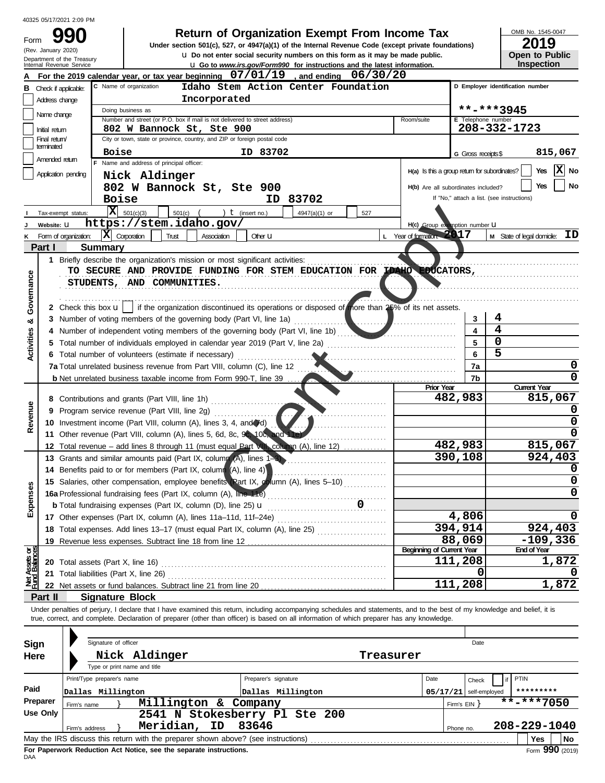|     | 40325 05/17/2021 2:09 PM |      |
|-----|--------------------------|------|
| Und | 990                      | Form |
|     | (Rev. January 2020)      |      |

# **Return of Organization Exempt From Income Tax**

**Under section 501(c), 527, or 4947(a)(1) of the Internal Revenue Code (except private foundations)** • **Do not enter social security numbers on this form as it may be made public.** •**Go to** *www.irs.gov/Form990* **for instructions and the latest information.** 

OMB No. 1545-0047 **2019** 

| ZU I J                |  |
|-----------------------|--|
| <b>Open to Public</b> |  |
| <b>Inspection</b>     |  |

|                                                                                                                                                                  | Department of the Treasury<br>Internal Revenue Service                                                                                                   | U Go to www.irs.gov/Form990 for instructions and the latest information.                                                                                    |                    | טוועט ו טאיויט<br><b>Inspection</b>        |  |  |  |  |  |  |  |  |  |
|------------------------------------------------------------------------------------------------------------------------------------------------------------------|----------------------------------------------------------------------------------------------------------------------------------------------------------|-------------------------------------------------------------------------------------------------------------------------------------------------------------|--------------------|--------------------------------------------|--|--|--|--|--|--|--|--|--|
|                                                                                                                                                                  |                                                                                                                                                          | For the 2019 calendar year, or tax year beginning $07/01/19$ , and ending $06/30/20$                                                                        |                    |                                            |  |  |  |  |  |  |  |  |  |
| В                                                                                                                                                                | Check if applicable:                                                                                                                                     | C Name of organization<br>Idaho Stem Action Center Foundation                                                                                               |                    | D Employer identification number           |  |  |  |  |  |  |  |  |  |
|                                                                                                                                                                  | Address change                                                                                                                                           | Incorporated                                                                                                                                                |                    |                                            |  |  |  |  |  |  |  |  |  |
| **-***3945<br>Doing business as<br>Name change<br>Number and street (or P.O. box if mail is not delivered to street address)<br>E Telephone number<br>Room/suite |                                                                                                                                                          |                                                                                                                                                             |                    |                                            |  |  |  |  |  |  |  |  |  |
|                                                                                                                                                                  |                                                                                                                                                          |                                                                                                                                                             |                    |                                            |  |  |  |  |  |  |  |  |  |
|                                                                                                                                                                  | 208-332-1723<br>802 W Bannock St, Ste 900<br>Initial return<br>City or town, state or province, country, and ZIP or foreign postal code<br>Final return/ |                                                                                                                                                             |                    |                                            |  |  |  |  |  |  |  |  |  |
|                                                                                                                                                                  | terminated                                                                                                                                               | <b>Boise</b><br>ID 83702                                                                                                                                    |                    | 815,067                                    |  |  |  |  |  |  |  |  |  |
|                                                                                                                                                                  | Amended return                                                                                                                                           | Name and address of principal officer:                                                                                                                      | G Gross receipts\$ |                                            |  |  |  |  |  |  |  |  |  |
|                                                                                                                                                                  | Application pending                                                                                                                                      | H(a) Is this a group return for subordinates?<br>Nick Aldinger                                                                                              |                    | $ \mathbf{x} $<br>Yes<br>No                |  |  |  |  |  |  |  |  |  |
|                                                                                                                                                                  |                                                                                                                                                          | 802 W Bannock St, Ste 900<br>H(b) Are all subordinates included?                                                                                            |                    | No<br>Yes                                  |  |  |  |  |  |  |  |  |  |
|                                                                                                                                                                  |                                                                                                                                                          | <b>Boise</b><br>ID 83702                                                                                                                                    |                    | If "No," attach a list. (see instructions) |  |  |  |  |  |  |  |  |  |
|                                                                                                                                                                  | Tax-exempt status:                                                                                                                                       | $ \mathbf{X} $ 501(c)(3)<br>) $t$ (insert no.)<br>$501(c)$ (<br>4947(a)(1) or<br>527                                                                        |                    |                                            |  |  |  |  |  |  |  |  |  |
|                                                                                                                                                                  | Website: U                                                                                                                                               | https://stem.idaho.gov/<br>H(c) Group exemption number U                                                                                                    |                    |                                            |  |  |  |  |  |  |  |  |  |
|                                                                                                                                                                  | Form of organization:                                                                                                                                    | L Year of formation: 2017<br>ΙXΙ<br>Corporation<br>Trust<br>Other <b>LI</b><br>Association                                                                  |                    | ID<br>M State of legal domicile:           |  |  |  |  |  |  |  |  |  |
|                                                                                                                                                                  | Part I                                                                                                                                                   | <b>Summary</b>                                                                                                                                              |                    |                                            |  |  |  |  |  |  |  |  |  |
|                                                                                                                                                                  |                                                                                                                                                          | 1 Briefly describe the organization's mission or most significant activities:                                                                               |                    |                                            |  |  |  |  |  |  |  |  |  |
|                                                                                                                                                                  |                                                                                                                                                          | TO SECURE AND PROVIDE FUNDING FOR STEM EDUCATION FOR IDAHO EDUCATORS,                                                                                       |                    |                                            |  |  |  |  |  |  |  |  |  |
|                                                                                                                                                                  |                                                                                                                                                          | STUDENTS, AND COMMUNITIES.                                                                                                                                  |                    |                                            |  |  |  |  |  |  |  |  |  |
|                                                                                                                                                                  |                                                                                                                                                          |                                                                                                                                                             |                    |                                            |  |  |  |  |  |  |  |  |  |
| Governance                                                                                                                                                       |                                                                                                                                                          | 2 Check this box $\mathbf{u}$ if the organization discontinued its operations or disposed of more than 25% of its net assets.                               |                    |                                            |  |  |  |  |  |  |  |  |  |
|                                                                                                                                                                  |                                                                                                                                                          |                                                                                                                                                             | 3                  | 4                                          |  |  |  |  |  |  |  |  |  |
| య                                                                                                                                                                |                                                                                                                                                          | 3 Number of voting members of the governing body (Part VI, line 1a)<br>. 1<br>Number of independent voting members of the governing body (Part VI, line 1b) | 4                  | 4                                          |  |  |  |  |  |  |  |  |  |
|                                                                                                                                                                  |                                                                                                                                                          | Total number of individuals employed in calendar year 2019 (Part V, line 2a)                                                                                | 5                  | $\Omega$                                   |  |  |  |  |  |  |  |  |  |
| Activities                                                                                                                                                       |                                                                                                                                                          |                                                                                                                                                             | 6                  | 5                                          |  |  |  |  |  |  |  |  |  |
|                                                                                                                                                                  |                                                                                                                                                          | 6 Total number of volunteers (estimate if necessary)<br>7a Total unrelated business revenue from Part VIII, column (C), line 12                             | 7a                 | 0                                          |  |  |  |  |  |  |  |  |  |
|                                                                                                                                                                  |                                                                                                                                                          |                                                                                                                                                             | 7b                 | 0                                          |  |  |  |  |  |  |  |  |  |
|                                                                                                                                                                  |                                                                                                                                                          | <b>b</b> Net unrelated business taxable income from Form 990-T, line 39<br><b>Prior Year</b>                                                                |                    | <b>Current Year</b>                        |  |  |  |  |  |  |  |  |  |
|                                                                                                                                                                  |                                                                                                                                                          | 8 Contributions and grants (Part VIII, line 1h)<br>and a straight and a straight                                                                            | 482,983            | 815,067                                    |  |  |  |  |  |  |  |  |  |
| Revenue                                                                                                                                                          | 9                                                                                                                                                        | Program service revenue (Part VIII, line 2g)                                                                                                                |                    |                                            |  |  |  |  |  |  |  |  |  |
|                                                                                                                                                                  |                                                                                                                                                          | 10 Investment income (Part VIII, column (A), lines 3, 4, and (d)                                                                                            |                    | 0                                          |  |  |  |  |  |  |  |  |  |
|                                                                                                                                                                  |                                                                                                                                                          | 11 Other revenue (Part VIII, column (A), lines 5, 6d, 8c, 9c, 10c, and 11e)                                                                                 |                    |                                            |  |  |  |  |  |  |  |  |  |
|                                                                                                                                                                  |                                                                                                                                                          | 12 Total revenue – add lines 8 through 11 (must equal Part VII) column (A), line 12)                                                                        | 482,983            | 815,067                                    |  |  |  |  |  |  |  |  |  |
|                                                                                                                                                                  |                                                                                                                                                          | 13 Grants and similar amounts paid (Part IX, column (A), lines 1-3)                                                                                         | 390,108            | 924,403                                    |  |  |  |  |  |  |  |  |  |
|                                                                                                                                                                  | 14                                                                                                                                                       | Benefits paid to or for members (Part IX, column (A), line 4)                                                                                               |                    |                                            |  |  |  |  |  |  |  |  |  |
|                                                                                                                                                                  |                                                                                                                                                          | 15 Salaries, other compensation, employee benefits (Part IX, column (A), lines 5-10)                                                                        |                    | 0                                          |  |  |  |  |  |  |  |  |  |
| ses                                                                                                                                                              |                                                                                                                                                          | 16a Professional fundraising fees (Part IX, column (A), line 11e)                                                                                           |                    | 0                                          |  |  |  |  |  |  |  |  |  |
| ă                                                                                                                                                                |                                                                                                                                                          | <b>b</b> Total fundraising expenses (Part IX, column (D), line 25) <b>u</b>                                                                                 |                    |                                            |  |  |  |  |  |  |  |  |  |
| Expe                                                                                                                                                             |                                                                                                                                                          | 17 Other expenses (Part IX, column (A), lines 11a-11d, 11f-24e)                                                                                             | 4,806              |                                            |  |  |  |  |  |  |  |  |  |
|                                                                                                                                                                  |                                                                                                                                                          | 18 Total expenses. Add lines 13-17 (must equal Part IX, column (A), line 25)                                                                                | 394,914            | 924,403                                    |  |  |  |  |  |  |  |  |  |
|                                                                                                                                                                  |                                                                                                                                                          | 19 Revenue less expenses. Subtract line 18 from line 12                                                                                                     | 88,069             | $-109,336$                                 |  |  |  |  |  |  |  |  |  |
|                                                                                                                                                                  |                                                                                                                                                          | <b>Beginning of Current Year</b>                                                                                                                            |                    | <b>End of Year</b>                         |  |  |  |  |  |  |  |  |  |
|                                                                                                                                                                  | 20                                                                                                                                                       | Total assets (Part X, line 16)                                                                                                                              | 111,208            | 1,872                                      |  |  |  |  |  |  |  |  |  |
| Net Assets or<br>Fund Balances                                                                                                                                   | 21                                                                                                                                                       | Total liabilities (Part X, line 26)                                                                                                                         | 0                  |                                            |  |  |  |  |  |  |  |  |  |
|                                                                                                                                                                  |                                                                                                                                                          | 22 Net assets or fund balances. Subtract line 21 from line 20                                                                                               | 111,208            | 1,872                                      |  |  |  |  |  |  |  |  |  |
|                                                                                                                                                                  | Part II                                                                                                                                                  | <b>Signature Block</b>                                                                                                                                      |                    |                                            |  |  |  |  |  |  |  |  |  |
|                                                                                                                                                                  |                                                                                                                                                          |                                                                                                                                                             |                    |                                            |  |  |  |  |  |  |  |  |  |

Under penalties of perjury, I declare that I have examined this return, including accompanying schedules and statements, and to the best of my knowledge and belief, it is true, correct, and complete. Declaration of preparer (other than officer) is based on all information of which preparer has any knowledge.

| Sign     |             | Signature of officer                            |                                                                                                                                                                                                                                                                                                                     |                                           |           |                  |              | Date                                |                     |  |  |
|----------|-------------|-------------------------------------------------|---------------------------------------------------------------------------------------------------------------------------------------------------------------------------------------------------------------------------------------------------------------------------------------------------------------------|-------------------------------------------|-----------|------------------|--------------|-------------------------------------|---------------------|--|--|
| Here     |             |                                                 | Nick Aldinger<br>Type or print name and title                                                                                                                                                                                                                                                                       | Treasurer                                 |           |                  |              |                                     |                     |  |  |
| Paid     |             | Print/Type preparer's name<br>Dallas Millington |                                                                                                                                                                                                                                                                                                                     | Preparer's signature<br>Dallas Millington |           | Date<br>05/17/21 |              | Check<br>self-employed              | PTIN<br>*********   |  |  |
| Preparer | Firm's name |                                                 | Millington &                                                                                                                                                                                                                                                                                                        | Company                                   |           |                  |              | $***$ -***7050<br>Firm's $EIN$ $\}$ |                     |  |  |
| Use Only |             | Firm's address                                  | Meridian,<br>ID                                                                                                                                                                                                                                                                                                     | 2541 N Stokesberry Pl Ste 200<br>83646    | Phone no. |                  | 208-229-1040 |                                     |                     |  |  |
|          |             |                                                 | May the IRS discuss this return with the preparer shown above? (see instructions)<br>The second contract the contract of the Monter and an accompany of the contract of the second second second second second second second second second second second second second second second second second second second se |                                           |           |                  |              |                                     | l No<br>Yes<br>000. |  |  |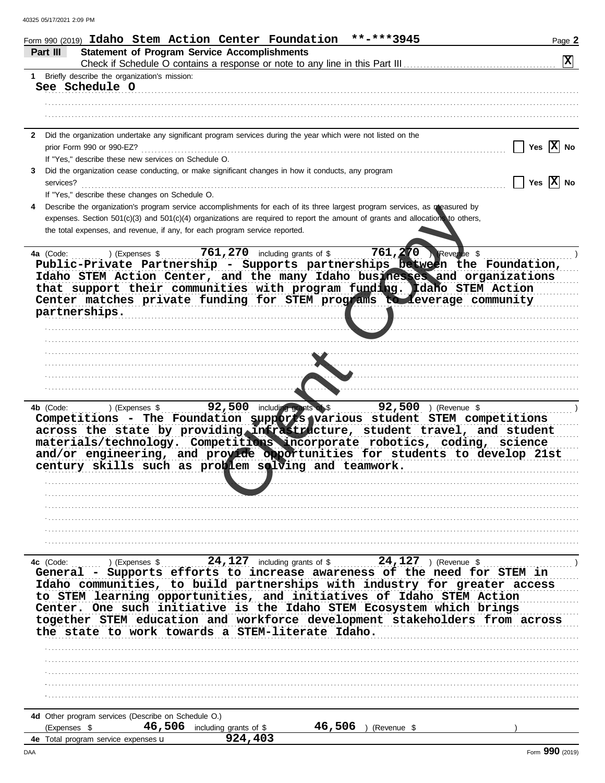|              | **-***3945<br>Form 990 (2019) Idaho Stem Action Center Foundation                                                                                           | Page 2                  |
|--------------|-------------------------------------------------------------------------------------------------------------------------------------------------------------|-------------------------|
|              | <b>Statement of Program Service Accomplishments</b><br>Part III                                                                                             |                         |
|              | Check if Schedule O contains a response or note to any line in this Part III                                                                                | $ \mathbf{x} $          |
|              | 1 Briefly describe the organization's mission:                                                                                                              |                         |
|              | See Schedule O                                                                                                                                              |                         |
|              |                                                                                                                                                             |                         |
|              |                                                                                                                                                             |                         |
|              |                                                                                                                                                             |                         |
| $\mathbf{2}$ | Did the organization undertake any significant program services during the year which were not listed on the                                                |                         |
|              | prior Form 990 or 990-EZ?                                                                                                                                   | Yes $ X $ No            |
|              | If "Yes," describe these new services on Schedule O.                                                                                                        |                         |
| 3            | Did the organization cease conducting, or make significant changes in how it conducts, any program                                                          |                         |
|              | services?                                                                                                                                                   | Yes $ \overline{X} $ No |
|              | If "Yes," describe these changes on Schedule O.                                                                                                             |                         |
|              | Describe the organization's program service accomplishments for each of its three largest program services, as measured by                                  |                         |
|              | expenses. Section 501(c)(3) and 501(c)(4) organizations are required to report the amount of grants and allocations to others,                              |                         |
|              | the total expenses, and revenue, if any, for each program service reported.                                                                                 |                         |
|              |                                                                                                                                                             |                         |
|              | 761, 270 including grants of \$<br>761,270<br>Revenue \$<br>4a (Code:<br>) (Expenses \$                                                                     |                         |
|              | Public-Private Partnership - Supports partnerships between the Foundation,                                                                                  |                         |
|              | Idaho STEM Action Center, and the many Idaho businesses and organizations                                                                                   |                         |
|              | that support their communities with program funding. Idaho STEM Action                                                                                      |                         |
|              | Center matches private funding for STEM programs to leverage community                                                                                      |                         |
|              | partnerships.                                                                                                                                               |                         |
|              |                                                                                                                                                             |                         |
|              |                                                                                                                                                             |                         |
|              |                                                                                                                                                             |                         |
|              |                                                                                                                                                             |                         |
|              |                                                                                                                                                             |                         |
|              |                                                                                                                                                             |                         |
|              |                                                                                                                                                             |                         |
|              |                                                                                                                                                             |                         |
|              | 92,500 ) (Revenue \$<br>92,500 including grants of \$<br>4b (Code:<br>) (Expenses \$<br>.                                                                   |                         |
|              | Competitions - The Foundation supports various student STEM competitions                                                                                    |                         |
|              | across the state by providing infrastructure, student travel, and student                                                                                   |                         |
|              | materials/technology. Competitions incorporate robotics, coding, science                                                                                    |                         |
|              | and/or engineering, and provide opportunities for students to develop 21st                                                                                  |                         |
|              | century skills such as problem solving and teamwork.                                                                                                        |                         |
|              |                                                                                                                                                             |                         |
|              |                                                                                                                                                             |                         |
|              |                                                                                                                                                             |                         |
|              |                                                                                                                                                             |                         |
|              |                                                                                                                                                             |                         |
|              |                                                                                                                                                             |                         |
|              |                                                                                                                                                             |                         |
|              | Expenses \$ 24,127 including grants of \$ 24,127 ) (Revenue \$ $\frac{24}{\pi}$ Supports efforts to increase awareness of the need for STEM in<br>4c (Code: |                         |
|              |                                                                                                                                                             |                         |
|              | Idaho communities, to build partnerships with industry for greater access                                                                                   |                         |
|              | to STEM learning opportunities, and initiatives of Idaho STEM Action                                                                                        |                         |
|              | Center. One such initiative is the Idaho STEM Ecosystem which brings                                                                                        |                         |
|              | together STEM education and workforce development stakeholders from across                                                                                  |                         |
|              | the state to work towards a STEM-literate Idaho.                                                                                                            |                         |
|              |                                                                                                                                                             |                         |
|              |                                                                                                                                                             |                         |
|              |                                                                                                                                                             |                         |
|              |                                                                                                                                                             |                         |
|              |                                                                                                                                                             |                         |
|              |                                                                                                                                                             |                         |
|              | 4d Other program services (Describe on Schedule O.)                                                                                                         |                         |
|              | $46,506$ including grants of \$<br>46,506<br>(Expenses \$<br>) (Revenue \$                                                                                  |                         |
|              | 924,403<br>4e Total program service expenses u                                                                                                              |                         |
|              |                                                                                                                                                             |                         |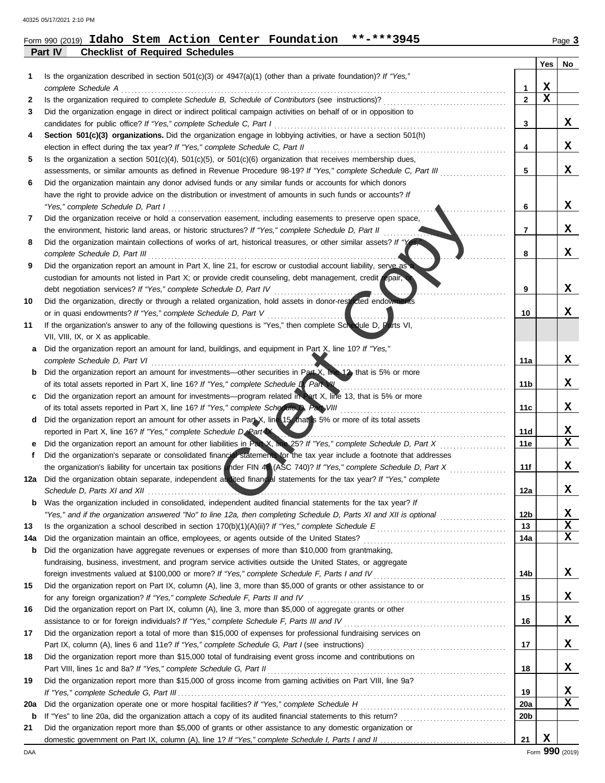**Part IV Checklist of Required Schedules** 

# Form 990 (2019) **Idaho Stem Action Center Foundation \*\*-\*\*\*3945**

|     |                                                                                                                                                                                                              |              | Yes | No |
|-----|--------------------------------------------------------------------------------------------------------------------------------------------------------------------------------------------------------------|--------------|-----|----|
| 1   | Is the organization described in section $501(c)(3)$ or $4947(a)(1)$ (other than a private foundation)? If "Yes,"<br>complete Schedule A                                                                     | 1            | x   |    |
| 2   | Is the organization required to complete Schedule B, Schedule of Contributors (see instructions)?                                                                                                            | $\mathbf{2}$ | x   |    |
| 3   | Did the organization engage in direct or indirect political campaign activities on behalf of or in opposition to                                                                                             |              |     |    |
|     | candidates for public office? If "Yes," complete Schedule C, Part I                                                                                                                                          | 3            |     | X. |
| 4   | Section 501(c)(3) organizations. Did the organization engage in lobbying activities, or have a section 501(h)                                                                                                |              |     |    |
|     | election in effect during the tax year? If "Yes," complete Schedule C, Part II                                                                                                                               | 4            |     | x  |
| 5   | Is the organization a section $501(c)(4)$ , $501(c)(5)$ , or $501(c)(6)$ organization that receives membership dues,                                                                                         |              |     |    |
|     | assessments, or similar amounts as defined in Revenue Procedure 98-19? If "Yes," complete Schedule C, Part III                                                                                               | 5            |     | x  |
| 6   | Did the organization maintain any donor advised funds or any similar funds or accounts for which donors                                                                                                      |              |     |    |
|     | have the right to provide advice on the distribution or investment of amounts in such funds or accounts? If                                                                                                  |              |     |    |
|     | "Yes," complete Schedule D, Part I                                                                                                                                                                           | 6            |     | x  |
| 7   | Did the organization receive or hold a conservation easement, including easements to preserve open space,                                                                                                    |              |     |    |
|     | the environment, historic land areas, or historic structures? If "Yes," complete Schedule D, Part II                                                                                                         | 7            |     | x  |
| 8   | Did the organization maintain collections of works of art, historical treasures, or other similar assets? If "Ye                                                                                             |              |     |    |
|     | complete Schedule D, Part III                                                                                                                                                                                | 8            |     | x  |
| 9   | Did the organization report an amount in Part X, line 21, for escrow or custodial account liability, serve as                                                                                                |              |     |    |
|     | custodian for amounts not listed in Part X; or provide credit counseling, debt management, credit repair,                                                                                                    |              |     |    |
|     | debt negotiation services? If "Yes," complete Schedule D, Part IV                                                                                                                                            | 9            |     | x  |
| 10  | Did the organization, directly or through a related organization, hold assets in donor-restricted endowments                                                                                                 |              |     |    |
|     | or in quasi endowments? If "Yes," complete Schedule D, Part V                                                                                                                                                | 10           |     | x  |
| 11  | If the organization's answer to any of the following questions is "Yes," then complete Schedule D, Parts VI,<br>VII, VIII, IX, or X as applicable.                                                           |              |     |    |
|     | Did the organization report an amount for land, buildings, and equipment in Part X, line 10? If "Yes,"                                                                                                       |              |     |    |
| а   | complete Schedule D, Part VI                                                                                                                                                                                 | 11a          |     | x  |
| b   | Did the organization report an amount for investments—other securities in Part X, line 12, that is 5% or more                                                                                                |              |     |    |
|     | of its total assets reported in Part X, line 16? If "Yes," complete Schedule D, Part VII                                                                                                                     | 11b          |     | x  |
| c   | Did the organization report an amount for investments—program related in Part X, line 13, that is 5% or more                                                                                                 |              |     |    |
|     | of its total assets reported in Part X, line 16? If "Yes," complete Schedule D, Part VIII                                                                                                                    | 11c          |     | x  |
| d   | Did the organization report an amount for other assets in Part X, line 15 that is 5% or more of its total assets                                                                                             |              |     |    |
|     | reported in Part X, line 16? If "Yes," complete Schedule D, Part X                                                                                                                                           | 11d          |     | x  |
| е   | Did the organization report an amount for other liabilities in Part X, line 25? If "Yes," complete Schedule D, Part X                                                                                        | 11e          |     | X  |
| f   | Did the organization's separate or consolidated financial statements for the tax year include a footnote that addresses                                                                                      |              |     |    |
|     | the organization's liability for uncertain tax positions under FIN 48 (ASC 740)? If "Yes," complete Schedule D, Part X                                                                                       | 11f          |     | x  |
| 12a | Did the organization obtain separate, independent audited financial statements for the tax year? If "Yes," complete                                                                                          |              |     |    |
|     | Schedule D, Parts XI and XII                                                                                                                                                                                 | 12a          |     | x  |
|     | <b>b</b> Was the organization included in consolidated, independent audited financial statements for the tax year? If                                                                                        |              |     |    |
|     | "Yes," and if the organization answered "No" to line 12a, then completing Schedule D, Parts XI and XII is optional                                                                                           | 12b          |     | x  |
| 13  |                                                                                                                                                                                                              | 13           |     | x  |
| 14a |                                                                                                                                                                                                              | 14a          |     | X  |
| b   | Did the organization have aggregate revenues or expenses of more than \$10,000 from grantmaking,                                                                                                             |              |     |    |
|     | fundraising, business, investment, and program service activities outside the United States, or aggregate<br>foreign investments valued at \$100,000 or more? If "Yes," complete Schedule F, Parts I and IV. | 14b          |     | x  |
| 15  | Did the organization report on Part IX, column (A), line 3, more than \$5,000 of grants or other assistance to or                                                                                            |              |     |    |
|     |                                                                                                                                                                                                              | 15           |     | X  |
| 16  | Did the organization report on Part IX, column (A), line 3, more than \$5,000 of aggregate grants or other                                                                                                   |              |     |    |
|     | assistance to or for foreign individuals? If "Yes," complete Schedule F, Parts III and IV [[[[[[[[[[[[[[[[[[[                                                                                                | 16           |     | X  |
| 17  | Did the organization report a total of more than \$15,000 of expenses for professional fundraising services on                                                                                               |              |     |    |
|     |                                                                                                                                                                                                              | 17           |     | x  |
| 18  | Did the organization report more than \$15,000 total of fundraising event gross income and contributions on                                                                                                  |              |     |    |
|     |                                                                                                                                                                                                              | 18           |     | x  |
| 19  | Did the organization report more than \$15,000 of gross income from gaming activities on Part VIII, line 9a?                                                                                                 |              |     |    |
|     |                                                                                                                                                                                                              | 19           |     | X  |
| 20a |                                                                                                                                                                                                              | <b>20a</b>   |     | x  |
| b   |                                                                                                                                                                                                              | 20b          |     |    |
| 21  | Did the organization report more than \$5,000 of grants or other assistance to any domestic organization or                                                                                                  |              |     |    |
|     |                                                                                                                                                                                                              | 21           | X   |    |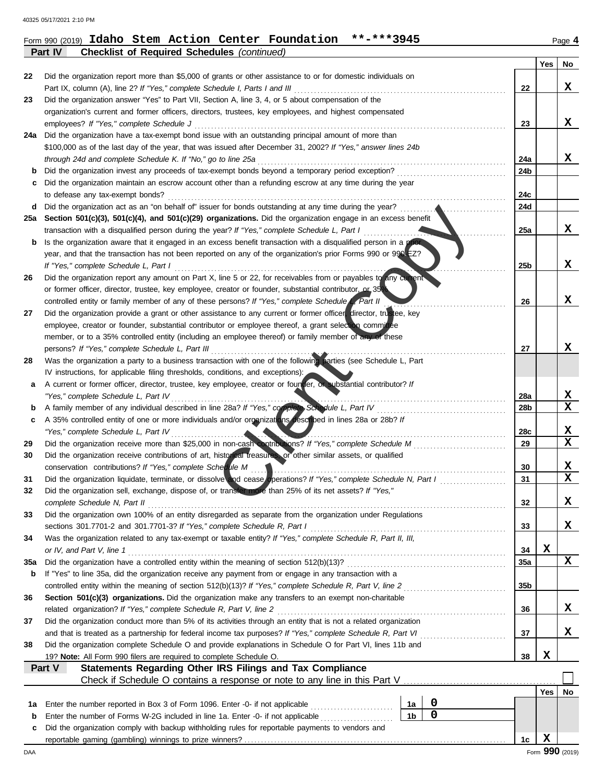# Form 990 (2019) **Idaho Stem Action Center Foundation \*\*-\*\*\*3945** Page **4**

**Part IV Checklist of Required Schedules** *(continued)* 

|          |                                                                                                                                                                                                   |                 | Yes | No              |
|----------|---------------------------------------------------------------------------------------------------------------------------------------------------------------------------------------------------|-----------------|-----|-----------------|
| 22       | Did the organization report more than \$5,000 of grants or other assistance to or for domestic individuals on                                                                                     |                 |     |                 |
|          | Part IX, column (A), line 2? If "Yes," complete Schedule I, Parts I and III                                                                                                                       | 22              |     | x               |
| 23       | Did the organization answer "Yes" to Part VII, Section A, line 3, 4, or 5 about compensation of the                                                                                               |                 |     |                 |
|          | organization's current and former officers, directors, trustees, key employees, and highest compensated                                                                                           |                 |     | x               |
| 24a      | employees? If "Yes," complete Schedule J<br>Did the organization have a tax-exempt bond issue with an outstanding principal amount of more than                                                   | 23              |     |                 |
|          | \$100,000 as of the last day of the year, that was issued after December 31, 2002? If "Yes," answer lines 24b                                                                                     |                 |     |                 |
|          | through 24d and complete Schedule K. If "No," go to line 25a                                                                                                                                      | 24a             |     | X               |
| b        | Did the organization invest any proceeds of tax-exempt bonds beyond a temporary period exception?                                                                                                 | 24b             |     |                 |
| c        | Did the organization maintain an escrow account other than a refunding escrow at any time during the year                                                                                         |                 |     |                 |
|          | to defease any tax-exempt bonds?                                                                                                                                                                  | 24c             |     |                 |
| d        | Did the organization act as an "on behalf of" issuer for bonds outstanding at any time during the year?                                                                                           | 24d             |     |                 |
| 25a      | Section 501(c)(3), 501(c)(4), and 501(c)(29) organizations. Did the organization engage in an excess benefit                                                                                      |                 |     |                 |
|          | transaction with a disqualified person during the year? If "Yes," complete Schedule L, Part I                                                                                                     | 25a             |     | x               |
| b        | Is the organization aware that it engaged in an excess benefit transaction with a disqualified person in a prior                                                                                  |                 |     |                 |
|          | year, and that the transaction has not been reported on any of the organization's prior Forms 990 or 990-EZ?                                                                                      |                 |     |                 |
|          | If "Yes," complete Schedule L, Part I                                                                                                                                                             | 25 <sub>b</sub> |     | x               |
| 26       | Did the organization report any amount on Part X, line 5 or 22, for receivables from or payables to any current                                                                                   |                 |     |                 |
|          | or former officer, director, trustee, key employee, creator or founder, substantial contributor or 35%                                                                                            |                 |     |                 |
|          | controlled entity or family member of any of these persons? If "Yes," complete Schedule L, Part II                                                                                                | 26              |     | x               |
| 27       | Did the organization provide a grant or other assistance to any current or former officer, director, trustee, key                                                                                 |                 |     |                 |
|          | employee, creator or founder, substantial contributor or employee thereof, a grant selection committee                                                                                            |                 |     |                 |
|          | member, or to a 35% controlled entity (including an employee thereof) or family member of any of these                                                                                            |                 |     | x               |
| 28       | persons? If "Yes," complete Schedule L, Part III                                                                                                                                                  | 27              |     |                 |
|          | Was the organization a party to a business transaction with one of the following parties (see Schedule L, Part<br>IV instructions, for applicable filing thresholds, conditions, and exceptions): |                 |     |                 |
| а        | A current or former officer, director, trustee, key employee, creator or founder, or substantial contributor? If                                                                                  |                 |     |                 |
|          | "Yes," complete Schedule L, Part IV                                                                                                                                                               | 28a             |     | X               |
| b        | A family member of any individual described in line 28a? If "Yes," complete, Schedule L, Part IV                                                                                                  | 28b             |     | $\mathbf x$     |
| c        | A 35% controlled entity of one or more individuals and/or organizations described in lines 28a or 28b? If                                                                                         |                 |     |                 |
|          | "Yes," complete Schedule L, Part IV                                                                                                                                                               | 28c             |     | x               |
| 29       | Did the organization receive more than \$25,000 in non-cash contributions? If "Yes," complete Schedule M                                                                                          | 29              |     | $\mathbf x$     |
| 30       | Did the organization receive contributions of art, historical treasures or other similar assets, or qualified                                                                                     |                 |     |                 |
|          | conservation contributions? If "Yes," complete Schedule M                                                                                                                                         | 30              |     | X               |
| 31       | Did the organization liquidate, terminate, or dissolve and cease operations? If "Yes," complete Schedule N, Part I                                                                                | 31              |     | X               |
| 32       | Did the organization sell, exchange, dispose of, or transfer more than 25% of its net assets? If "Yes,"                                                                                           |                 |     |                 |
|          | complete Schedule N, Part II                                                                                                                                                                      | 32              |     | х               |
| 33       | Did the organization own 100% of an entity disregarded as separate from the organization under Regulations                                                                                        |                 |     |                 |
|          | sections 301.7701-2 and 301.7701-3? If "Yes," complete Schedule R, Part I                                                                                                                         | 33              |     | X               |
| 34       | Was the organization related to any tax-exempt or taxable entity? If "Yes," complete Schedule R, Part II, III,                                                                                    |                 |     |                 |
|          | or IV, and Part V, line 1                                                                                                                                                                         | 34              | X   | X               |
| 35a<br>b | If "Yes" to line 35a, did the organization receive any payment from or engage in any transaction with a                                                                                           | 35a             |     |                 |
|          | controlled entity within the meaning of section 512(b)(13)? If "Yes," complete Schedule R, Part V, line 2                                                                                         | 35b             |     |                 |
| 36       | Section 501(c)(3) organizations. Did the organization make any transfers to an exempt non-charitable                                                                                              |                 |     |                 |
|          | related organization? If "Yes," complete Schedule R, Part V, line 2                                                                                                                               | 36              |     | X               |
| 37       | Did the organization conduct more than 5% of its activities through an entity that is not a related organization                                                                                  |                 |     |                 |
|          | and that is treated as a partnership for federal income tax purposes? If "Yes," complete Schedule R, Part VI                                                                                      | 37              |     | X.              |
| 38       | Did the organization complete Schedule O and provide explanations in Schedule O for Part VI, lines 11b and                                                                                        |                 |     |                 |
|          | 19? Note: All Form 990 filers are required to complete Schedule O.                                                                                                                                | 38              | X   |                 |
|          | <b>Statements Regarding Other IRS Filings and Tax Compliance</b><br>Part V                                                                                                                        |                 |     |                 |
|          | Check if Schedule O contains a response or note to any line in this Part V [11] Check if Schedule O contains a response or note to any line in this Part V                                        |                 |     |                 |
|          |                                                                                                                                                                                                   |                 | Yes | No              |
| 1а       | 0<br>Enter the number reported in Box 3 of Form 1096. Enter -0- if not applicable<br>1а                                                                                                           |                 |     |                 |
| b        | $\mathbf 0$<br>1 <sub>b</sub><br>Enter the number of Forms W-2G included in line 1a. Enter -0- if not applicable                                                                                  |                 |     |                 |
| c        | Did the organization comply with backup withholding rules for reportable payments to vendors and                                                                                                  |                 |     |                 |
|          |                                                                                                                                                                                                   | 1c              | X   |                 |
| DAA      |                                                                                                                                                                                                   |                 |     | Form 990 (2019) |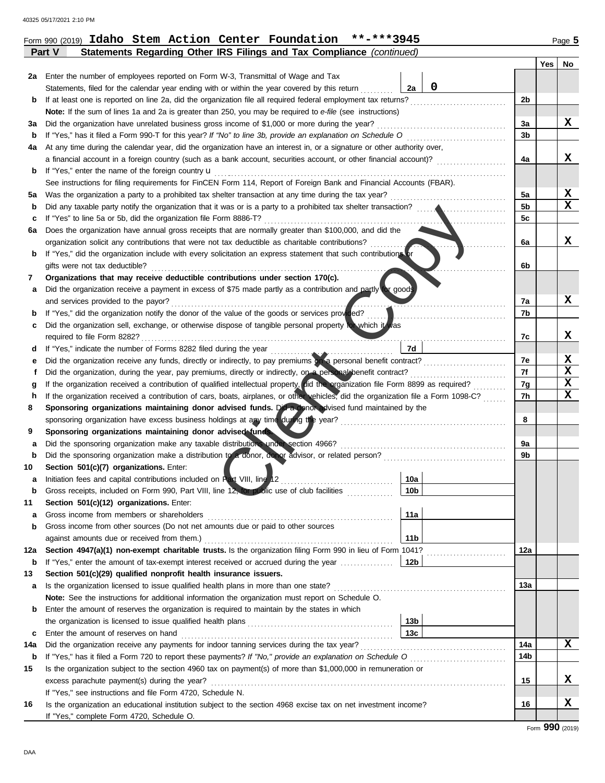| 2a  | Enter the number of employees reported on Form W-3, Transmittal of Wage and Tax                                                                              |                 |                                                      |            |             |
|-----|--------------------------------------------------------------------------------------------------------------------------------------------------------------|-----------------|------------------------------------------------------|------------|-------------|
|     | Statements, filed for the calendar year ending with or within the year covered by this return                                                                | 2a              | 0                                                    |            |             |
| b   | If at least one is reported on line 2a, did the organization file all required federal employment tax returns?                                               |                 |                                                      | 2b         |             |
|     | Note: If the sum of lines 1a and 2a is greater than 250, you may be required to e-file (see instructions)                                                    |                 |                                                      |            |             |
| За  | Did the organization have unrelated business gross income of \$1,000 or more during the year?                                                                |                 |                                                      | Зa         | x           |
| b   | If "Yes," has it filed a Form 990-T for this year? If "No" to line 3b, provide an explanation on Schedule O                                                  |                 |                                                      | 3b         |             |
| 4a  | At any time during the calendar year, did the organization have an interest in, or a signature or other authority over,                                      |                 |                                                      |            |             |
|     | a financial account in a foreign country (such as a bank account, securities account, or other financial account)?                                           |                 |                                                      | 4a         | X           |
| b   | If "Yes," enter the name of the foreign country <b>u</b>                                                                                                     |                 |                                                      |            |             |
|     | See instructions for filing requirements for FinCEN Form 114, Report of Foreign Bank and Financial Accounts (FBAR).                                          |                 |                                                      |            |             |
| 5а  | Was the organization a party to a prohibited tax shelter transaction at any time during the tax year?                                                        |                 |                                                      | 5a         | X           |
| b   |                                                                                                                                                              |                 |                                                      | 5b         | $\mathbf x$ |
| с   | If "Yes" to line 5a or 5b, did the organization file Form 8886-T?                                                                                            |                 |                                                      | 5c         |             |
| 6а  | Does the organization have annual gross receipts that are normally greater than \$100,000, and did the                                                       |                 |                                                      |            |             |
|     | organization solicit any contributions that were not tax deductible as charitable contributions?                                                             |                 |                                                      | 6a         | x           |
| b   | If "Yes," did the organization include with every solicitation an express statement that such contributions or                                               |                 |                                                      |            |             |
|     | gifts were not tax deductible?                                                                                                                               |                 |                                                      | 6b         |             |
| 7   | Organizations that may receive deductible contributions under section 170(c).                                                                                |                 |                                                      |            |             |
| а   | Did the organization receive a payment in excess of \$75 made partly as a contribution and partly tor goods                                                  |                 |                                                      |            |             |
|     | and services provided to the payor?                                                                                                                          |                 |                                                      | 7а         | x           |
| b   | If "Yes," did the organization notify the donor of the value of the goods or services provided?                                                              |                 |                                                      | 7b         |             |
| с   | Did the organization sell, exchange, or otherwise dispose of tangible personal property tor which it was                                                     |                 |                                                      |            |             |
|     | required to file Form 8282?                                                                                                                                  |                 |                                                      | 7c         | X           |
| d   | If "Yes," indicate the number of Forms 8282 filed during the year                                                                                            | 7d              |                                                      |            |             |
| е   | Did the organization receive any funds, directly or indirectly, to pay premiums on a personal benefit contract?                                              |                 | <u> 1986 - Johann Stoff, Amerikaansk politiker (</u> | 7e         | X           |
|     | Did the organization, during the year, pay premiums, directly or indirectly, on a personal benefit contract?                                                 |                 |                                                      | 7f         | X           |
| g   | If the organization received a contribution of qualified intellectual property, aid the organization file Form 8899 as required?                             |                 |                                                      | 7g         | X           |
| h   | If the organization received a contribution of cars, boats, airplanes, or other vehicles, did the organization file a Form 1098-C?                           |                 |                                                      | 7h         | $\mathbf x$ |
| 8   | Sponsoring organizations maintaining donor advised funds. Did a donor advised fund maintained by the                                                         |                 |                                                      |            |             |
|     | sponsoring organization have excess business holdings at any time during the year?                                                                           |                 |                                                      | 8          |             |
| 9   | Sponsoring organizations maintaining donor advised funds.                                                                                                    |                 |                                                      |            |             |
| а   | Did the sponsoring organization make any taxable distributions under section 4966?                                                                           |                 |                                                      | 9a         |             |
| b   |                                                                                                                                                              |                 |                                                      | 9b         |             |
| 10  | Section 501(c)(7) organizations. Enter:                                                                                                                      |                 |                                                      |            |             |
| а   | Initiation fees and capital contributions included on Rart VIII, line 12                                                                                     | 10a             |                                                      |            |             |
| b   | Gross receipts, included on Form 990, Part VIII, line 12, for public use of club facilities                                                                  | 10 <sub>b</sub> |                                                      |            |             |
| 11  | Section 501(c)(12) organizations. Enter:                                                                                                                     |                 |                                                      |            |             |
|     | Gross income from members or shareholders                                                                                                                    | 11a             |                                                      |            |             |
| b   | Gross income from other sources (Do not net amounts due or paid to other sources                                                                             |                 |                                                      |            |             |
|     |                                                                                                                                                              | 11 <sub>b</sub> |                                                      |            |             |
| 12a | Section 4947(a)(1) non-exempt charitable trusts. Is the organization filing Form 990 in lieu of Form 1041?                                                   |                 |                                                      | 12a        |             |
| b   | If "Yes," enter the amount of tax-exempt interest received or accrued during the year                                                                        | 12b             |                                                      |            |             |
| 13  | Section 501(c)(29) qualified nonprofit health insurance issuers.                                                                                             |                 |                                                      |            |             |
| а   | Is the organization licensed to issue qualified health plans in more than one state?                                                                         |                 |                                                      | <b>13a</b> |             |
|     | Note: See the instructions for additional information the organization must report on Schedule O.                                                            |                 |                                                      |            |             |
| b   | Enter the amount of reserves the organization is required to maintain by the states in which                                                                 |                 |                                                      |            |             |
|     |                                                                                                                                                              | 13 <sub>b</sub> |                                                      |            |             |
| c   | Enter the amount of reserves on hand                                                                                                                         | 13 <sub>c</sub> |                                                      |            |             |
| 14a | Did the organization receive any payments for indoor tanning services during the tax year?                                                                   |                 |                                                      | 14a        | X           |
| b   | If "Yes," has it filed a Form 720 to report these payments? If "No," provide an explanation on Schedule O                                                    |                 |                                                      | 14b        |             |
| 15  | Is the organization subject to the section 4960 tax on payment(s) of more than \$1,000,000 in remuneration or                                                |                 |                                                      |            |             |
|     | excess parachute payment(s) during the year?                                                                                                                 |                 |                                                      | 15         | x           |
|     | If "Yes," see instructions and file Form 4720, Schedule N.                                                                                                   |                 |                                                      |            |             |
| 16  | Is the organization an educational institution subject to the section 4968 excise tax on net investment income?<br>If "Yes," complete Form 4720, Schedule O. |                 |                                                      | 16         | X           |
|     |                                                                                                                                                              |                 |                                                      |            |             |

**Part V** Statements Regarding Other IRS Filings and Tax Compliance *(continued)* 

## Form 990 (2019) **Idaho Stem Action Center Foundation \*\*-\*\*\*3945** Page **5**

**Yes No**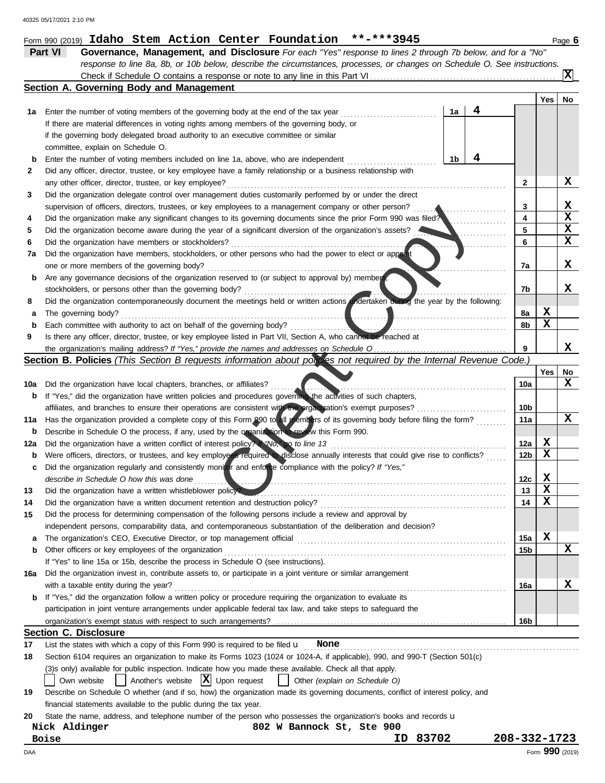|          | Form 990 (2019) Idaho Stem Action Center Foundation **-***3945                                                                                                                       |                 |             | Page $6$        |
|----------|--------------------------------------------------------------------------------------------------------------------------------------------------------------------------------------|-----------------|-------------|-----------------|
|          | <b>Part VI</b><br>Governance, Management, and Disclosure For each "Yes" response to lines 2 through 7b below, and for a "No"                                                         |                 |             |                 |
|          | response to line 8a, 8b, or 10b below, describe the circumstances, processes, or changes on Schedule O. See instructions.                                                            |                 |             |                 |
|          | Check if Schedule O contains a response or note to any line in this Part VI                                                                                                          |                 |             | X               |
|          | Section A. Governing Body and Management                                                                                                                                             |                 |             |                 |
|          |                                                                                                                                                                                      |                 | Yes         | No              |
| 1а       | 4<br>Enter the number of voting members of the governing body at the end of the tax year<br>1a                                                                                       |                 |             |                 |
|          | If there are material differences in voting rights among members of the governing body, or                                                                                           |                 |             |                 |
|          | if the governing body delegated broad authority to an executive committee or similar                                                                                                 |                 |             |                 |
|          | committee, explain on Schedule O.                                                                                                                                                    |                 |             |                 |
| b        | 4<br>Enter the number of voting members included on line 1a, above, who are independent<br>1b                                                                                        |                 |             |                 |
| 2        | Did any officer, director, trustee, or key employee have a family relationship or a business relationship with                                                                       |                 |             |                 |
|          | any other officer, director, trustee, or key employee?                                                                                                                               | 2               |             | X.              |
| 3        | Did the organization delegate control over management duties customarily performed by or under the direct                                                                            |                 |             |                 |
|          | supervision of officers, directors, trustees, or key employees to a management company or other person?                                                                              | 3               |             | X.              |
| 4        | Did the organization make any significant changes to its governing documents since the prior Form 990 was filed?                                                                     | 4               |             | X               |
| 5        | Did the organization become aware during the year of a significant diversion of the organization's assets?                                                                           | 5               |             | X               |
| 6        | Did the organization have members or stockholders?                                                                                                                                   | 6               |             | X               |
| 7a       | Did the organization have members, stockholders, or other persons who had the power to elect or appoint                                                                              |                 |             |                 |
|          | one or more members of the governing body?                                                                                                                                           | 7a              |             | X               |
| b        | Are any governance decisions of the organization reserved to (or subject to approval by) member                                                                                      |                 |             |                 |
|          | stockholders, or persons other than the governing body?                                                                                                                              | 7b              |             | X.              |
| 8        | Did the organization contemporaneously document the meetings held or written actions undertaken during the year by the following:                                                    |                 |             |                 |
| а        | The governing body?                                                                                                                                                                  | 8a              | x           |                 |
| b        | Each committee with authority to act on behalf of the governing body?                                                                                                                | 8b              | X           |                 |
| 9        | Is there any officer, director, trustee, or key employee listed in Part VII, Section A, who cannot be reached at                                                                     |                 |             |                 |
|          |                                                                                                                                                                                      | 9               |             | X               |
|          | Section B. Policies (This Section B requests information about policies not required by the Internal Revenue Code.)                                                                  |                 |             |                 |
|          |                                                                                                                                                                                      | 10a             | Yes         | No<br>X         |
| 10a<br>b | Did the organization have local chapters, branches, or affiliates?<br>If "Yes," did the organization have written policies and procedures governing the activities of such chapters, |                 |             |                 |
|          |                                                                                                                                                                                      | 10 <sub>b</sub> |             |                 |
| 11a      | Has the organization provided a complete copy of this Form 990 to all members of its governing body before filing the form?                                                          | 11a             |             | X               |
| b        | Describe in Schedule O the process, if any, used by the organization to review this Form 990.                                                                                        |                 |             |                 |
| 12a      | Did the organization have a written conflict of interest policy? If "No," go to line 13                                                                                              | 12a             | X           |                 |
| b        | Were officers, directors, or trustees, and key employees required to disclose annually interests that could give rise to conflicts?                                                  | 12 <sub>b</sub> | $\mathbf x$ |                 |
| с        | Did the organization regularly and consistently monitor and enforce compliance with the policy? If "Yes,"                                                                            |                 |             |                 |
|          | describe in Schedule O how this was done                                                                                                                                             | 12c             | X,          |                 |
| 13       | Did the organization have a written whistleblower policy?                                                                                                                            | 13              | X           |                 |
| 14       |                                                                                                                                                                                      | 14              | X           |                 |
| 15       | Did the process for determining compensation of the following persons include a review and approval by                                                                               |                 |             |                 |
|          | independent persons, comparability data, and contemporaneous substantiation of the deliberation and decision?                                                                        |                 |             |                 |
| a        |                                                                                                                                                                                      | 15a             | X           |                 |
| b        | Other officers or key employees of the organization                                                                                                                                  | 15 <sub>b</sub> |             | X               |
|          | If "Yes" to line 15a or 15b, describe the process in Schedule O (see instructions).                                                                                                  |                 |             |                 |
| 16a      | Did the organization invest in, contribute assets to, or participate in a joint venture or similar arrangement                                                                       |                 |             |                 |
|          | with a taxable entity during the year?                                                                                                                                               | 16a             |             | x               |
| b        | If "Yes," did the organization follow a written policy or procedure requiring the organization to evaluate its                                                                       |                 |             |                 |
|          | participation in joint venture arrangements under applicable federal tax law, and take steps to safeguard the                                                                        |                 |             |                 |
|          |                                                                                                                                                                                      | 16b             |             |                 |
|          | <b>Section C. Disclosure</b>                                                                                                                                                         |                 |             |                 |
| 17       | List the states with which a copy of this Form 990 is required to be filed $\boldsymbol{\mathsf{u}}$<br>None                                                                         |                 |             |                 |
| 18       | Section 6104 requires an organization to make its Forms 1023 (1024 or 1024-A, if applicable), 990, and 990-T (Section 501(c)                                                         |                 |             |                 |
|          | (3)s only) available for public inspection. Indicate how you made these available. Check all that apply.                                                                             |                 |             |                 |
|          | $ \mathbf{X} $ Upon request<br>Another's website<br>Other (explain on Schedule O)<br>Own website                                                                                     |                 |             |                 |
| 19       | Describe on Schedule O whether (and if so, how) the organization made its governing documents, conflict of interest policy, and                                                      |                 |             |                 |
|          | financial statements available to the public during the tax year.                                                                                                                    |                 |             |                 |
| 20       | State the name, address, and telephone number of the person who possesses the organization's books and records u                                                                     |                 |             |                 |
|          | Nick Aldinger<br>802 W Bannock St, Ste 900                                                                                                                                           |                 |             |                 |
|          | 83702<br><b>Boise</b><br>ID.                                                                                                                                                         | 208-332-1723    |             |                 |
| DAA      |                                                                                                                                                                                      |                 |             | Form 990 (2019) |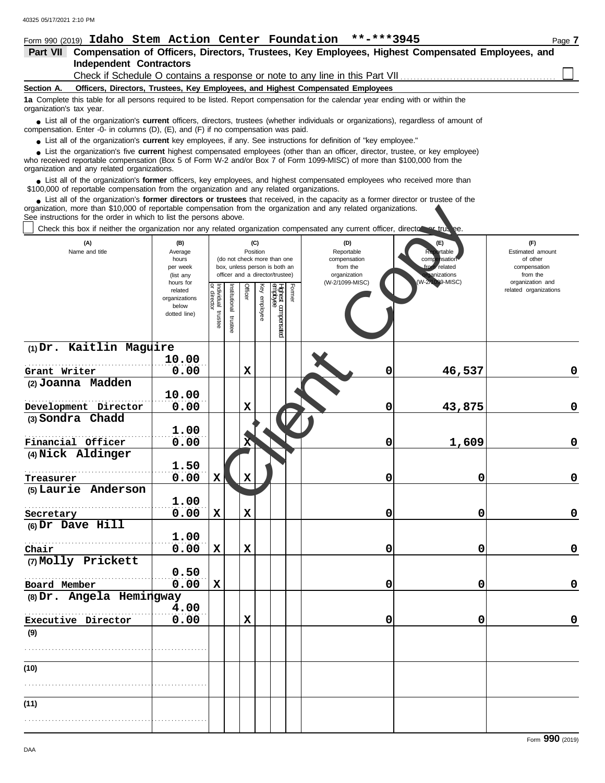| Form 990 (2019) Idaho Stem Action Center Foundation **-***3945                                                                                                                                                                                                                                                                |                         |                        |              |             |                 |                                                              |        |                                                                                                  |                                                       | Page 7                                    |
|-------------------------------------------------------------------------------------------------------------------------------------------------------------------------------------------------------------------------------------------------------------------------------------------------------------------------------|-------------------------|------------------------|--------------|-------------|-----------------|--------------------------------------------------------------|--------|--------------------------------------------------------------------------------------------------|-------------------------------------------------------|-------------------------------------------|
| Part VII                                                                                                                                                                                                                                                                                                                      |                         |                        |              |             |                 |                                                              |        | Compensation of Officers, Directors, Trustees, Key Employees, Highest Compensated Employees, and |                                                       |                                           |
| <b>Independent Contractors</b>                                                                                                                                                                                                                                                                                                |                         |                        |              |             |                 |                                                              |        | Check if Schedule O contains a response or note to any line in this Part VII                     |                                                       |                                           |
| Section A.                                                                                                                                                                                                                                                                                                                    |                         |                        |              |             |                 |                                                              |        | Officers, Directors, Trustees, Key Employees, and Highest Compensated Employees                  |                                                       |                                           |
| 1a Complete this table for all persons required to be listed. Report compensation for the calendar year ending with or within the<br>organization's tax year.                                                                                                                                                                 |                         |                        |              |             |                 |                                                              |        |                                                                                                  |                                                       |                                           |
| List all of the organization's <b>current</b> officers, directors, trustees (whether individuals or organizations), regardless of amount of<br>compensation. Enter -0- in columns (D), (E), and (F) if no compensation was paid.                                                                                              |                         |                        |              |             |                 |                                                              |        |                                                                                                  |                                                       |                                           |
| • List all of the organization's current key employees, if any. See instructions for definition of "key employee."                                                                                                                                                                                                            |                         |                        |              |             |                 |                                                              |        |                                                                                                  |                                                       |                                           |
| • List the organization's five current highest compensated employees (other than an officer, director, trustee, or key employee)<br>who received reportable compensation (Box 5 of Form W-2 and/or Box 7 of Form 1099-MISC) of more than \$100,000 from the<br>organization and any related organizations.                    |                         |                        |              |             |                 |                                                              |        |                                                                                                  |                                                       |                                           |
| • List all of the organization's former officers, key employees, and highest compensated employees who received more than<br>\$100,000 of reportable compensation from the organization and any related organizations.                                                                                                        |                         |                        |              |             |                 |                                                              |        |                                                                                                  |                                                       |                                           |
| • List all of the organization's former directors or trustees that received, in the capacity as a former director or trustee of the<br>organization, more than \$10,000 of reportable compensation from the organization and any related organizations.<br>See instructions for the order in which to list the persons above. |                         |                        |              |             |                 |                                                              |        |                                                                                                  |                                                       |                                           |
| Check this box if neither the organization nor any related organization compensated any current officer, director or true ee.                                                                                                                                                                                                 |                         |                        |              |             |                 |                                                              |        |                                                                                                  |                                                       |                                           |
| (A)<br>Name and title                                                                                                                                                                                                                                                                                                         | (B)<br>Average<br>hours |                        |              |             | (C)<br>Position | (do not check more than one<br>box, unless person is both an |        | (D)<br>Reportable<br>compensation                                                                | (E)<br>ortable<br>comp<br><b>P</b> nsation<br>related | (F)<br>Estimated amount<br>of other       |
|                                                                                                                                                                                                                                                                                                                               | per week<br>(list any   |                        |              |             |                 | officer and a director/trustee)                              |        | from the<br>organization                                                                         | ganizations                                           | compensation<br>from the                  |
|                                                                                                                                                                                                                                                                                                                               | hours for<br>related    |                        |              | Officer     |                 |                                                              | Former | (W-2/1099-MISC)                                                                                  | W-2/1099-MISC)                                        | organization and<br>related organizations |
|                                                                                                                                                                                                                                                                                                                               | organizations<br>below  | Individual<br>director | nstitutional |             | Key employee    | Highest compensated<br>employee                              |        |                                                                                                  |                                                       |                                           |
|                                                                                                                                                                                                                                                                                                                               | dotted line)            | trustee                |              |             |                 |                                                              |        |                                                                                                  |                                                       |                                           |
|                                                                                                                                                                                                                                                                                                                               |                         |                        | trustee      |             |                 |                                                              |        |                                                                                                  |                                                       |                                           |
| (1) Dr. Kaitlin Maguire                                                                                                                                                                                                                                                                                                       |                         |                        |              |             |                 |                                                              |        |                                                                                                  |                                                       |                                           |
|                                                                                                                                                                                                                                                                                                                               | 10.00                   |                        |              |             |                 |                                                              |        |                                                                                                  |                                                       |                                           |
| Grant Writer                                                                                                                                                                                                                                                                                                                  | 0.00                    |                        |              | X           |                 |                                                              |        | 0                                                                                                | 46,537                                                | 0                                         |
| (2) Joanna Madden                                                                                                                                                                                                                                                                                                             |                         |                        |              |             |                 |                                                              |        |                                                                                                  |                                                       |                                           |
|                                                                                                                                                                                                                                                                                                                               | 10.00<br>0.00           |                        |              | X           |                 |                                                              |        | 0                                                                                                |                                                       | $\mathbf 0$                               |
| Development Director<br>(3) Sondra Chadd                                                                                                                                                                                                                                                                                      |                         |                        |              |             |                 |                                                              |        |                                                                                                  | 43,875                                                |                                           |
|                                                                                                                                                                                                                                                                                                                               | 1.00                    |                        |              |             |                 |                                                              |        |                                                                                                  |                                                       |                                           |
| Financial Officer                                                                                                                                                                                                                                                                                                             | 0.00                    |                        |              | х           |                 |                                                              |        | 0                                                                                                | 1,609                                                 | 0                                         |
| (4) Nick Aldinger                                                                                                                                                                                                                                                                                                             |                         |                        |              |             |                 |                                                              |        |                                                                                                  |                                                       |                                           |
|                                                                                                                                                                                                                                                                                                                               | 1.50                    |                        |              |             |                 |                                                              |        |                                                                                                  |                                                       |                                           |
| Treasurer<br>(5) Laurie Anderson                                                                                                                                                                                                                                                                                              | 0.00                    | ΧŅ                     |              | X           |                 |                                                              |        | $\mathbf{0}$                                                                                     | 0                                                     | U                                         |
|                                                                                                                                                                                                                                                                                                                               | 1.00                    |                        |              |             |                 |                                                              |        |                                                                                                  |                                                       |                                           |
| Secretary                                                                                                                                                                                                                                                                                                                     | 0.00                    | X                      |              | $\mathbf x$ |                 |                                                              |        | 0                                                                                                | 0                                                     | $\mathbf 0$                               |
| (6) Dr Dave Hill                                                                                                                                                                                                                                                                                                              |                         |                        |              |             |                 |                                                              |        |                                                                                                  |                                                       |                                           |
|                                                                                                                                                                                                                                                                                                                               | 1.00                    |                        |              |             |                 |                                                              |        |                                                                                                  |                                                       |                                           |
| Chair                                                                                                                                                                                                                                                                                                                         | 0.00                    | X                      |              | $\mathbf x$ |                 |                                                              |        | 0                                                                                                | 0                                                     | $\mathbf 0$                               |
| (7) Molly Prickett                                                                                                                                                                                                                                                                                                            | 0.50                    |                        |              |             |                 |                                                              |        |                                                                                                  |                                                       |                                           |
| Board Member                                                                                                                                                                                                                                                                                                                  | 0.00                    | $\mathbf x$            |              |             |                 |                                                              |        | 0                                                                                                | 0                                                     | $\mathbf 0$                               |
| $(8)$ Dr. Angela Hemingway                                                                                                                                                                                                                                                                                                    |                         |                        |              |             |                 |                                                              |        |                                                                                                  |                                                       |                                           |
|                                                                                                                                                                                                                                                                                                                               | 4.00                    |                        |              |             |                 |                                                              |        |                                                                                                  |                                                       |                                           |
| Executive Director                                                                                                                                                                                                                                                                                                            | 0.00                    |                        |              | $\mathbf x$ |                 |                                                              |        | 0                                                                                                | 0                                                     | $\mathbf 0$                               |
| (9)                                                                                                                                                                                                                                                                                                                           |                         |                        |              |             |                 |                                                              |        |                                                                                                  |                                                       |                                           |
|                                                                                                                                                                                                                                                                                                                               |                         |                        |              |             |                 |                                                              |        |                                                                                                  |                                                       |                                           |
| (10)                                                                                                                                                                                                                                                                                                                          |                         |                        |              |             |                 |                                                              |        |                                                                                                  |                                                       |                                           |
|                                                                                                                                                                                                                                                                                                                               |                         |                        |              |             |                 |                                                              |        |                                                                                                  |                                                       |                                           |
|                                                                                                                                                                                                                                                                                                                               |                         |                        |              |             |                 |                                                              |        |                                                                                                  |                                                       |                                           |
| (11)                                                                                                                                                                                                                                                                                                                          |                         |                        |              |             |                 |                                                              |        |                                                                                                  |                                                       |                                           |
|                                                                                                                                                                                                                                                                                                                               |                         |                        |              |             |                 |                                                              |        |                                                                                                  |                                                       |                                           |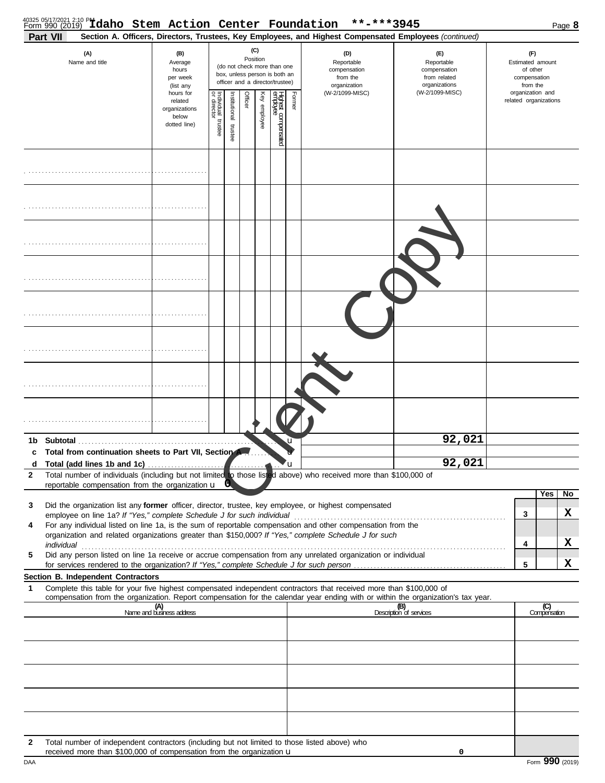| 40325 05/17/2021 2:10 PM daho Stem Action Center Foundation<br>Part VII                                                                                                                                                                                     |                                                                |                                                                                                                    |                       |         |              |                                 |        | **-***3945<br>Section A. Officers, Directors, Trustees, Key Employees, and Highest Compensated Employees (continued) |                                                                    |                                                                 | Page 8              |
|-------------------------------------------------------------------------------------------------------------------------------------------------------------------------------------------------------------------------------------------------------------|----------------------------------------------------------------|--------------------------------------------------------------------------------------------------------------------|-----------------------|---------|--------------|---------------------------------|--------|----------------------------------------------------------------------------------------------------------------------|--------------------------------------------------------------------|-----------------------------------------------------------------|---------------------|
| (A)<br>Name and title                                                                                                                                                                                                                                       | (B)<br>Average<br>hours<br>per week<br>(list any               | (C)<br>Position<br>(do not check more than one<br>box, unless person is both an<br>officer and a director/trustee) |                       |         |              |                                 |        | (D)<br>Reportable<br>compensation<br>from the<br>organization                                                        | (E)<br>Reportable<br>compensation<br>from related<br>organizations | (F)<br>Estimated amount<br>of other<br>compensation<br>from the |                     |
|                                                                                                                                                                                                                                                             | hours for<br>related<br>organizations<br>below<br>dotted line) | Individual 1<br>or director<br>trustee                                                                             | Institutional trustee | Officer | Key employee | Highest compensated<br>employee | Former | (W-2/1099-MISC)                                                                                                      | (W-2/1099-MISC)                                                    | organization and<br>related organizations                       |                     |
|                                                                                                                                                                                                                                                             |                                                                |                                                                                                                    |                       |         |              |                                 |        |                                                                                                                      |                                                                    |                                                                 |                     |
|                                                                                                                                                                                                                                                             |                                                                |                                                                                                                    |                       |         |              |                                 |        |                                                                                                                      |                                                                    |                                                                 |                     |
|                                                                                                                                                                                                                                                             |                                                                |                                                                                                                    |                       |         |              |                                 |        |                                                                                                                      |                                                                    |                                                                 |                     |
|                                                                                                                                                                                                                                                             |                                                                |                                                                                                                    |                       |         |              |                                 |        |                                                                                                                      |                                                                    |                                                                 |                     |
|                                                                                                                                                                                                                                                             |                                                                |                                                                                                                    |                       |         |              |                                 |        |                                                                                                                      |                                                                    |                                                                 |                     |
|                                                                                                                                                                                                                                                             |                                                                |                                                                                                                    |                       |         |              |                                 |        |                                                                                                                      |                                                                    |                                                                 |                     |
|                                                                                                                                                                                                                                                             |                                                                |                                                                                                                    |                       |         |              |                                 |        |                                                                                                                      |                                                                    |                                                                 |                     |
|                                                                                                                                                                                                                                                             |                                                                |                                                                                                                    |                       |         |              |                                 |        |                                                                                                                      |                                                                    |                                                                 |                     |
| Subtotal.<br>1b                                                                                                                                                                                                                                             |                                                                |                                                                                                                    |                       |         |              |                                 |        |                                                                                                                      | 92,021                                                             |                                                                 |                     |
| Total from continuation sheets to Part VII, Section A.<br>c                                                                                                                                                                                                 |                                                                |                                                                                                                    |                       |         |              |                                 |        |                                                                                                                      | 92,021                                                             |                                                                 |                     |
| Total (add lines 1b and 1c)<br>d<br>Total number of individuals (including but not limited to those listed above) who received more than \$100,000 of<br>$\mathbf{2}$                                                                                       |                                                                |                                                                                                                    |                       |         |              |                                 | ้น     |                                                                                                                      |                                                                    |                                                                 |                     |
| reportable compensation from the organization u                                                                                                                                                                                                             |                                                                |                                                                                                                    |                       |         |              |                                 |        |                                                                                                                      |                                                                    |                                                                 |                     |
| Did the organization list any former officer, director, trustee, key employee, or highest compensated<br>3                                                                                                                                                  |                                                                |                                                                                                                    |                       |         |              |                                 |        |                                                                                                                      |                                                                    |                                                                 | Yes<br>No           |
|                                                                                                                                                                                                                                                             |                                                                |                                                                                                                    |                       |         |              |                                 |        |                                                                                                                      |                                                                    | 3                                                               | X                   |
| For any individual listed on line 1a, is the sum of reportable compensation and other compensation from the<br>4<br>organization and related organizations greater than \$150,000? If "Yes," complete Schedule J for such                                   |                                                                |                                                                                                                    |                       |         |              |                                 |        |                                                                                                                      |                                                                    |                                                                 |                     |
| individual <b>construction in the construction of the construction</b> in the construction of the construction of the construction of the construction of the construction of the construction of the construction of the construct                         |                                                                |                                                                                                                    |                       |         |              |                                 |        |                                                                                                                      |                                                                    | 4                                                               | X                   |
| Did any person listed on line 1a receive or accrue compensation from any unrelated organization or individual<br>5                                                                                                                                          |                                                                |                                                                                                                    |                       |         |              |                                 |        |                                                                                                                      |                                                                    | 5                                                               | x                   |
| Section B. Independent Contractors                                                                                                                                                                                                                          |                                                                |                                                                                                                    |                       |         |              |                                 |        |                                                                                                                      |                                                                    |                                                                 |                     |
| Complete this table for your five highest compensated independent contractors that received more than \$100,000 of<br>1<br>compensation from the organization. Report compensation for the calendar year ending with or within the organization's tax year. |                                                                |                                                                                                                    |                       |         |              |                                 |        |                                                                                                                      |                                                                    |                                                                 |                     |
|                                                                                                                                                                                                                                                             | (A)<br>Name and business address                               |                                                                                                                    |                       |         |              |                                 |        |                                                                                                                      | (B)<br>Description of services                                     |                                                                 | (C)<br>Compensation |
|                                                                                                                                                                                                                                                             |                                                                |                                                                                                                    |                       |         |              |                                 |        |                                                                                                                      |                                                                    |                                                                 |                     |
|                                                                                                                                                                                                                                                             |                                                                |                                                                                                                    |                       |         |              |                                 |        |                                                                                                                      |                                                                    |                                                                 |                     |
|                                                                                                                                                                                                                                                             |                                                                |                                                                                                                    |                       |         |              |                                 |        |                                                                                                                      |                                                                    |                                                                 |                     |
|                                                                                                                                                                                                                                                             |                                                                |                                                                                                                    |                       |         |              |                                 |        |                                                                                                                      |                                                                    |                                                                 |                     |
| Total number of independent contractors (including but not limited to those listed above) who<br>2<br>received more than \$100,000 of compensation from the organization <b>u</b>                                                                           |                                                                |                                                                                                                    |                       |         |              |                                 |        |                                                                                                                      | 0                                                                  |                                                                 |                     |

DAA Form **990** (2019)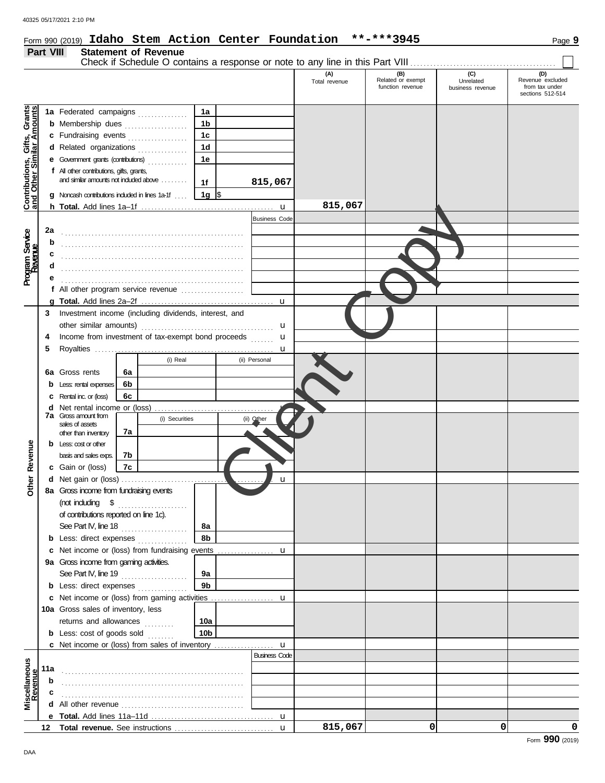# Form 990 (2019) **Idaho Stem Action Center Foundation \*\*-\*\*\*3945** Page **9**

# **Part VIII Statement of Revenue**

|                                                                  |     |                                                                            |    |                |                 |                      | (A)<br>Total revenue | (B)<br>Related or exempt<br>function revenue | (C)<br>Unrelated<br>business revenue | (D)<br>Revenue excluded<br>from tax under<br>sections 512-514 |
|------------------------------------------------------------------|-----|----------------------------------------------------------------------------|----|----------------|-----------------|----------------------|----------------------|----------------------------------------------|--------------------------------------|---------------------------------------------------------------|
|                                                                  |     |                                                                            |    |                | 1a              |                      |                      |                                              |                                      |                                                               |
|                                                                  |     | 1a Federated campaigns<br><b>b</b> Membership dues<br>c Fundraising events |    |                | 1 <sub>b</sub>  |                      |                      |                                              |                                      |                                                               |
|                                                                  |     |                                                                            |    |                | 1 <sub>c</sub>  |                      |                      |                                              |                                      |                                                               |
|                                                                  |     | d Related organizations                                                    |    |                | 1 <sub>d</sub>  |                      |                      |                                              |                                      |                                                               |
| <b>Contributions, Gifts, Grants</b><br>and Other Similar Amounts |     | <b>e</b> Government grants (contributions)                                 |    | .              | 1e              |                      |                      |                                              |                                      |                                                               |
|                                                                  |     | f All other contributions, gifts, grants,                                  |    |                |                 |                      |                      |                                              |                                      |                                                               |
|                                                                  |     | and similar amounts not induded above                                      |    |                | 1f              | 815,067              |                      |                                              |                                      |                                                               |
|                                                                  |     | Noncash contributions included in lines 1a-1f                              |    |                | 1g $\sqrt{3}$   |                      |                      |                                              |                                      |                                                               |
|                                                                  |     |                                                                            |    |                |                 | $\mathbf{u}$         | 815,067              |                                              |                                      |                                                               |
|                                                                  |     |                                                                            |    |                |                 | <b>Business Code</b> |                      |                                              |                                      |                                                               |
|                                                                  | 2a  |                                                                            |    |                |                 |                      |                      |                                              |                                      |                                                               |
| Program Service<br>Revenue                                       | b   |                                                                            |    |                |                 |                      |                      |                                              |                                      |                                                               |
|                                                                  | c   |                                                                            |    |                |                 |                      |                      |                                              |                                      |                                                               |
|                                                                  |     |                                                                            |    |                |                 |                      |                      |                                              |                                      |                                                               |
|                                                                  |     |                                                                            |    |                |                 |                      |                      |                                              |                                      |                                                               |
|                                                                  |     | f All other program service revenue $\ldots$ , $\ldots$                    |    |                |                 |                      |                      |                                              |                                      |                                                               |
|                                                                  |     |                                                                            |    |                |                 | u                    |                      |                                              |                                      |                                                               |
|                                                                  | 3   | Investment income (including dividends, interest, and                      |    |                |                 |                      |                      |                                              |                                      |                                                               |
|                                                                  |     | other similar amounts)                                                     |    |                |                 | u                    |                      |                                              |                                      |                                                               |
|                                                                  | 4   | Income from investment of tax-exempt bond proceeds                         |    |                |                 | u                    |                      |                                              |                                      |                                                               |
|                                                                  | 5   |                                                                            |    |                |                 | u                    |                      |                                              |                                      |                                                               |
|                                                                  |     |                                                                            |    | (i) Real       |                 | (ii) Personal        |                      |                                              |                                      |                                                               |
|                                                                  |     | <b>6a</b> Gross rents                                                      | 6а |                |                 |                      |                      |                                              |                                      |                                                               |
|                                                                  |     | Less: rental expenses                                                      | 6b |                |                 |                      |                      |                                              |                                      |                                                               |
|                                                                  |     | Rental inc. or (loss)                                                      | 6c |                |                 |                      |                      |                                              |                                      |                                                               |
|                                                                  |     | <b>d</b> Net rental income or (loss)                                       |    |                |                 |                      |                      |                                              |                                      |                                                               |
|                                                                  |     | <b>7a</b> Gross amount from                                                |    | (i) Securities |                 | (ii) Other           |                      |                                              |                                      |                                                               |
|                                                                  |     | sales of assets<br>other than inventory                                    | 7а |                |                 |                      |                      |                                              |                                      |                                                               |
|                                                                  |     | $b$ Less: $\cos$ or other                                                  |    |                |                 |                      |                      |                                              |                                      |                                                               |
| Other Revenue                                                    |     | basis and sales exps.                                                      | 7b |                |                 |                      |                      |                                              |                                      |                                                               |
|                                                                  |     | c Gain or (loss)                                                           | 7c |                |                 |                      |                      |                                              |                                      |                                                               |
|                                                                  |     | <b>d</b> Net gain or (loss) $\ldots$                                       |    |                |                 | u                    |                      |                                              |                                      |                                                               |
|                                                                  |     | 8a Gross income from fundraising events                                    |    |                |                 |                      |                      |                                              |                                      |                                                               |
|                                                                  |     | (not including $\quad$ \$ $\quad$                                          |    |                |                 |                      |                      |                                              |                                      |                                                               |
|                                                                  |     | of contributions reported on line 1c).                                     |    |                |                 |                      |                      |                                              |                                      |                                                               |
|                                                                  |     | See Part IV, line 18                                                       |    |                | 8а              |                      |                      |                                              |                                      |                                                               |
|                                                                  |     | <b>b</b> Less: direct expenses                                             |    |                | 8b              |                      |                      |                                              |                                      |                                                               |
|                                                                  |     |                                                                            |    |                |                 |                      |                      |                                              |                                      |                                                               |
|                                                                  |     | 9a Gross income from gaming activities.                                    |    |                |                 |                      |                      |                                              |                                      |                                                               |
|                                                                  |     | See Part IV, line 19                                                       |    |                | 9а              |                      |                      |                                              |                                      |                                                               |
|                                                                  |     | <b>b</b> Less: direct expenses                                             |    |                | 9 <sub>b</sub>  |                      |                      |                                              |                                      |                                                               |
|                                                                  |     |                                                                            |    |                |                 |                      |                      |                                              |                                      |                                                               |
|                                                                  |     | 10a Gross sales of inventory, less                                         |    |                |                 |                      |                      |                                              |                                      |                                                               |
|                                                                  |     | returns and allowances                                                     |    | .              | 10a             |                      |                      |                                              |                                      |                                                               |
|                                                                  |     | <b>b</b> Less: cost of goods sold                                          |    |                | 10 <sub>b</sub> |                      |                      |                                              |                                      |                                                               |
|                                                                  |     |                                                                            |    |                |                 |                      |                      |                                              |                                      |                                                               |
|                                                                  |     |                                                                            |    |                |                 | <b>Business Code</b> |                      |                                              |                                      |                                                               |
|                                                                  | 11a |                                                                            |    |                |                 |                      |                      |                                              |                                      |                                                               |
|                                                                  | b   |                                                                            |    |                |                 |                      |                      |                                              |                                      |                                                               |
|                                                                  | c   |                                                                            |    |                |                 |                      |                      |                                              |                                      |                                                               |
| Miscellaneous<br>Revenue                                         |     |                                                                            |    |                |                 |                      |                      |                                              |                                      |                                                               |
|                                                                  |     |                                                                            |    |                |                 |                      |                      |                                              |                                      |                                                               |
|                                                                  |     |                                                                            |    |                |                 |                      | 815,067              | $\Omega$                                     | $\Omega$                             | 0                                                             |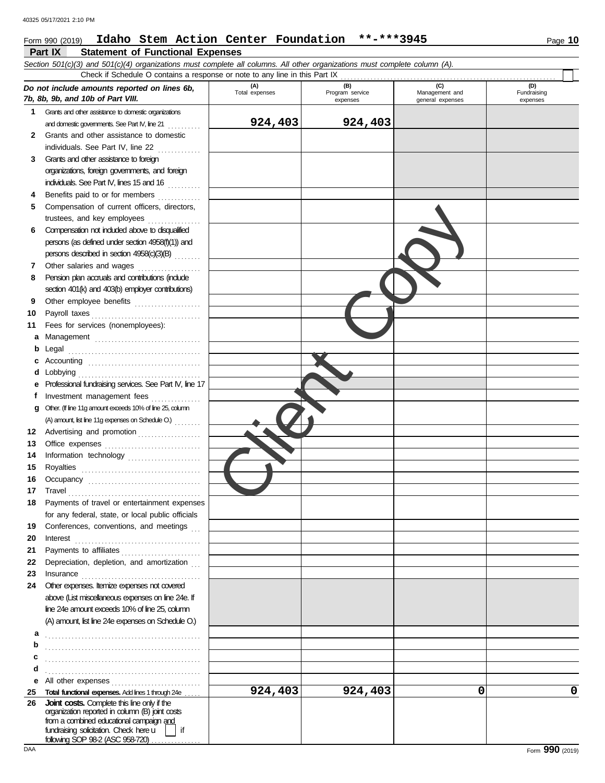#### 40325 05/17/2021 2:10 PM Form 990 (2019) **Idaho Stem Action Center Foundation \*\*-\*\*\*3945** Page **10 Part IX Statement of Functional Expenses** *Section 501(c)(3) and 501(c)(4) organizations must complete all columns. All other organizations must complete column (A).*  Check if Schedule O contains a response or note to any line in this Part IX *Do not include amounts reported on lines 6b, 7b, 8b, 9b, and 10b of Part VIII.*  **(A)**  Total expenses **(B)**  Program service expenses **(C)**  Management and general expenses **(D)**  Fundraising expenses **1** Grants and other assistance to domestic organizations and domestic governments. See Part IV, line 21 . . . . . . . . . . . **2** Grants and other assistance to domestic individuals. See Part IV, line 22 **3** Grants and other assistance to foreign organizations, foreign governments, and foreign individuals. See Part IV, lines 15 and 16 **4** Benefits paid to or for members . . . . . . . . . . . . **5** Compensation of current officers, directors, trustees, and key employees ....... **6** Compensation not included above to disqualified persons (as defined under section 4958(f)(1)) and persons described in section 4958(c)(3)(B) . . . . . . . . **7** Other salaries and wages .....................<br>**8** Pension plan accruals and contributions (include **8** Pension plan accruals and contributions (include section 401(k) and 403(b) employer contributions) **9** Other employee benefits .................... **10** Payroll taxes . . . . . . . . . . . . . . . . . . . . . . . . . . . . . . . . . **11** Fees for services (nonemployees): **a** Management ................................. **b** Legal . . . . . . . . . . . . . . . . . . . . . . . . . . . . . . . . . . . . . . . . **c** Accounting . . . . . . . . . . . . . . . . . . . . . . . . . . . . . . . . . . **d** Lobbying . . . . . . . . . . . . . . . . . . . . . . . . . . . . . . . . . . . . . **e** Professional fundraising services. See Part IV, line 17 f Investment management fees ............... **g** Other. (If line 11g amount exceeds 10% of line 25, column (A) amount, list line 11g expenses on Schedule O.) . . . . . . . . . **12** Advertising and promotion . . . . . . . . . . . . . . . . . . . **13** Office expenses **............................** 14 Information technology ...................... **15** Royalties . . . . . . . . . . . . . . . . . . . . . . . . . . . . . . . . . . . . **16** Occupancy . . . . . . . . . . . . . . . . . . . . . . . . . . . . . . . . . . **17** Travel . . . . . . . . . . . . . . . . . . . . . . . . . . . . . . . . . . . . . . . . **18** Payments of travel or entertainment expenses for any federal, state, or local public officials **19** Conferences, conventions, and meetings **20** Interest . . . . . . . . . . . . . . . . . . . . . . . . . . . . . . . . . . . . . . **21** Payments to affiliates . . . . . . . . . . . . . . . . . . . . . . . . **22** Depreciation, depletion, and amortization **23** Insurance . . . . . . . . . . . . . . . . . . . . . . . . . . . . . . . . . . . . **24** Other expenses. Itemize expenses not covered **924,403 924,403**  Client Copy

**924,403 0** 0

above (List miscellaneous expenses on line 24e. If line 24e amount exceeds 10% of line 25, column (A) amount, list line 24e expenses on Schedule O.) **a** . . . . . . . . . . . . . . . . . . . . . . . . . . . . . . . . . . . . . . . . . . . . . . . **b**. **c** . . . . . . . . . . . . . . . . . . . . . . . . . . . . . . . . . . . . . . . . . . . . . . . **d** . . . . . . . . . . . . . . . . . . . . . . . . . . . . . . . . . . . . . . . . . . . . . . . **e** All other expenses . . . . . . . . . . . . . . . . . . . . . . . . . . . **25 Total functional expenses.** Add lines 1 through 24e . . . . .

**26 Joint costs.** Complete this line only if the organization reported in column (B) joint costs from a combined educational campaign and fundraising solicitation. Check here  $\Box$  | if following SOP 98-2 (ASC 958-720) . .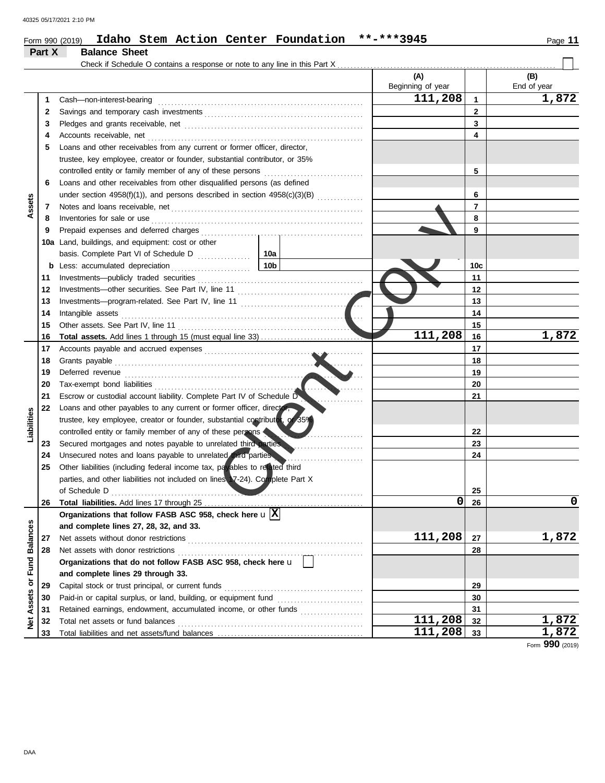|                      |          | Check if Schedule O contains a response or note to any line in this Part X                                                                                                                                                                                                                                                                                                                                                                                                                                                                                                 |                              | (A)               |                | (B)         |
|----------------------|----------|----------------------------------------------------------------------------------------------------------------------------------------------------------------------------------------------------------------------------------------------------------------------------------------------------------------------------------------------------------------------------------------------------------------------------------------------------------------------------------------------------------------------------------------------------------------------------|------------------------------|-------------------|----------------|-------------|
|                      |          |                                                                                                                                                                                                                                                                                                                                                                                                                                                                                                                                                                            |                              | Beginning of year |                | End of year |
|                      | 1        | Cash-non-interest-bearing                                                                                                                                                                                                                                                                                                                                                                                                                                                                                                                                                  |                              | 111,208           | 1              | 1,872       |
|                      | 2        |                                                                                                                                                                                                                                                                                                                                                                                                                                                                                                                                                                            |                              |                   | $\mathbf{2}$   |             |
|                      | 3        |                                                                                                                                                                                                                                                                                                                                                                                                                                                                                                                                                                            |                              |                   | 3              |             |
|                      | 4        | Accounts receivable, net                                                                                                                                                                                                                                                                                                                                                                                                                                                                                                                                                   |                              |                   | 4              |             |
|                      | 5        | Loans and other receivables from any current or former officer, director,                                                                                                                                                                                                                                                                                                                                                                                                                                                                                                  |                              |                   |                |             |
|                      |          | trustee, key employee, creator or founder, substantial contributor, or 35%                                                                                                                                                                                                                                                                                                                                                                                                                                                                                                 |                              |                   |                |             |
|                      |          | controlled entity or family member of any of these persons                                                                                                                                                                                                                                                                                                                                                                                                                                                                                                                 |                              |                   | 5              |             |
|                      | 6        | Loans and other receivables from other disqualified persons (as defined                                                                                                                                                                                                                                                                                                                                                                                                                                                                                                    |                              |                   |                |             |
|                      |          |                                                                                                                                                                                                                                                                                                                                                                                                                                                                                                                                                                            |                              |                   | 6              |             |
| Assets               | 7        |                                                                                                                                                                                                                                                                                                                                                                                                                                                                                                                                                                            |                              |                   | $\overline{7}$ |             |
|                      | 8        | $Inventories for sale or use \begin{minipage}{0.5\textwidth} \centering \begin{minipage}{0.5\textwidth} \centering \centering \end{minipage} \begin{minipage}{0.5\textwidth} \centering \end{minipage} \begin{minipage}{0.5\textwidth} \centering \begin{minipage}{0.5\textwidth} \centering \centering \end{minipage} \end{minipage} \begin{minipage}{0.5\textwidth} \centering \end{minipage} \begin{minipage}{0.5\textwidth} \centering \end{minipage} \begin{minipage}{0.5\textwidth} \centering \end{minipage} \begin{minipage}{0.5\textwidth} \centering \end{minip$ |                              |                   | 8              |             |
|                      | 9        |                                                                                                                                                                                                                                                                                                                                                                                                                                                                                                                                                                            |                              |                   | 9              |             |
|                      |          | 10a Land, buildings, and equipment: cost or other                                                                                                                                                                                                                                                                                                                                                                                                                                                                                                                          |                              |                   |                |             |
|                      |          | basis. Complete Part VI of Schedule D                                                                                                                                                                                                                                                                                                                                                                                                                                                                                                                                      | 10a                          |                   |                |             |
|                      | b        | Less: accumulated depreciation                                                                                                                                                                                                                                                                                                                                                                                                                                                                                                                                             | 10 <sub>b</sub>              |                   | 10c            |             |
|                      | 11       |                                                                                                                                                                                                                                                                                                                                                                                                                                                                                                                                                                            |                              |                   | 11             |             |
|                      | 12       |                                                                                                                                                                                                                                                                                                                                                                                                                                                                                                                                                                            |                              |                   | 12             |             |
|                      | 13       |                                                                                                                                                                                                                                                                                                                                                                                                                                                                                                                                                                            |                              |                   | 13             |             |
|                      | 14       | Intangible assets                                                                                                                                                                                                                                                                                                                                                                                                                                                                                                                                                          | .                            |                   | 14             |             |
|                      | 15       |                                                                                                                                                                                                                                                                                                                                                                                                                                                                                                                                                                            | a da d                       |                   | 15             |             |
|                      | 16       |                                                                                                                                                                                                                                                                                                                                                                                                                                                                                                                                                                            |                              | 111,208           | 16             | 1,872       |
|                      | 17       |                                                                                                                                                                                                                                                                                                                                                                                                                                                                                                                                                                            |                              |                   | 17             |             |
|                      | 18       | Grants payable                                                                                                                                                                                                                                                                                                                                                                                                                                                                                                                                                             |                              |                   | 18             |             |
|                      | 19       |                                                                                                                                                                                                                                                                                                                                                                                                                                                                                                                                                                            | .                            |                   | 19             |             |
|                      | 20       | Tax-exempt bond liabilities                                                                                                                                                                                                                                                                                                                                                                                                                                                                                                                                                |                              |                   | 20             |             |
|                      | 21       | Escrow or custodial account liability. Complete Part IV of Schedule D                                                                                                                                                                                                                                                                                                                                                                                                                                                                                                      |                              |                   | 21             |             |
|                      | 22       | Loans and other payables to any current or former officer, director,                                                                                                                                                                                                                                                                                                                                                                                                                                                                                                       |                              |                   |                |             |
|                      |          | trustee, key employee, creator or founder, substantial contributor, or 35%                                                                                                                                                                                                                                                                                                                                                                                                                                                                                                 |                              |                   |                |             |
| Liabilities          |          | controlled entity or family member of any of these persons                                                                                                                                                                                                                                                                                                                                                                                                                                                                                                                 |                              |                   | 22             |             |
|                      | 23       | Secured mortgages and notes payable to unrelated third parties                                                                                                                                                                                                                                                                                                                                                                                                                                                                                                             |                              |                   | 23             |             |
|                      | 24       | Unsecured notes and loans payable to unrelated third parties                                                                                                                                                                                                                                                                                                                                                                                                                                                                                                               |                              |                   | 24             |             |
|                      | 25       | Other liabilities (including federal income tax, payables to related third                                                                                                                                                                                                                                                                                                                                                                                                                                                                                                 | .                            |                   |                |             |
|                      |          | parties, and other liabilities not included on lines 17-24). Complete Part X                                                                                                                                                                                                                                                                                                                                                                                                                                                                                               |                              |                   |                |             |
|                      |          | of Schedule D                                                                                                                                                                                                                                                                                                                                                                                                                                                                                                                                                              |                              |                   | 25             |             |
|                      | 26       |                                                                                                                                                                                                                                                                                                                                                                                                                                                                                                                                                                            | ____________________________ | 0                 | 26             | 0           |
|                      |          | Organizations that follow FASB ASC 958, check here $\mathbf{u}[\overline{\mathbf{X}}]$                                                                                                                                                                                                                                                                                                                                                                                                                                                                                     |                              |                   |                |             |
|                      |          | and complete lines 27, 28, 32, and 33.                                                                                                                                                                                                                                                                                                                                                                                                                                                                                                                                     |                              |                   |                |             |
| <b>Fund Balances</b> | 27       | Net assets without donor restrictions                                                                                                                                                                                                                                                                                                                                                                                                                                                                                                                                      |                              | 111,208           | 27             | 1,872       |
|                      | 28       |                                                                                                                                                                                                                                                                                                                                                                                                                                                                                                                                                                            |                              |                   | 28             |             |
|                      |          | Organizations that do not follow FASB ASC 958, check here u                                                                                                                                                                                                                                                                                                                                                                                                                                                                                                                |                              |                   |                |             |
|                      |          |                                                                                                                                                                                                                                                                                                                                                                                                                                                                                                                                                                            |                              |                   |                |             |
|                      |          | and complete lines 29 through 33.                                                                                                                                                                                                                                                                                                                                                                                                                                                                                                                                          |                              |                   |                |             |
|                      | 29       | Capital stock or trust principal, or current funds                                                                                                                                                                                                                                                                                                                                                                                                                                                                                                                         |                              |                   | 29<br>30       |             |
|                      |          |                                                                                                                                                                                                                                                                                                                                                                                                                                                                                                                                                                            |                              |                   |                |             |
|                      | 30       |                                                                                                                                                                                                                                                                                                                                                                                                                                                                                                                                                                            |                              |                   |                |             |
| Assets or<br>ğ       | 31<br>32 | Retained earnings, endowment, accumulated income, or other funds<br>Total net assets or fund balances                                                                                                                                                                                                                                                                                                                                                                                                                                                                      |                              | 111,208           | 31<br>32       | 1,872       |

Form **990** (2019)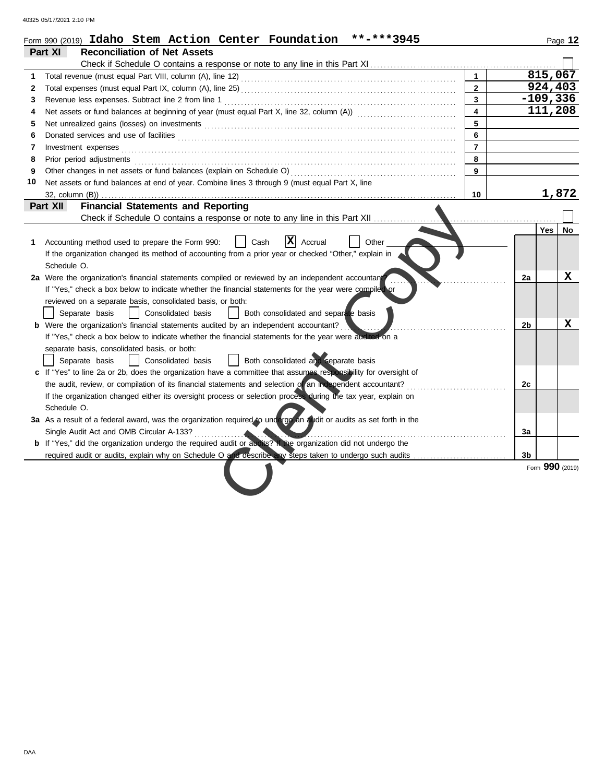40325 05/17/2021 2:10 PM

|    | Form 990 (2019) Idaho Stem Action Center Foundation<br>**-***3945                                                                                                                                                                   |                         |    |                 | Page 12 |
|----|-------------------------------------------------------------------------------------------------------------------------------------------------------------------------------------------------------------------------------------|-------------------------|----|-----------------|---------|
|    | Part XI<br><b>Reconciliation of Net Assets</b>                                                                                                                                                                                      |                         |    |                 |         |
|    | Check if Schedule O contains a response or note to any line in this Part XI                                                                                                                                                         |                         |    |                 |         |
| 1  |                                                                                                                                                                                                                                     | $\mathbf{1}$            |    | 815,067         |         |
| 2  |                                                                                                                                                                                                                                     | $\overline{2}$          |    | 924,403         |         |
| 3  | Revenue less expenses. Subtract line 2 from line 1                                                                                                                                                                                  | $\mathbf{3}$            |    | $-109,336$      |         |
| 4  |                                                                                                                                                                                                                                     | $\overline{\mathbf{4}}$ |    | 111,208         |         |
| 5  |                                                                                                                                                                                                                                     | 5                       |    |                 |         |
| 6  |                                                                                                                                                                                                                                     | 6                       |    |                 |         |
| 7  |                                                                                                                                                                                                                                     | $\overline{7}$          |    |                 |         |
| 8  | Prior period adjustments <b>construction and construction</b> and and adjustments of the construction of the construction of the construction of the construction of the construction of the construction of the construction of th | 8                       |    |                 |         |
| 9  | Other changes in net assets or fund balances (explain on Schedule O)                                                                                                                                                                | 9                       |    |                 |         |
| 10 | Net assets or fund balances at end of year. Combine lines 3 through 9 (must equal Part X, line                                                                                                                                      |                         |    |                 |         |
|    | $32$ , column $(B)$ )                                                                                                                                                                                                               | 10                      |    | 1,872           |         |
|    | <b>Financial Statements and Reporting</b><br>Part XII                                                                                                                                                                               |                         |    |                 |         |
|    | Check if Schedule O contains a response or note to any line in this Part XII                                                                                                                                                        |                         |    |                 |         |
|    |                                                                                                                                                                                                                                     |                         |    | Yes             | No      |
| 1  | X <br>Accrual<br>Other<br>Accounting method used to prepare the Form 990:<br>Cash                                                                                                                                                   |                         |    |                 |         |
|    | If the organization changed its method of accounting from a prior year or checked "Other," explain in                                                                                                                               |                         |    |                 |         |
|    | Schedule O.                                                                                                                                                                                                                         |                         |    |                 |         |
|    | 2a Were the organization's financial statements compiled or reviewed by an independent accountant                                                                                                                                   |                         | 2a |                 | x       |
|    | If "Yes," check a box below to indicate whether the financial statements for the year were compiled or                                                                                                                              |                         |    |                 |         |
|    | reviewed on a separate basis, consolidated basis, or both:                                                                                                                                                                          |                         |    |                 |         |
|    | Separate basis<br>Consolidated basis<br>Both consolidated and separate basis                                                                                                                                                        |                         |    |                 |         |
|    | <b>b</b> Were the organization's financial statements audited by an independent accountant?                                                                                                                                         |                         | 2b |                 | х       |
|    | If "Yes," check a box below to indicate whether the financial statements for the year were audited on a                                                                                                                             |                         |    |                 |         |
|    | separate basis, consolidated basis, or both:                                                                                                                                                                                        |                         |    |                 |         |
|    | Both consolidated and separate basis<br>Separate basis<br>Consolidated basis                                                                                                                                                        |                         |    |                 |         |
|    | c If "Yes" to line 2a or 2b, does the organization have a committee that assumes responsibility for oversight of                                                                                                                    |                         |    |                 |         |
|    | the audit, review, or compilation of its financial statements and selection of an independent accountant?                                                                                                                           |                         | 2с |                 |         |
|    | If the organization changed either its oversight process or selection process during the tax year, explain on                                                                                                                       |                         |    |                 |         |
|    | Schedule O.                                                                                                                                                                                                                         |                         |    |                 |         |
|    | 3a As a result of a federal award, was the organization required to undergo an audit or audits as set forth in the                                                                                                                  |                         |    |                 |         |
|    | Single Audit Act and OMB Circular A-133?<br><b>Contract Contract Contract Contract</b>                                                                                                                                              |                         | 3a |                 |         |
|    | b If "Yes," did the organization undergo the required audit or audits? If the organization did not undergo the                                                                                                                      |                         |    |                 |         |
|    |                                                                                                                                                                                                                                     |                         | 3b |                 |         |
|    |                                                                                                                                                                                                                                     |                         |    | Form 990 (2019) |         |
|    |                                                                                                                                                                                                                                     |                         |    |                 |         |
|    |                                                                                                                                                                                                                                     |                         |    |                 |         |
|    |                                                                                                                                                                                                                                     |                         |    |                 |         |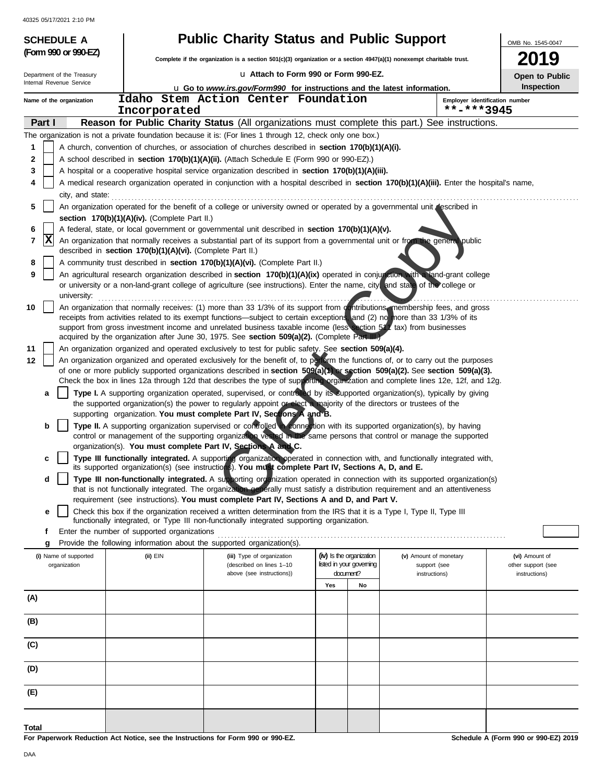| 40325 05/17/2021 2:10 PM              |                                                            |                                                                                                                                                                                                                                                                 |                                                      |    |                                        |                                      |
|---------------------------------------|------------------------------------------------------------|-----------------------------------------------------------------------------------------------------------------------------------------------------------------------------------------------------------------------------------------------------------------|------------------------------------------------------|----|----------------------------------------|--------------------------------------|
| <b>SCHEDULE A</b>                     |                                                            | <b>Public Charity Status and Public Support</b>                                                                                                                                                                                                                 |                                                      |    |                                        | OMB No. 1545-0047                    |
| (Form 990 or 990-EZ)                  |                                                            | Complete if the organization is a section 501(c)(3) organization or a section 4947(a)(1) nonexempt charitable trust.                                                                                                                                            |                                                      |    |                                        | 2019                                 |
| Department of the Treasury            |                                                            | La Attach to Form 990 or Form 990-EZ.                                                                                                                                                                                                                           |                                                      |    |                                        | Open to Public                       |
| Internal Revenue Service              |                                                            | L Go to www.irs.gov/Form990 for instructions and the latest information.                                                                                                                                                                                        |                                                      |    |                                        | Inspection                           |
| Name of the organization              |                                                            | Idaho Stem Action Center Foundation                                                                                                                                                                                                                             |                                                      |    | Employer identification number         |                                      |
| **-***3945<br>Incorporated            |                                                            |                                                                                                                                                                                                                                                                 |                                                      |    |                                        |                                      |
| Part I                                |                                                            | Reason for Public Charity Status (All organizations must complete this part.) See instructions.                                                                                                                                                                 |                                                      |    |                                        |                                      |
|                                       |                                                            | The organization is not a private foundation because it is: (For lines 1 through 12, check only one box.)                                                                                                                                                       |                                                      |    |                                        |                                      |
| 1                                     |                                                            | A church, convention of churches, or association of churches described in section 170(b)(1)(A)(i).                                                                                                                                                              |                                                      |    |                                        |                                      |
| 2<br>3                                |                                                            | A school described in section 170(b)(1)(A)(ii). (Attach Schedule E (Form 990 or 990-EZ).)<br>A hospital or a cooperative hospital service organization described in section 170(b)(1)(A)(iii).                                                                  |                                                      |    |                                        |                                      |
| 4                                     |                                                            | A medical research organization operated in conjunction with a hospital described in section 170(b)(1)(A)(iii). Enter the hospital's name,                                                                                                                      |                                                      |    |                                        |                                      |
| city, and state:                      |                                                            |                                                                                                                                                                                                                                                                 |                                                      |    |                                        |                                      |
| 5                                     |                                                            | An organization operated for the benefit of a college or university owned or operated by a governmental unit described in                                                                                                                                       |                                                      |    |                                        |                                      |
|                                       | section 170(b)(1)(A)(iv). (Complete Part II.)              |                                                                                                                                                                                                                                                                 |                                                      |    |                                        |                                      |
| 6                                     |                                                            | A federal, state, or local government or governmental unit described in section 170(b)(1)(A)(v).                                                                                                                                                                |                                                      |    |                                        |                                      |
| X<br>7                                |                                                            | An organization that normally receives a substantial part of its support from a governmental unit or from the general public                                                                                                                                    |                                                      |    |                                        |                                      |
|                                       | described in section 170(b)(1)(A)(vi). (Complete Part II.) |                                                                                                                                                                                                                                                                 |                                                      |    |                                        |                                      |
| 8                                     |                                                            | A community trust described in section 170(b)(1)(A)(vi). (Complete Part II.)                                                                                                                                                                                    |                                                      |    |                                        |                                      |
| 9                                     |                                                            | An agricultural research organization described in section 170(b)(1)(A)(ix) operated in conjunction with a land-grant college<br>or university or a non-land-grant college of agriculture (see instructions). Enter the name, city, and state of the college or |                                                      |    |                                        |                                      |
| university:                           |                                                            |                                                                                                                                                                                                                                                                 |                                                      |    |                                        |                                      |
| 10                                    |                                                            | An organization that normally receives: (1) more than 33 1/3% of its support from contributions membership fees, and gross                                                                                                                                      |                                                      |    |                                        |                                      |
|                                       |                                                            | receipts from activities related to its exempt functions—subject to certain exceptions, and (2) no more than 33 1/3% of its                                                                                                                                     |                                                      |    |                                        |                                      |
|                                       |                                                            | support from gross investment income and unrelated business taxable income (less section 51 tax) from businesses<br>acquired by the organization after June 30, 1975. See section 509(a)(2). (Complete Part III.)                                               |                                                      |    |                                        |                                      |
| 11                                    |                                                            | An organization organized and operated exclusively to test for public safety. See section 509(a)(4).                                                                                                                                                            |                                                      |    |                                        |                                      |
| 12                                    |                                                            | An organization organized and operated exclusively for the benefit of, to perform the functions of, or to carry out the purposes                                                                                                                                |                                                      |    |                                        |                                      |
|                                       |                                                            | of one or more publicly supported organizations described in section 509(a)(1) or section 509(a)(2). See section 509(a)(3).                                                                                                                                     |                                                      |    |                                        |                                      |
|                                       |                                                            | Check the box in lines 12a through 12d that describes the type of supporting organization and complete lines 12e, 12f, and 12g.                                                                                                                                 |                                                      |    |                                        |                                      |
| a                                     |                                                            | Type I. A supporting organization operated, supervised, or controlled by its supported organization(s), typically by giving                                                                                                                                     |                                                      |    |                                        |                                      |
|                                       |                                                            | the supported organization(s) the power to regularly appoint or elect a majority of the directors or trustees of the                                                                                                                                            |                                                      |    |                                        |                                      |
| b                                     |                                                            | supporting organization. You must complete Part IV, Sections A and B.<br>Type II. A supporting organization supervised or controlled to connection with its supported organization(s), by having                                                                |                                                      |    |                                        |                                      |
|                                       |                                                            | control or management of the supporting organization vested in the same persons that control or manage the supported                                                                                                                                            |                                                      |    |                                        |                                      |
|                                       |                                                            | organization(s). You must complete Part IV, Sections A and C.                                                                                                                                                                                                   |                                                      |    |                                        |                                      |
| c                                     |                                                            | Type III functionally integrated. A supporting organization operated in connection with, and functionally integrated with,                                                                                                                                      |                                                      |    |                                        |                                      |
|                                       |                                                            | its supported organization(s) (see instructions). You must complete Part IV, Sections A, D, and E.                                                                                                                                                              |                                                      |    |                                        |                                      |
| d                                     |                                                            | Type III non-functionally integrated. A supporting organization operated in connection with its supported organization(s)<br>that is not functionally integrated. The organization generally must satisfy a distribution requirement and an attentiveness       |                                                      |    |                                        |                                      |
|                                       |                                                            | requirement (see instructions). You must complete Part IV, Sections A and D, and Part V.                                                                                                                                                                        |                                                      |    |                                        |                                      |
| е                                     |                                                            | Check this box if the organization received a written determination from the IRS that it is a Type I, Type II, Type III                                                                                                                                         |                                                      |    |                                        |                                      |
|                                       |                                                            | functionally integrated, or Type III non-functionally integrated supporting organization.                                                                                                                                                                       |                                                      |    |                                        |                                      |
| f                                     | Enter the number of supported organizations                |                                                                                                                                                                                                                                                                 |                                                      |    |                                        |                                      |
| g                                     |                                                            | Provide the following information about the supported organization(s).                                                                                                                                                                                          |                                                      |    |                                        |                                      |
| (i) Name of supported<br>organization | (ii) EIN                                                   | (iii) Type of organization<br>(described on lines 1-10                                                                                                                                                                                                          | (iv) Is the organization<br>listed in your governing |    | (v) Amount of monetary<br>support (see | (vi) Amount of<br>other support (see |
|                                       |                                                            | above (see instructions))                                                                                                                                                                                                                                       | document?                                            |    | instructions)                          | instructions)                        |
|                                       |                                                            |                                                                                                                                                                                                                                                                 | Yes                                                  | No |                                        |                                      |
| (A)                                   |                                                            |                                                                                                                                                                                                                                                                 |                                                      |    |                                        |                                      |
|                                       |                                                            |                                                                                                                                                                                                                                                                 |                                                      |    |                                        |                                      |
| (B)                                   |                                                            |                                                                                                                                                                                                                                                                 |                                                      |    |                                        |                                      |
|                                       |                                                            |                                                                                                                                                                                                                                                                 |                                                      |    |                                        |                                      |
| (C)                                   |                                                            |                                                                                                                                                                                                                                                                 |                                                      |    |                                        |                                      |
| (D)                                   |                                                            |                                                                                                                                                                                                                                                                 |                                                      |    |                                        |                                      |
|                                       |                                                            |                                                                                                                                                                                                                                                                 |                                                      |    |                                        |                                      |
| (E)                                   |                                                            |                                                                                                                                                                                                                                                                 |                                                      |    |                                        |                                      |
|                                       |                                                            |                                                                                                                                                                                                                                                                 |                                                      |    |                                        |                                      |
|                                       |                                                            |                                                                                                                                                                                                                                                                 |                                                      |    |                                        |                                      |

**For Paperwork Reduction Act Notice, see the Instructions for Form 990 or 990-EZ.** Schedule A (Form 990 or 990-EZ) 2019

**Total**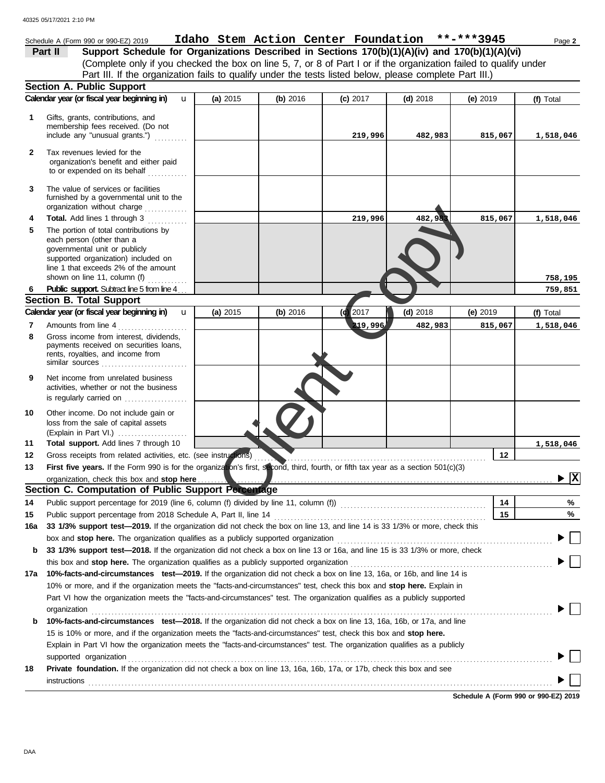|              | Schedule A (Form 990 or 990-EZ) 2019                                                                                                                                                                                           | Idaho Stem Action Center Foundation **-***3945 |          |          |            |            | Page 2                         |
|--------------|--------------------------------------------------------------------------------------------------------------------------------------------------------------------------------------------------------------------------------|------------------------------------------------|----------|----------|------------|------------|--------------------------------|
|              | Support Schedule for Organizations Described in Sections 170(b)(1)(A)(iv) and 170(b)(1)(A)(vi)<br>Part II                                                                                                                      |                                                |          |          |            |            |                                |
|              | (Complete only if you checked the box on line 5, 7, or 8 of Part I or if the organization failed to qualify under                                                                                                              |                                                |          |          |            |            |                                |
|              | Part III. If the organization fails to qualify under the tests listed below, please complete Part III.)                                                                                                                        |                                                |          |          |            |            |                                |
|              | Section A. Public Support                                                                                                                                                                                                      |                                                |          |          |            |            |                                |
|              | Calendar year (or fiscal year beginning in)<br>$\mathbf{u}$                                                                                                                                                                    | (a) 2015                                       | (b) 2016 | (c) 2017 | $(d)$ 2018 | $(e)$ 2019 | (f) Total                      |
| 1            | Gifts, grants, contributions, and<br>membership fees received. (Do not<br>include any "unusual grants.")                                                                                                                       |                                                |          | 219,996  | 482,983    | 815,067    | 1,518,046                      |
|              |                                                                                                                                                                                                                                |                                                |          |          |            |            |                                |
| $\mathbf{2}$ | Tax revenues levied for the<br>organization's benefit and either paid<br>to or expended on its behalf                                                                                                                          |                                                |          |          |            |            |                                |
| 3            | The value of services or facilities<br>furnished by a governmental unit to the<br>organization without charge                                                                                                                  |                                                |          |          |            |            |                                |
| 4            | Total. Add lines 1 through 3                                                                                                                                                                                                   |                                                |          | 219,996  | 482,983    | 815,067    | 1,518,046                      |
| 5            | The portion of total contributions by<br>each person (other than a<br>governmental unit or publicly<br>supported organization) included on<br>line 1 that exceeds 2% of the amount<br>shown on line 11, column (f) $\ldots$    |                                                |          |          |            |            | 758,195                        |
| 6            | <b>Public support.</b> Subtract line 5 from line 4                                                                                                                                                                             |                                                |          |          |            |            | 759,851                        |
|              | <b>Section B. Total Support</b>                                                                                                                                                                                                |                                                |          |          |            |            |                                |
|              | Calendar year (or fiscal year beginning in)<br>$\mathbf{u}$                                                                                                                                                                    | (a) 2015                                       | (b) 2016 | 2017     | $(d)$ 2018 | (e) 2019   | (f) Total                      |
| 7<br>8       | Amounts from line 4<br>Gross income from interest, dividends,<br>payments received on securities loans,<br>rents, royalties, and income from<br>similar sources $\ldots, \ldots, \ldots, \ldots, \ldots, \ldots$               |                                                |          | 219,996  | 482,983    | 815,067    | 1,518,046                      |
| 9            | Net income from unrelated business<br>activities, whether or not the business<br>is regularly carried on                                                                                                                       |                                                |          |          |            |            |                                |
| 10<br>11     | Other income. Do not include gain or<br>loss from the sale of capital assets<br>(Explain in Part VI.) $\ldots$ , $\ldots$ , $\ldots$ , $\ldots$<br>Total support. Add lines 7 through 10                                       |                                                |          |          |            |            |                                |
| 12           | Gross receipts from related activities, etc. (see instructions)                                                                                                                                                                |                                                |          |          |            | 12         | 1,518,046                      |
| 13           | First five years. If the Form 990 is for the organization's first, second, third, fourth, or fifth tax year as a section 501(c)(3)                                                                                             |                                                |          |          |            |            |                                |
|              |                                                                                                                                                                                                                                |                                                |          |          |            |            | $\blacktriangleright$ $\mid$ X |
|              | Section C. Computation of Public Support Percentage                                                                                                                                                                            |                                                |          |          |            |            |                                |
| 14           |                                                                                                                                                                                                                                |                                                |          |          |            | 14         | %                              |
| 15           |                                                                                                                                                                                                                                |                                                |          |          |            | 15         | %                              |
| 16a          | 33 1/3% support test-2019. If the organization did not check the box on line 13, and line 14 is 33 1/3% or more, check this                                                                                                    |                                                |          |          |            |            |                                |
|              | box and stop here. The organization qualifies as a publicly supported organization [11] content content content content content of the content of the content of the content of the content of the content of the content of t |                                                |          |          |            |            |                                |
| b            | 33 1/3% support test—2018. If the organization did not check a box on line 13 or 16a, and line 15 is 33 1/3% or more, check                                                                                                    |                                                |          |          |            |            |                                |
|              |                                                                                                                                                                                                                                |                                                |          |          |            |            |                                |
| 17а          | 10%-facts-and-circumstances test-2019. If the organization did not check a box on line 13, 16a, or 16b, and line 14 is                                                                                                         |                                                |          |          |            |            |                                |
|              | 10% or more, and if the organization meets the "facts-and-circumstances" test, check this box and stop here. Explain in                                                                                                        |                                                |          |          |            |            |                                |
|              | Part VI how the organization meets the "facts-and-circumstances" test. The organization qualifies as a publicly supported                                                                                                      |                                                |          |          |            |            |                                |
|              | organization                                                                                                                                                                                                                   |                                                |          |          |            |            |                                |
| b            | 10%-facts-and-circumstances test-2018. If the organization did not check a box on line 13, 16a, 16b, or 17a, and line                                                                                                          |                                                |          |          |            |            |                                |
|              | 15 is 10% or more, and if the organization meets the "facts-and-circumstances" test, check this box and stop here.                                                                                                             |                                                |          |          |            |            |                                |
|              | Explain in Part VI how the organization meets the "facts-and-circumstances" test. The organization qualifies as a publicly                                                                                                     |                                                |          |          |            |            |                                |
|              | supported organization                                                                                                                                                                                                         |                                                |          |          |            |            |                                |
| 18           | Private foundation. If the organization did not check a box on line 13, 16a, 16b, 17a, or 17b, check this box and see                                                                                                          |                                                |          |          |            |            |                                |
|              |                                                                                                                                                                                                                                |                                                |          |          |            |            |                                |

**Schedule A (Form 990 or 990-EZ) 2019**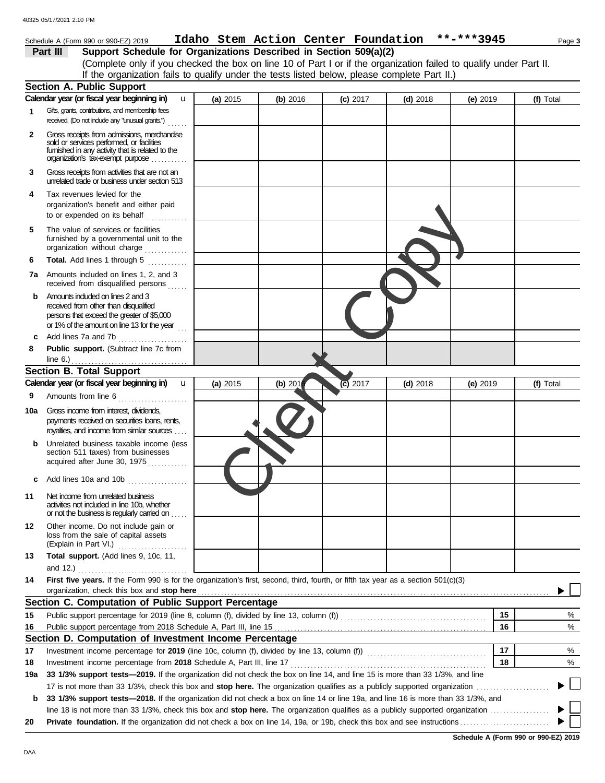|              | Schedule A (Form 990 or 990-EZ) 2019                                                                                                                                                                                                                                                        |          |           |            | Idaho Stem Action Center Foundation **-***3945 |            |    | Page 3    |
|--------------|---------------------------------------------------------------------------------------------------------------------------------------------------------------------------------------------------------------------------------------------------------------------------------------------|----------|-----------|------------|------------------------------------------------|------------|----|-----------|
|              | Support Schedule for Organizations Described in Section 509(a)(2)<br>Part III                                                                                                                                                                                                               |          |           |            |                                                |            |    |           |
|              | (Complete only if you checked the box on line 10 of Part I or if the organization failed to qualify under Part II.                                                                                                                                                                          |          |           |            |                                                |            |    |           |
|              | If the organization fails to qualify under the tests listed below, please complete Part II.)                                                                                                                                                                                                |          |           |            |                                                |            |    |           |
|              | <b>Section A. Public Support</b>                                                                                                                                                                                                                                                            |          |           |            |                                                |            |    |           |
|              | Calendar year (or fiscal year beginning in)<br>u                                                                                                                                                                                                                                            | (a) 2015 | (b) 2016  | $(c)$ 2017 | $(d)$ 2018                                     | (e) 2019   |    | (f) Total |
| 1            | Gifts, grants, contributions, and membership fees<br>received. (Do not include any "unusual grants.")                                                                                                                                                                                       |          |           |            |                                                |            |    |           |
| $\mathbf{2}$ | Gross receipts from admissions, merchandise<br>sold or services performed, or facilities<br>fumished in any activity that is related to the<br>organization's tax-exempt purpose                                                                                                            |          |           |            |                                                |            |    |           |
| 3            | Gross receipts from activities that are not an<br>unrelated trade or business under section 513                                                                                                                                                                                             |          |           |            |                                                |            |    |           |
| 4            | Tax revenues levied for the<br>organization's benefit and either paid<br>to or expended on its behalf                                                                                                                                                                                       |          |           |            |                                                |            |    |           |
| 5            | The value of services or facilities<br>furnished by a governmental unit to the<br>organization without charge                                                                                                                                                                               |          |           |            |                                                |            |    |           |
| 6            | Total. Add lines 1 through 5                                                                                                                                                                                                                                                                |          |           |            |                                                |            |    |           |
|              | 7a Amounts included on lines 1, 2, and 3<br>received from disqualified persons                                                                                                                                                                                                              |          |           |            |                                                |            |    |           |
| b            | Amounts included on lines 2 and 3<br>received from other than disqualified<br>persons that exceed the greater of \$5,000<br>or 1% of the amount on line 13 for the year                                                                                                                     |          |           |            |                                                |            |    |           |
| c            | Add lines 7a and 7b                                                                                                                                                                                                                                                                         |          |           |            |                                                |            |    |           |
| 8            | Public support. (Subtract line 7c from<br>line $6.$ )                                                                                                                                                                                                                                       |          |           |            |                                                |            |    |           |
|              | <b>Section B. Total Support</b>                                                                                                                                                                                                                                                             |          |           |            |                                                |            |    |           |
|              | Calendar year (or fiscal year beginning in)<br>$\mathbf{u}$                                                                                                                                                                                                                                 | (a) 2015 | (b) $201$ | $(c)$ 2017 | $(d)$ 2018                                     | (e) $2019$ |    | (f) Total |
| 9            | Amounts from line 6                                                                                                                                                                                                                                                                         |          |           |            |                                                |            |    |           |
| 10a          | Gross income from interest, dividends,<br>payments received on securities loans, rents,<br>royalties, and income from similar sources                                                                                                                                                       |          |           |            |                                                |            |    |           |
| b            | Unrelated business taxable income (less<br>section 511 taxes) from businesses<br>acquired after June 30, 1975<br>.                                                                                                                                                                          |          |           |            |                                                |            |    |           |
| c            | Add lines 10a and 10b                                                                                                                                                                                                                                                                       |          |           |            |                                                |            |    |           |
| 11           | Net income from unrelated business<br>activities not included in line 10b, whether<br>or not the business is regularly carried on                                                                                                                                                           |          |           |            |                                                |            |    |           |
| 12           | Other income. Do not include gain or<br>loss from the sale of capital assets<br>(Explain in Part VI.)                                                                                                                                                                                       |          |           |            |                                                |            |    |           |
| 13           | Total support. (Add lines 9, 10c, 11,<br>and 12.) $\ldots$                                                                                                                                                                                                                                  |          |           |            |                                                |            |    |           |
| 14           | First five years. If the Form 990 is for the organization's first, second, third, fourth, or fifth tax year as a section 501(c)(3)                                                                                                                                                          |          |           |            |                                                |            |    |           |
|              | organization, check this box and stop here <i>manufacture in the content of the set of the set of the set of the set of the set of the set of the set of the set of the set of the set of the set of the set of the set of the s</i><br>Section C. Computation of Public Support Percentage |          |           |            |                                                |            |    |           |
| 15           |                                                                                                                                                                                                                                                                                             |          |           |            |                                                |            | 15 | %         |
| 16           | Public support percentage for 2019 (line 8, column (f), divided by line 13, column (f)) [[[[[[[[[[[[[[[[[[[[[                                                                                                                                                                               |          |           |            |                                                |            | 16 | %         |
|              | Section D. Computation of Investment Income Percentage                                                                                                                                                                                                                                      |          |           |            |                                                |            |    |           |
| 17           |                                                                                                                                                                                                                                                                                             |          |           |            |                                                |            | 17 | %         |
| 18           |                                                                                                                                                                                                                                                                                             |          |           |            |                                                |            | 18 | %         |
| 19a          | 33 1/3% support tests-2019. If the organization did not check the box on line 14, and line 15 is more than 33 1/3%, and line                                                                                                                                                                |          |           |            |                                                |            |    |           |
|              |                                                                                                                                                                                                                                                                                             |          |           |            |                                                |            |    |           |
| b            | 33 1/3% support tests-2018. If the organization did not check a box on line 14 or line 19a, and line 16 is more than 33 1/3%, and                                                                                                                                                           |          |           |            |                                                |            |    |           |
|              |                                                                                                                                                                                                                                                                                             |          |           |            |                                                |            |    |           |
| 20           |                                                                                                                                                                                                                                                                                             |          |           |            |                                                |            |    |           |

| Schedule A (Form 990 or 990-EZ) 2019 |  |  |
|--------------------------------------|--|--|
|                                      |  |  |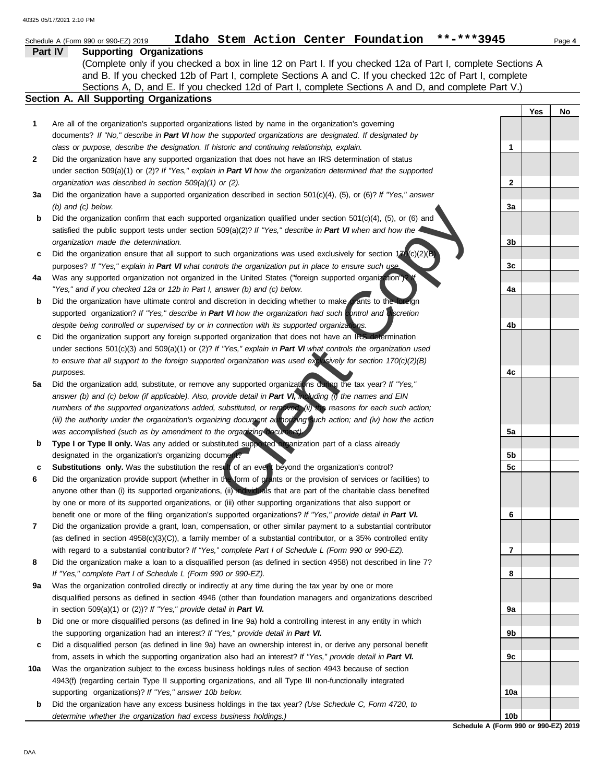|     | Idaho Stem Action Center Foundation **-***3945<br>Schedule A (Form 990 or 990-EZ) 2019                                                                                                                                                                                                                                        |                 |     | Page 4 |
|-----|-------------------------------------------------------------------------------------------------------------------------------------------------------------------------------------------------------------------------------------------------------------------------------------------------------------------------------|-----------------|-----|--------|
|     | Part IV<br><b>Supporting Organizations</b>                                                                                                                                                                                                                                                                                    |                 |     |        |
|     | (Complete only if you checked a box in line 12 on Part I. If you checked 12a of Part I, complete Sections A<br>and B. If you checked 12b of Part I, complete Sections A and C. If you checked 12c of Part I, complete<br>Sections A, D, and E. If you checked 12d of Part I, complete Sections A and D, and complete Part V.) |                 |     |        |
|     | Section A. All Supporting Organizations                                                                                                                                                                                                                                                                                       |                 |     |        |
|     |                                                                                                                                                                                                                                                                                                                               |                 | Yes | No     |
| 1   | Are all of the organization's supported organizations listed by name in the organization's governing                                                                                                                                                                                                                          |                 |     |        |
|     | documents? If "No," describe in Part VI how the supported organizations are designated. If designated by                                                                                                                                                                                                                      |                 |     |        |
|     | class or purpose, describe the designation. If historic and continuing relationship, explain.                                                                                                                                                                                                                                 | 1               |     |        |
| 2   | Did the organization have any supported organization that does not have an IRS determination of status                                                                                                                                                                                                                        |                 |     |        |
|     | under section 509(a)(1) or (2)? If "Yes," explain in Part VI how the organization determined that the supported                                                                                                                                                                                                               |                 |     |        |
|     | organization was described in section 509(a)(1) or (2).                                                                                                                                                                                                                                                                       | 2               |     |        |
| За  | Did the organization have a supported organization described in section $501(c)(4)$ , (5), or (6)? If "Yes," answer                                                                                                                                                                                                           |                 |     |        |
|     | $(b)$ and $(c)$ below.                                                                                                                                                                                                                                                                                                        | За              |     |        |
| b   | Did the organization confirm that each supported organization qualified under section 501(c)(4), (5), or (6) and                                                                                                                                                                                                              |                 |     |        |
|     | satisfied the public support tests under section $509(a)(2)?$ If "Yes," describe in Part VI when and how the                                                                                                                                                                                                                  |                 |     |        |
|     | organization made the determination.                                                                                                                                                                                                                                                                                          | 3b              |     |        |
| c   | Did the organization ensure that all support to such organizations was used exclusively for section $17\sqrt{c}(2)(B)$                                                                                                                                                                                                        |                 |     |        |
|     | purposes? If "Yes," explain in Part VI what controls the organization put in place to ensure such use.                                                                                                                                                                                                                        | 3c              |     |        |
| 4a  | Was any supported organization not organized in the United States ("foreign supported organization"). Y<br>"Yes," and if you checked 12a or 12b in Part I, answer (b) and (c) below.                                                                                                                                          | 4a              |     |        |
| b   | Did the organization have ultimate control and discretion in deciding whether to make grants to the loreign                                                                                                                                                                                                                   |                 |     |        |
|     | supported organization? If "Yes," describe in Part VI how the organization had such control and discretion                                                                                                                                                                                                                    |                 |     |        |
|     | despite being controlled or supervised by or in connection with its supported organizations.                                                                                                                                                                                                                                  | 4b              |     |        |
| c   | Did the organization support any foreign supported organization that does not have an IRS determination                                                                                                                                                                                                                       |                 |     |        |
|     | under sections $501(c)(3)$ and $509(a)(1)$ or (2)? If "Yes," explain in Part VI what controls the organization used                                                                                                                                                                                                           |                 |     |        |
|     | to ensure that all support to the foreign supported organization was used exclusively for section $170(c)(2)(B)$                                                                                                                                                                                                              |                 |     |        |
|     | purposes.                                                                                                                                                                                                                                                                                                                     | 4c              |     |        |
| 5a  | Did the organization add, substitute, or remove any supported organizations during the tax year? If "Yes,"                                                                                                                                                                                                                    |                 |     |        |
|     | answer (b) and (c) below (if applicable). Also, provide detail in Part VI, including (i) the names and EIN                                                                                                                                                                                                                    |                 |     |        |
|     | numbers of the supported organizations added, substituted, or removed, (ii) the reasons for each such action;                                                                                                                                                                                                                 |                 |     |        |
|     | (iii) the authority under the organization's organizing document authorizing such action; and (iv) how the action                                                                                                                                                                                                             |                 |     |        |
|     | was accomplished (such as by amendment to the organizing document).                                                                                                                                                                                                                                                           | 5a              |     |        |
| b   | Type I or Type II only. Was any added or substituted supported arganization part of a class already                                                                                                                                                                                                                           |                 |     |        |
|     | designated in the organization's organizing document?                                                                                                                                                                                                                                                                         | 5b              |     |        |
| c   | Substitutions only. Was the substitution the result of an event beyond the organization's control?                                                                                                                                                                                                                            | 5c              |     |        |
| 6   | Did the organization provide support (whether in the form of grants or the provision of services or facilities) to                                                                                                                                                                                                            |                 |     |        |
|     | anyone other than (i) its supported organizations, (ii) individuals that are part of the charitable class benefited<br>by one or more of its supported organizations, or (iii) other supporting organizations that also support or                                                                                            |                 |     |        |
|     | benefit one or more of the filing organization's supported organizations? If "Yes," provide detail in Part VI.                                                                                                                                                                                                                | 6               |     |        |
| 7   | Did the organization provide a grant, loan, compensation, or other similar payment to a substantial contributor                                                                                                                                                                                                               |                 |     |        |
|     | (as defined in section $4958(c)(3)(C)$ ), a family member of a substantial contributor, or a 35% controlled entity                                                                                                                                                                                                            |                 |     |        |
|     | with regard to a substantial contributor? If "Yes," complete Part I of Schedule L (Form 990 or 990-EZ).                                                                                                                                                                                                                       | 7               |     |        |
| 8   | Did the organization make a loan to a disqualified person (as defined in section 4958) not described in line 7?                                                                                                                                                                                                               |                 |     |        |
|     | If "Yes," complete Part I of Schedule L (Form 990 or 990-EZ).                                                                                                                                                                                                                                                                 | 8               |     |        |
| 9а  | Was the organization controlled directly or indirectly at any time during the tax year by one or more                                                                                                                                                                                                                         |                 |     |        |
|     | disqualified persons as defined in section 4946 (other than foundation managers and organizations described                                                                                                                                                                                                                   |                 |     |        |
|     | in section $509(a)(1)$ or $(2)$ ? If "Yes," provide detail in Part VI.                                                                                                                                                                                                                                                        | 9а              |     |        |
| b   | Did one or more disqualified persons (as defined in line 9a) hold a controlling interest in any entity in which                                                                                                                                                                                                               |                 |     |        |
|     | the supporting organization had an interest? If "Yes," provide detail in Part VI.                                                                                                                                                                                                                                             | 9b              |     |        |
| c   | Did a disqualified person (as defined in line 9a) have an ownership interest in, or derive any personal benefit                                                                                                                                                                                                               |                 |     |        |
|     | from, assets in which the supporting organization also had an interest? If "Yes," provide detail in Part VI.                                                                                                                                                                                                                  | 9с              |     |        |
| 10a | Was the organization subject to the excess business holdings rules of section 4943 because of section                                                                                                                                                                                                                         |                 |     |        |
|     | 4943(f) (regarding certain Type II supporting organizations, and all Type III non-functionally integrated<br>supporting organizations)? If "Yes," answer 10b below.                                                                                                                                                           | 10a             |     |        |
| b   | Did the organization have any excess business holdings in the tax year? (Use Schedule C, Form 4720, to                                                                                                                                                                                                                        |                 |     |        |
|     | determine whether the organization had excess business holdings.)                                                                                                                                                                                                                                                             | 10 <sub>b</sub> |     |        |

**Schedule A (Form 990 or 990-EZ) 2019**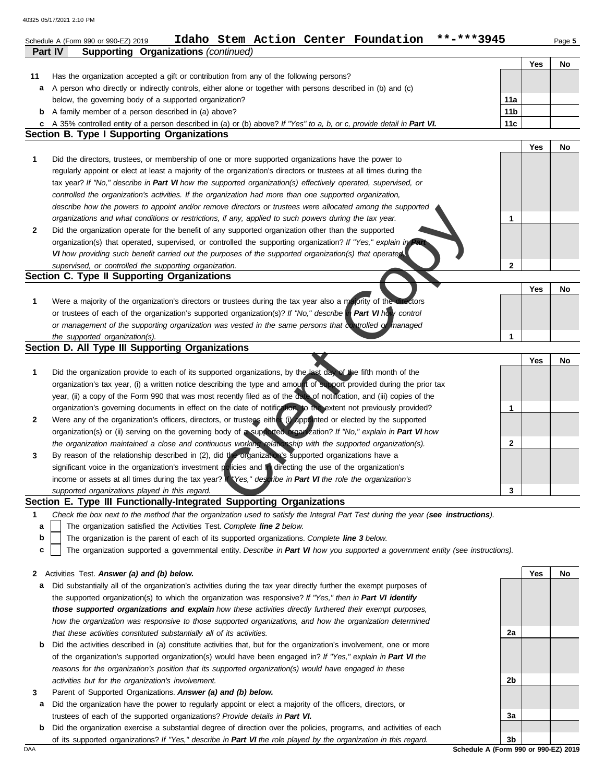|              | Idaho Stem Action Center Foundation<br>Schedule A (Form 990 or 990-EZ) 2019<br><b>Supporting Organizations (continued)</b><br><b>Part IV</b> |                 |     | Page 5 |
|--------------|----------------------------------------------------------------------------------------------------------------------------------------------|-----------------|-----|--------|
|              |                                                                                                                                              |                 | Yes | No     |
| 11           | Has the organization accepted a gift or contribution from any of the following persons?                                                      |                 |     |        |
| a            | A person who directly or indirectly controls, either alone or together with persons described in (b) and (c)                                 |                 |     |        |
|              | below, the governing body of a supported organization?                                                                                       | 11a             |     |        |
|              | <b>b</b> A family member of a person described in (a) above?                                                                                 | 11 <sub>b</sub> |     |        |
| c            | A 35% controlled entity of a person described in (a) or (b) above? If "Yes" to a, b, or c, provide detail in Part VI.                        | 11c             |     |        |
|              | <b>Section B. Type I Supporting Organizations</b>                                                                                            |                 |     |        |
|              |                                                                                                                                              |                 | Yes | No     |
| 1            | Did the directors, trustees, or membership of one or more supported organizations have the power to                                          |                 |     |        |
|              | regularly appoint or elect at least a majority of the organization's directors or trustees at all times during the                           |                 |     |        |
|              | tax year? If "No," describe in Part VI how the supported organization(s) effectively operated, supervised, or                                |                 |     |        |
|              | controlled the organization's activities. If the organization had more than one supported organization,                                      |                 |     |        |
|              | describe how the powers to appoint and/or remove directors or trustees were allocated among the supported                                    |                 |     |        |
|              | organizations and what conditions or restrictions, if any, applied to such powers during the tax year.                                       | 1               |     |        |
| $\mathbf{2}$ | Did the organization operate for the benefit of any supported organization other than the supported                                          |                 |     |        |
|              | organization(s) that operated, supervised, or controlled the supporting organization? If "Yes," explain in Part                              |                 |     |        |
|              | VI how providing such benefit carried out the purposes of the supported organization(s) that operated                                        |                 |     |        |
|              | supervised, or controlled the supporting organization.                                                                                       | 2               |     |        |
|              | Section C. Type II Supporting Organizations                                                                                                  |                 |     |        |
|              |                                                                                                                                              |                 | Yes | No     |
| $\mathbf{1}$ | Were a majority of the organization's directors or trustees during the tax year also a majority of the directors                             |                 |     |        |
|              | or trustees of each of the organization's supported organization(s)? If "No," describe in Part VI how control                                |                 |     |        |
|              | or management of the supporting organization was vested in the same persons that controlled of managed                                       |                 |     |        |
|              | the supported organization(s).                                                                                                               | 1               |     |        |
|              | Section D. All Type III Supporting Organizations                                                                                             |                 |     |        |
|              |                                                                                                                                              |                 | Yes | No     |
| $\mathbf{1}$ | Did the organization provide to each of its supported organizations, by the last day of the fifth month of the                               |                 |     |        |
|              | organization's tax year, (i) a written notice describing the type and amount of support provided during the prior tax                        |                 |     |        |
|              | year, (ii) a copy of the Form 990 that was most recently filed as of the date of notification, and (iii) copies of the                       |                 |     |        |
|              | organization's governing documents in effect on the date of notification, to the extent not previously provided?                             | 1               |     |        |
| $\mathbf{2}$ | Were any of the organization's officers, directors, or trustees either (i) appointed or elected by the supported                             |                 |     |        |
|              | organization(s) or (ii) serving on the governing body of a supported organization? If "No," explain in Part VI how                           |                 |     |        |
|              | the organization maintained a close and continuous working relationship with the supported organization(s).                                  | 2               |     |        |
|              | By reason of the relationship described in (2), did the organization's supported organizations have a                                        |                 |     |        |
| 3            | significant voice in the organization's investment policies and in directing the use of the organization's                                   |                 |     |        |
|              | income or assets at all times during the tax year? Yes," describe in Part VI the role the organization's                                     |                 |     |        |
|              |                                                                                                                                              | 3               |     |        |
|              | supported organizations played in this regard.<br>Section E. Type III Functionally-Integrated Supporting Organizations                       |                 |     |        |
|              |                                                                                                                                              |                 |     |        |
| $\mathbf 1$  | Check the box next to the method that the organization used to satisfy the Integral Part Test during the year (see instructions).            |                 |     |        |
| a            | The organization satisfied the Activities Test. Complete line 2 below.                                                                       |                 |     |        |
| b            | The organization is the parent of each of its supported organizations. Complete line 3 below.                                                |                 |     |        |
| c            | The organization supported a governmental entity. Describe in Part VI how you supported a government entity (see instructions).              |                 |     |        |
|              |                                                                                                                                              |                 |     |        |
| 2            | Activities Test. Answer (a) and (b) below.                                                                                                   |                 | Yes | No     |
| а            | Did substantially all of the organization's activities during the tax year directly further the exempt purposes of                           |                 |     |        |
|              | the supported organization(s) to which the organization was responsive? If "Yes," then in Part VI identify                                   |                 |     |        |
|              | those supported organizations and explain how these activities directly furthered their exempt purposes,                                     |                 |     |        |

*that these activities constituted substantially all of its activities.*  **b** Did the activities described in (a) constitute activities that, but for the organization's involvement, one or more of the organization's supported organization(s) would have been engaged in? *If "Yes," explain in Part VI the reasons for the organization's position that its supported organization(s) would have engaged in these activities but for the organization's involvement.* 

how the organization was responsive to those supported organizations, and how the organization determined

- **3** Parent of Supported Organizations. *Answer (a) and (b) below.*
- **a** Did the organization have the power to regularly appoint or elect a majority of the officers, directors, or trustees of each of the supported organizations? *Provide details in Part VI.*
- **b** Did the organization exercise a substantial degree of direction over the policies, programs, and activities of each of its supported organizations? *If "Yes," describe in Part VI the role played by the organization in this regard.*

**3b**  DAA **Schedule A (Form 990 or 990-EZ) 2019** 

**2a** 

**2b** 

**3a**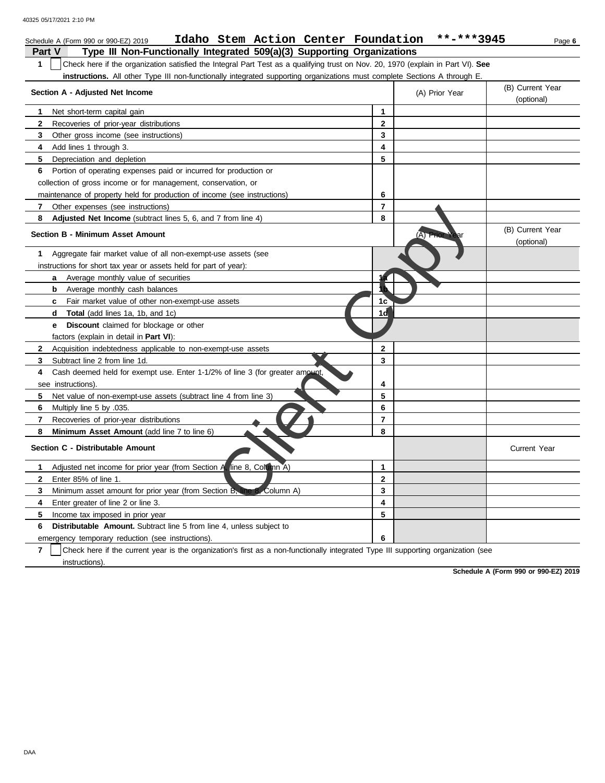40325 05/17/2021 2:10 PM

| Idaho Stem Action Center Foundation<br>Schedule A (Form 990 or 990-EZ) 2019                                                           |                | **-***3945     | Page 6                         |
|---------------------------------------------------------------------------------------------------------------------------------------|----------------|----------------|--------------------------------|
| <b>Part V</b><br>Type III Non-Functionally Integrated 509(a)(3) Supporting Organizations                                              |                |                |                                |
| 1<br>Check here if the organization satisfied the Integral Part Test as a qualifying trust on Nov. 20, 1970 (explain in Part VI). See |                |                |                                |
| instructions. All other Type III non-functionally integrated supporting organizations must complete Sections A through E.             |                |                |                                |
| Section A - Adjusted Net Income                                                                                                       |                | (A) Prior Year | (B) Current Year<br>(optional) |
| Net short-term capital gain<br>1                                                                                                      | $\mathbf{1}$   |                |                                |
| $\mathbf{2}$<br>Recoveries of prior-year distributions                                                                                | $\mathbf{2}$   |                |                                |
| 3<br>Other gross income (see instructions)                                                                                            | 3              |                |                                |
| 4<br>Add lines 1 through 3.                                                                                                           | 4              |                |                                |
| 5<br>Depreciation and depletion                                                                                                       | 5              |                |                                |
| 6<br>Portion of operating expenses paid or incurred for production or                                                                 |                |                |                                |
| collection of gross income or for management, conservation, or                                                                        |                |                |                                |
| maintenance of property held for production of income (see instructions)                                                              | 6              |                |                                |
| 7<br>Other expenses (see instructions)                                                                                                | $\overline{7}$ |                |                                |
| 8<br><b>Adjusted Net Income</b> (subtract lines 5, 6, and 7 from line 4)                                                              | 8              |                |                                |
| <b>Section B - Minimum Asset Amount</b>                                                                                               |                | (A) Prior Year | (B) Current Year<br>(optional) |
| Aggregate fair market value of all non-exempt-use assets (see<br>1                                                                    |                |                |                                |
| instructions for short tax year or assets held for part of year):                                                                     |                |                |                                |
| Average monthly value of securities<br>a                                                                                              |                |                |                                |
| Average monthly cash balances<br>b                                                                                                    |                |                |                                |
| <b>c</b> Fair market value of other non-exempt-use assets                                                                             | 1c             |                |                                |
| <b>Total</b> (add lines 1a, 1b, and 1c)<br>d                                                                                          | 1đ             |                |                                |
| <b>Discount</b> claimed for blockage or other<br>е                                                                                    |                |                |                                |
| factors (explain in detail in <b>Part VI)</b> :                                                                                       |                |                |                                |
| $\mathbf{2}$<br>Acquisition indebtedness applicable to non-exempt-use assets                                                          | $\mathbf{2}$   |                |                                |
| 3<br>Subtract line 2 from line 1d                                                                                                     | 3              |                |                                |
| Cash deemed held for exempt use. Enter 1-1/2% of line 3 (for greater amount,<br>4                                                     |                |                |                                |
| see instructions).                                                                                                                    | 4              |                |                                |
| 5<br>Net value of non-exempt-use assets (subtract line 4 from line 3)                                                                 | 5              |                |                                |
| 6<br>Multiply line 5 by .035.                                                                                                         | 6              |                |                                |
| 7<br>Recoveries of prior-year distributions                                                                                           | 7              |                |                                |
| 8<br><b>Minimum Asset Amount</b> (add line 7 to line 6)                                                                               | 8              |                |                                |
| Section C - Distributable Amount                                                                                                      |                |                | <b>Current Year</b>            |
| line 8, Column A)<br>Adjusted net income for prior year (from Section<br>1                                                            | $\mathbf{1}$   |                |                                |
| $\mathbf{2}$<br>Enter 85% of line 1.                                                                                                  | $\overline{2}$ |                |                                |
| Minimum asset amount for prior year (from Section B, line 8, Column A)<br>3                                                           | 3              |                |                                |
| Enter greater of line 2 or line 3.<br>4                                                                                               | 4              |                |                                |
| 5<br>Income tax imposed in prior year                                                                                                 | 5              |                |                                |
| 6<br><b>Distributable Amount.</b> Subtract line 5 from line 4, unless subject to                                                      |                |                |                                |
| emergency temporary reduction (see instructions)                                                                                      | 6              |                |                                |

**7** Check here if the current year is the organization's first as a non-functionally integrated Type III supporting organization (see instructions).

**Schedule A (Form 990 or 990-EZ) 2019** 

DAA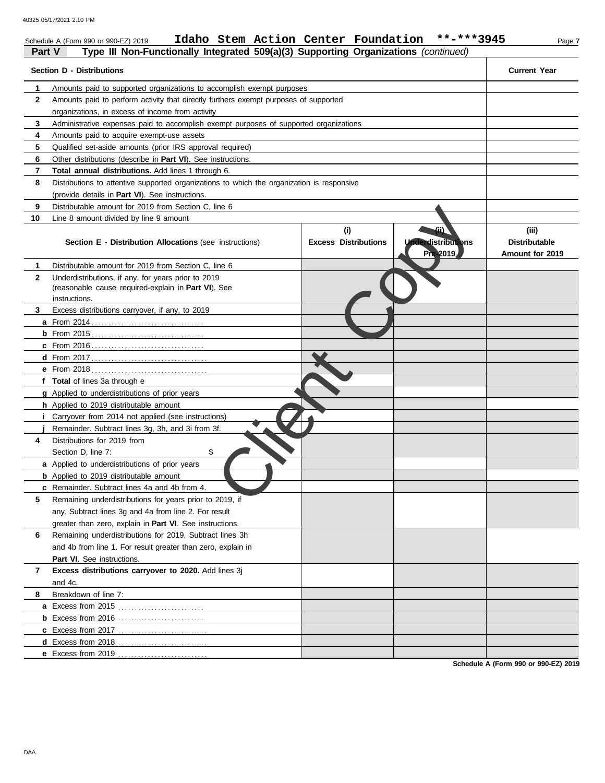| organizations, in excess of income from activity<br>3<br>Administrative expenses paid to accomplish exempt purposes of supported organizations<br>4<br>Amounts paid to acquire exempt-use assets<br>5<br>Qualified set-aside amounts (prior IRS approval required)<br>6<br>Other distributions (describe in Part VI). See instructions.<br>7<br><b>Total annual distributions.</b> Add lines 1 through 6.<br>8<br>Distributions to attentive supported organizations to which the organization is responsive<br>(provide details in Part VI). See instructions.<br>9<br>Distributable amount for 2019 from Section C, line 6<br>10<br>Line 8 amount divided by line 9 amount<br>(ii)<br>(i)<br>(iii)<br><b>Underdistributions</b><br><b>Distributable</b><br><b>Excess Distributions</b><br><b>Section E - Distribution Allocations (see instructions)</b><br>Pre 2019<br>Amount for 2019<br>Distributable amount for 2019 from Section C, line 6<br>1<br>$\mathbf{2}$<br>Underdistributions, if any, for years prior to 2019<br>(reasonable cause required-explain in Part VI). See<br>instructions.<br>3<br>Excess distributions carryover, if any, to 2019<br>f Total of lines 3a through e<br><b>g</b> Applied to underdistributions of prior years<br>h Applied to 2019 distributable amount<br><i>i</i> Carryover from 2014 not applied (see instructions)<br>Remainder. Subtract lines 3g, 3h, and 3i from 3f.<br>Distributions for 2019 from<br>4<br>Section D, line 7:<br>\$<br>a Applied to underdistributions of prior years<br><b>b</b> Applied to 2019 distributable amount<br>c Remainder. Subtract lines 4a and 4b from 4.<br>5<br>Remaining underdistributions for years prior to 2019, if<br>any. Subtract lines 3g and 4a from line 2. For result<br>greater than zero, explain in Part VI. See instructions.<br>Remaining underdistributions for 2019. Subtract lines 3h<br>and 4b from line 1. For result greater than zero, explain in<br><b>Part VI.</b> See instructions.<br>Excess distributions carryover to 2020. Add lines 3j<br>$\overline{7}$<br>and 4c.<br>Breakdown of line 7:<br>8<br>a Excess from 2015<br><b>b</b> Excess from 2016<br><b>d</b> Excess from 2018 | 2 | Amounts paid to perform activity that directly furthers exempt purposes of supported |  |  |
|----------------------------------------------------------------------------------------------------------------------------------------------------------------------------------------------------------------------------------------------------------------------------------------------------------------------------------------------------------------------------------------------------------------------------------------------------------------------------------------------------------------------------------------------------------------------------------------------------------------------------------------------------------------------------------------------------------------------------------------------------------------------------------------------------------------------------------------------------------------------------------------------------------------------------------------------------------------------------------------------------------------------------------------------------------------------------------------------------------------------------------------------------------------------------------------------------------------------------------------------------------------------------------------------------------------------------------------------------------------------------------------------------------------------------------------------------------------------------------------------------------------------------------------------------------------------------------------------------------------------------------------------------------------------------------------------------------------------------------------------------------------------------------------------------------------------------------------------------------------------------------------------------------------------------------------------------------------------------------------------------------------------------------------------------------------------------------------------------------------------------------------------------------------------------------------------------|---|--------------------------------------------------------------------------------------|--|--|
|                                                                                                                                                                                                                                                                                                                                                                                                                                                                                                                                                                                                                                                                                                                                                                                                                                                                                                                                                                                                                                                                                                                                                                                                                                                                                                                                                                                                                                                                                                                                                                                                                                                                                                                                                                                                                                                                                                                                                                                                                                                                                                                                                                                                    |   |                                                                                      |  |  |
|                                                                                                                                                                                                                                                                                                                                                                                                                                                                                                                                                                                                                                                                                                                                                                                                                                                                                                                                                                                                                                                                                                                                                                                                                                                                                                                                                                                                                                                                                                                                                                                                                                                                                                                                                                                                                                                                                                                                                                                                                                                                                                                                                                                                    |   |                                                                                      |  |  |
|                                                                                                                                                                                                                                                                                                                                                                                                                                                                                                                                                                                                                                                                                                                                                                                                                                                                                                                                                                                                                                                                                                                                                                                                                                                                                                                                                                                                                                                                                                                                                                                                                                                                                                                                                                                                                                                                                                                                                                                                                                                                                                                                                                                                    |   |                                                                                      |  |  |
|                                                                                                                                                                                                                                                                                                                                                                                                                                                                                                                                                                                                                                                                                                                                                                                                                                                                                                                                                                                                                                                                                                                                                                                                                                                                                                                                                                                                                                                                                                                                                                                                                                                                                                                                                                                                                                                                                                                                                                                                                                                                                                                                                                                                    |   |                                                                                      |  |  |
|                                                                                                                                                                                                                                                                                                                                                                                                                                                                                                                                                                                                                                                                                                                                                                                                                                                                                                                                                                                                                                                                                                                                                                                                                                                                                                                                                                                                                                                                                                                                                                                                                                                                                                                                                                                                                                                                                                                                                                                                                                                                                                                                                                                                    |   |                                                                                      |  |  |
|                                                                                                                                                                                                                                                                                                                                                                                                                                                                                                                                                                                                                                                                                                                                                                                                                                                                                                                                                                                                                                                                                                                                                                                                                                                                                                                                                                                                                                                                                                                                                                                                                                                                                                                                                                                                                                                                                                                                                                                                                                                                                                                                                                                                    |   |                                                                                      |  |  |
|                                                                                                                                                                                                                                                                                                                                                                                                                                                                                                                                                                                                                                                                                                                                                                                                                                                                                                                                                                                                                                                                                                                                                                                                                                                                                                                                                                                                                                                                                                                                                                                                                                                                                                                                                                                                                                                                                                                                                                                                                                                                                                                                                                                                    |   |                                                                                      |  |  |
|                                                                                                                                                                                                                                                                                                                                                                                                                                                                                                                                                                                                                                                                                                                                                                                                                                                                                                                                                                                                                                                                                                                                                                                                                                                                                                                                                                                                                                                                                                                                                                                                                                                                                                                                                                                                                                                                                                                                                                                                                                                                                                                                                                                                    |   |                                                                                      |  |  |
|                                                                                                                                                                                                                                                                                                                                                                                                                                                                                                                                                                                                                                                                                                                                                                                                                                                                                                                                                                                                                                                                                                                                                                                                                                                                                                                                                                                                                                                                                                                                                                                                                                                                                                                                                                                                                                                                                                                                                                                                                                                                                                                                                                                                    |   |                                                                                      |  |  |
|                                                                                                                                                                                                                                                                                                                                                                                                                                                                                                                                                                                                                                                                                                                                                                                                                                                                                                                                                                                                                                                                                                                                                                                                                                                                                                                                                                                                                                                                                                                                                                                                                                                                                                                                                                                                                                                                                                                                                                                                                                                                                                                                                                                                    |   |                                                                                      |  |  |
|                                                                                                                                                                                                                                                                                                                                                                                                                                                                                                                                                                                                                                                                                                                                                                                                                                                                                                                                                                                                                                                                                                                                                                                                                                                                                                                                                                                                                                                                                                                                                                                                                                                                                                                                                                                                                                                                                                                                                                                                                                                                                                                                                                                                    |   |                                                                                      |  |  |
|                                                                                                                                                                                                                                                                                                                                                                                                                                                                                                                                                                                                                                                                                                                                                                                                                                                                                                                                                                                                                                                                                                                                                                                                                                                                                                                                                                                                                                                                                                                                                                                                                                                                                                                                                                                                                                                                                                                                                                                                                                                                                                                                                                                                    |   |                                                                                      |  |  |
|                                                                                                                                                                                                                                                                                                                                                                                                                                                                                                                                                                                                                                                                                                                                                                                                                                                                                                                                                                                                                                                                                                                                                                                                                                                                                                                                                                                                                                                                                                                                                                                                                                                                                                                                                                                                                                                                                                                                                                                                                                                                                                                                                                                                    |   |                                                                                      |  |  |
|                                                                                                                                                                                                                                                                                                                                                                                                                                                                                                                                                                                                                                                                                                                                                                                                                                                                                                                                                                                                                                                                                                                                                                                                                                                                                                                                                                                                                                                                                                                                                                                                                                                                                                                                                                                                                                                                                                                                                                                                                                                                                                                                                                                                    |   |                                                                                      |  |  |
|                                                                                                                                                                                                                                                                                                                                                                                                                                                                                                                                                                                                                                                                                                                                                                                                                                                                                                                                                                                                                                                                                                                                                                                                                                                                                                                                                                                                                                                                                                                                                                                                                                                                                                                                                                                                                                                                                                                                                                                                                                                                                                                                                                                                    |   |                                                                                      |  |  |
|                                                                                                                                                                                                                                                                                                                                                                                                                                                                                                                                                                                                                                                                                                                                                                                                                                                                                                                                                                                                                                                                                                                                                                                                                                                                                                                                                                                                                                                                                                                                                                                                                                                                                                                                                                                                                                                                                                                                                                                                                                                                                                                                                                                                    |   |                                                                                      |  |  |
|                                                                                                                                                                                                                                                                                                                                                                                                                                                                                                                                                                                                                                                                                                                                                                                                                                                                                                                                                                                                                                                                                                                                                                                                                                                                                                                                                                                                                                                                                                                                                                                                                                                                                                                                                                                                                                                                                                                                                                                                                                                                                                                                                                                                    |   |                                                                                      |  |  |
|                                                                                                                                                                                                                                                                                                                                                                                                                                                                                                                                                                                                                                                                                                                                                                                                                                                                                                                                                                                                                                                                                                                                                                                                                                                                                                                                                                                                                                                                                                                                                                                                                                                                                                                                                                                                                                                                                                                                                                                                                                                                                                                                                                                                    |   |                                                                                      |  |  |
|                                                                                                                                                                                                                                                                                                                                                                                                                                                                                                                                                                                                                                                                                                                                                                                                                                                                                                                                                                                                                                                                                                                                                                                                                                                                                                                                                                                                                                                                                                                                                                                                                                                                                                                                                                                                                                                                                                                                                                                                                                                                                                                                                                                                    |   |                                                                                      |  |  |
|                                                                                                                                                                                                                                                                                                                                                                                                                                                                                                                                                                                                                                                                                                                                                                                                                                                                                                                                                                                                                                                                                                                                                                                                                                                                                                                                                                                                                                                                                                                                                                                                                                                                                                                                                                                                                                                                                                                                                                                                                                                                                                                                                                                                    |   |                                                                                      |  |  |
|                                                                                                                                                                                                                                                                                                                                                                                                                                                                                                                                                                                                                                                                                                                                                                                                                                                                                                                                                                                                                                                                                                                                                                                                                                                                                                                                                                                                                                                                                                                                                                                                                                                                                                                                                                                                                                                                                                                                                                                                                                                                                                                                                                                                    |   |                                                                                      |  |  |
|                                                                                                                                                                                                                                                                                                                                                                                                                                                                                                                                                                                                                                                                                                                                                                                                                                                                                                                                                                                                                                                                                                                                                                                                                                                                                                                                                                                                                                                                                                                                                                                                                                                                                                                                                                                                                                                                                                                                                                                                                                                                                                                                                                                                    |   |                                                                                      |  |  |
|                                                                                                                                                                                                                                                                                                                                                                                                                                                                                                                                                                                                                                                                                                                                                                                                                                                                                                                                                                                                                                                                                                                                                                                                                                                                                                                                                                                                                                                                                                                                                                                                                                                                                                                                                                                                                                                                                                                                                                                                                                                                                                                                                                                                    |   |                                                                                      |  |  |
|                                                                                                                                                                                                                                                                                                                                                                                                                                                                                                                                                                                                                                                                                                                                                                                                                                                                                                                                                                                                                                                                                                                                                                                                                                                                                                                                                                                                                                                                                                                                                                                                                                                                                                                                                                                                                                                                                                                                                                                                                                                                                                                                                                                                    |   |                                                                                      |  |  |
|                                                                                                                                                                                                                                                                                                                                                                                                                                                                                                                                                                                                                                                                                                                                                                                                                                                                                                                                                                                                                                                                                                                                                                                                                                                                                                                                                                                                                                                                                                                                                                                                                                                                                                                                                                                                                                                                                                                                                                                                                                                                                                                                                                                                    |   |                                                                                      |  |  |
|                                                                                                                                                                                                                                                                                                                                                                                                                                                                                                                                                                                                                                                                                                                                                                                                                                                                                                                                                                                                                                                                                                                                                                                                                                                                                                                                                                                                                                                                                                                                                                                                                                                                                                                                                                                                                                                                                                                                                                                                                                                                                                                                                                                                    |   |                                                                                      |  |  |
|                                                                                                                                                                                                                                                                                                                                                                                                                                                                                                                                                                                                                                                                                                                                                                                                                                                                                                                                                                                                                                                                                                                                                                                                                                                                                                                                                                                                                                                                                                                                                                                                                                                                                                                                                                                                                                                                                                                                                                                                                                                                                                                                                                                                    |   |                                                                                      |  |  |
|                                                                                                                                                                                                                                                                                                                                                                                                                                                                                                                                                                                                                                                                                                                                                                                                                                                                                                                                                                                                                                                                                                                                                                                                                                                                                                                                                                                                                                                                                                                                                                                                                                                                                                                                                                                                                                                                                                                                                                                                                                                                                                                                                                                                    |   |                                                                                      |  |  |
|                                                                                                                                                                                                                                                                                                                                                                                                                                                                                                                                                                                                                                                                                                                                                                                                                                                                                                                                                                                                                                                                                                                                                                                                                                                                                                                                                                                                                                                                                                                                                                                                                                                                                                                                                                                                                                                                                                                                                                                                                                                                                                                                                                                                    |   |                                                                                      |  |  |
|                                                                                                                                                                                                                                                                                                                                                                                                                                                                                                                                                                                                                                                                                                                                                                                                                                                                                                                                                                                                                                                                                                                                                                                                                                                                                                                                                                                                                                                                                                                                                                                                                                                                                                                                                                                                                                                                                                                                                                                                                                                                                                                                                                                                    |   |                                                                                      |  |  |
|                                                                                                                                                                                                                                                                                                                                                                                                                                                                                                                                                                                                                                                                                                                                                                                                                                                                                                                                                                                                                                                                                                                                                                                                                                                                                                                                                                                                                                                                                                                                                                                                                                                                                                                                                                                                                                                                                                                                                                                                                                                                                                                                                                                                    |   |                                                                                      |  |  |
|                                                                                                                                                                                                                                                                                                                                                                                                                                                                                                                                                                                                                                                                                                                                                                                                                                                                                                                                                                                                                                                                                                                                                                                                                                                                                                                                                                                                                                                                                                                                                                                                                                                                                                                                                                                                                                                                                                                                                                                                                                                                                                                                                                                                    |   |                                                                                      |  |  |
|                                                                                                                                                                                                                                                                                                                                                                                                                                                                                                                                                                                                                                                                                                                                                                                                                                                                                                                                                                                                                                                                                                                                                                                                                                                                                                                                                                                                                                                                                                                                                                                                                                                                                                                                                                                                                                                                                                                                                                                                                                                                                                                                                                                                    |   |                                                                                      |  |  |
|                                                                                                                                                                                                                                                                                                                                                                                                                                                                                                                                                                                                                                                                                                                                                                                                                                                                                                                                                                                                                                                                                                                                                                                                                                                                                                                                                                                                                                                                                                                                                                                                                                                                                                                                                                                                                                                                                                                                                                                                                                                                                                                                                                                                    |   |                                                                                      |  |  |
|                                                                                                                                                                                                                                                                                                                                                                                                                                                                                                                                                                                                                                                                                                                                                                                                                                                                                                                                                                                                                                                                                                                                                                                                                                                                                                                                                                                                                                                                                                                                                                                                                                                                                                                                                                                                                                                                                                                                                                                                                                                                                                                                                                                                    |   |                                                                                      |  |  |
|                                                                                                                                                                                                                                                                                                                                                                                                                                                                                                                                                                                                                                                                                                                                                                                                                                                                                                                                                                                                                                                                                                                                                                                                                                                                                                                                                                                                                                                                                                                                                                                                                                                                                                                                                                                                                                                                                                                                                                                                                                                                                                                                                                                                    |   |                                                                                      |  |  |
|                                                                                                                                                                                                                                                                                                                                                                                                                                                                                                                                                                                                                                                                                                                                                                                                                                                                                                                                                                                                                                                                                                                                                                                                                                                                                                                                                                                                                                                                                                                                                                                                                                                                                                                                                                                                                                                                                                                                                                                                                                                                                                                                                                                                    |   |                                                                                      |  |  |
|                                                                                                                                                                                                                                                                                                                                                                                                                                                                                                                                                                                                                                                                                                                                                                                                                                                                                                                                                                                                                                                                                                                                                                                                                                                                                                                                                                                                                                                                                                                                                                                                                                                                                                                                                                                                                                                                                                                                                                                                                                                                                                                                                                                                    |   |                                                                                      |  |  |
|                                                                                                                                                                                                                                                                                                                                                                                                                                                                                                                                                                                                                                                                                                                                                                                                                                                                                                                                                                                                                                                                                                                                                                                                                                                                                                                                                                                                                                                                                                                                                                                                                                                                                                                                                                                                                                                                                                                                                                                                                                                                                                                                                                                                    |   |                                                                                      |  |  |
|                                                                                                                                                                                                                                                                                                                                                                                                                                                                                                                                                                                                                                                                                                                                                                                                                                                                                                                                                                                                                                                                                                                                                                                                                                                                                                                                                                                                                                                                                                                                                                                                                                                                                                                                                                                                                                                                                                                                                                                                                                                                                                                                                                                                    |   |                                                                                      |  |  |
|                                                                                                                                                                                                                                                                                                                                                                                                                                                                                                                                                                                                                                                                                                                                                                                                                                                                                                                                                                                                                                                                                                                                                                                                                                                                                                                                                                                                                                                                                                                                                                                                                                                                                                                                                                                                                                                                                                                                                                                                                                                                                                                                                                                                    |   |                                                                                      |  |  |
|                                                                                                                                                                                                                                                                                                                                                                                                                                                                                                                                                                                                                                                                                                                                                                                                                                                                                                                                                                                                                                                                                                                                                                                                                                                                                                                                                                                                                                                                                                                                                                                                                                                                                                                                                                                                                                                                                                                                                                                                                                                                                                                                                                                                    |   |                                                                                      |  |  |
|                                                                                                                                                                                                                                                                                                                                                                                                                                                                                                                                                                                                                                                                                                                                                                                                                                                                                                                                                                                                                                                                                                                                                                                                                                                                                                                                                                                                                                                                                                                                                                                                                                                                                                                                                                                                                                                                                                                                                                                                                                                                                                                                                                                                    |   |                                                                                      |  |  |
|                                                                                                                                                                                                                                                                                                                                                                                                                                                                                                                                                                                                                                                                                                                                                                                                                                                                                                                                                                                                                                                                                                                                                                                                                                                                                                                                                                                                                                                                                                                                                                                                                                                                                                                                                                                                                                                                                                                                                                                                                                                                                                                                                                                                    |   | <b>e</b> Excess from 2019                                                            |  |  |

**Schedule A (Form 990 or 990-EZ) 2019**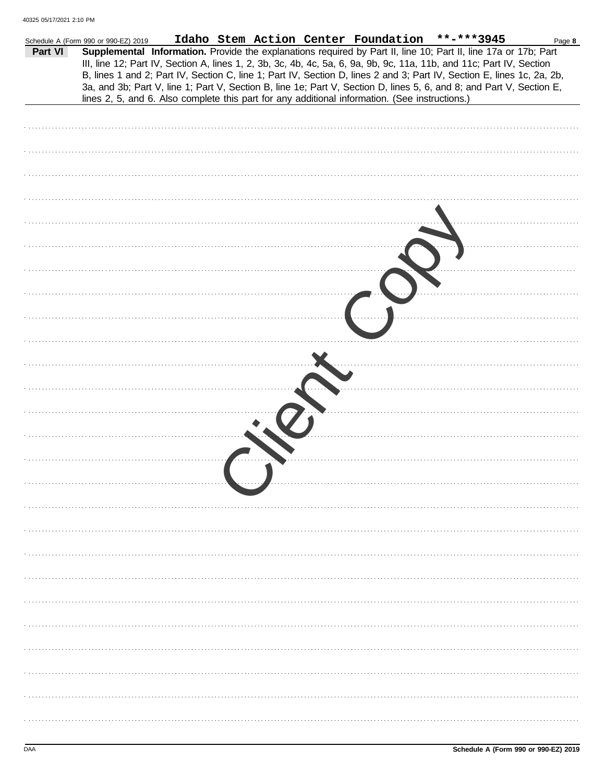|         | Idaho Stem Action Center Foundation **-***3945<br>Schedule A (Form 990 or 990-EZ) 2019                                                                                                                                                                                                                                                                                                                                                                                                    | Page 8 |
|---------|-------------------------------------------------------------------------------------------------------------------------------------------------------------------------------------------------------------------------------------------------------------------------------------------------------------------------------------------------------------------------------------------------------------------------------------------------------------------------------------------|--------|
| Part VI | Supplemental Information. Provide the explanations required by Part II, line 10; Part II, line 17a or 17b; Part<br>III, line 12; Part IV, Section A, lines 1, 2, 3b, 3c, 4b, 4c, 5a, 6, 9a, 9b, 9c, 11a, 11b, and 11c; Part IV, Section<br>B, lines 1 and 2; Part IV, Section C, line 1; Part IV, Section D, lines 2 and 3; Part IV, Section E, lines 1c, 2a, 2b,<br>3a, and 3b; Part V, line 1; Part V, Section B, line 1e; Part V, Section D, lines 5, 6, and 8; and Part V, Section E, |        |
|         | lines 2, 5, and 6. Also complete this part for any additional information. (See instructions.)                                                                                                                                                                                                                                                                                                                                                                                            |        |
|         |                                                                                                                                                                                                                                                                                                                                                                                                                                                                                           |        |
|         |                                                                                                                                                                                                                                                                                                                                                                                                                                                                                           |        |
|         |                                                                                                                                                                                                                                                                                                                                                                                                                                                                                           |        |
|         |                                                                                                                                                                                                                                                                                                                                                                                                                                                                                           |        |
|         |                                                                                                                                                                                                                                                                                                                                                                                                                                                                                           |        |
|         |                                                                                                                                                                                                                                                                                                                                                                                                                                                                                           |        |
|         |                                                                                                                                                                                                                                                                                                                                                                                                                                                                                           |        |
|         |                                                                                                                                                                                                                                                                                                                                                                                                                                                                                           |        |
|         |                                                                                                                                                                                                                                                                                                                                                                                                                                                                                           |        |
|         |                                                                                                                                                                                                                                                                                                                                                                                                                                                                                           |        |
|         |                                                                                                                                                                                                                                                                                                                                                                                                                                                                                           |        |
|         |                                                                                                                                                                                                                                                                                                                                                                                                                                                                                           |        |
|         |                                                                                                                                                                                                                                                                                                                                                                                                                                                                                           |        |
|         |                                                                                                                                                                                                                                                                                                                                                                                                                                                                                           |        |
|         |                                                                                                                                                                                                                                                                                                                                                                                                                                                                                           |        |
|         |                                                                                                                                                                                                                                                                                                                                                                                                                                                                                           |        |
|         |                                                                                                                                                                                                                                                                                                                                                                                                                                                                                           |        |
|         |                                                                                                                                                                                                                                                                                                                                                                                                                                                                                           |        |
|         |                                                                                                                                                                                                                                                                                                                                                                                                                                                                                           |        |
|         |                                                                                                                                                                                                                                                                                                                                                                                                                                                                                           |        |
|         |                                                                                                                                                                                                                                                                                                                                                                                                                                                                                           |        |
|         |                                                                                                                                                                                                                                                                                                                                                                                                                                                                                           |        |
|         |                                                                                                                                                                                                                                                                                                                                                                                                                                                                                           |        |
|         |                                                                                                                                                                                                                                                                                                                                                                                                                                                                                           |        |
|         |                                                                                                                                                                                                                                                                                                                                                                                                                                                                                           |        |
|         |                                                                                                                                                                                                                                                                                                                                                                                                                                                                                           |        |
|         |                                                                                                                                                                                                                                                                                                                                                                                                                                                                                           |        |
|         |                                                                                                                                                                                                                                                                                                                                                                                                                                                                                           |        |
|         |                                                                                                                                                                                                                                                                                                                                                                                                                                                                                           |        |
|         |                                                                                                                                                                                                                                                                                                                                                                                                                                                                                           |        |
|         |                                                                                                                                                                                                                                                                                                                                                                                                                                                                                           |        |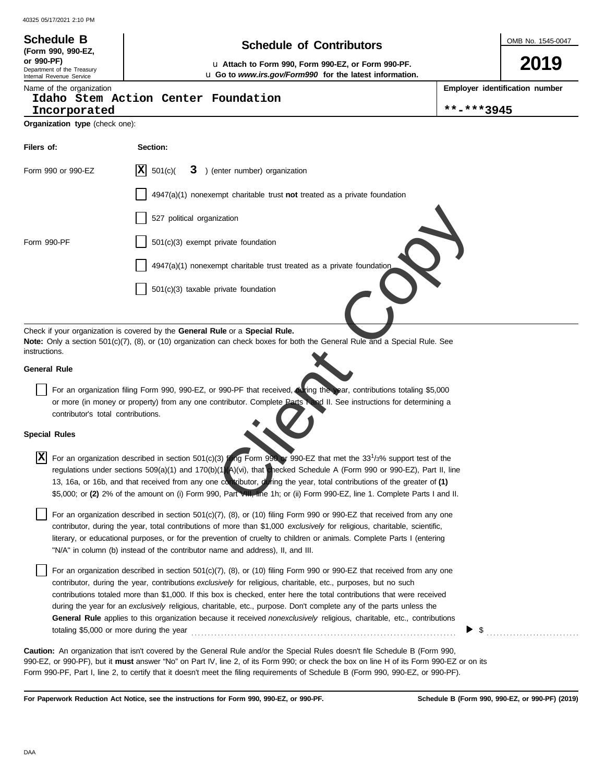| 40325 05/17/2021 2:10 PM                                                                    |                                                                                                                                                                                                                                                                                                                                                                                                                                                                                                                                                                                                                                                                                                                                                                                                                                                                                                                                                                                                                                                          |            |  |  |  |  |  |  |
|---------------------------------------------------------------------------------------------|----------------------------------------------------------------------------------------------------------------------------------------------------------------------------------------------------------------------------------------------------------------------------------------------------------------------------------------------------------------------------------------------------------------------------------------------------------------------------------------------------------------------------------------------------------------------------------------------------------------------------------------------------------------------------------------------------------------------------------------------------------------------------------------------------------------------------------------------------------------------------------------------------------------------------------------------------------------------------------------------------------------------------------------------------------|------------|--|--|--|--|--|--|
| <b>Schedule B</b>                                                                           | <b>Schedule of Contributors</b><br>(Form 990, 990-EZ,                                                                                                                                                                                                                                                                                                                                                                                                                                                                                                                                                                                                                                                                                                                                                                                                                                                                                                                                                                                                    |            |  |  |  |  |  |  |
| or 990-PF)<br>Department of the Treasury<br>Internal Revenue Service                        | L Attach to Form 990, Form 990-EZ, or Form 990-PF.<br>La Go to www.irs.gov/Form990 for the latest information.                                                                                                                                                                                                                                                                                                                                                                                                                                                                                                                                                                                                                                                                                                                                                                                                                                                                                                                                           |            |  |  |  |  |  |  |
| Name of the organization                                                                    | Employer identification number<br>Idaho Stem Action Center Foundation                                                                                                                                                                                                                                                                                                                                                                                                                                                                                                                                                                                                                                                                                                                                                                                                                                                                                                                                                                                    |            |  |  |  |  |  |  |
| Incorporated                                                                                |                                                                                                                                                                                                                                                                                                                                                                                                                                                                                                                                                                                                                                                                                                                                                                                                                                                                                                                                                                                                                                                          | **-***3945 |  |  |  |  |  |  |
| Organization type (check one):                                                              |                                                                                                                                                                                                                                                                                                                                                                                                                                                                                                                                                                                                                                                                                                                                                                                                                                                                                                                                                                                                                                                          |            |  |  |  |  |  |  |
| Filers of:                                                                                  | Section:                                                                                                                                                                                                                                                                                                                                                                                                                                                                                                                                                                                                                                                                                                                                                                                                                                                                                                                                                                                                                                                 |            |  |  |  |  |  |  |
| Form 990 or 990-EZ                                                                          | IXI<br>501(c)<br>) (enter number) organization<br>3.                                                                                                                                                                                                                                                                                                                                                                                                                                                                                                                                                                                                                                                                                                                                                                                                                                                                                                                                                                                                     |            |  |  |  |  |  |  |
|                                                                                             | $4947(a)(1)$ nonexempt charitable trust not treated as a private foundation                                                                                                                                                                                                                                                                                                                                                                                                                                                                                                                                                                                                                                                                                                                                                                                                                                                                                                                                                                              |            |  |  |  |  |  |  |
|                                                                                             | 527 political organization                                                                                                                                                                                                                                                                                                                                                                                                                                                                                                                                                                                                                                                                                                                                                                                                                                                                                                                                                                                                                               |            |  |  |  |  |  |  |
| Form 990-PF                                                                                 | 501(c)(3) exempt private foundation                                                                                                                                                                                                                                                                                                                                                                                                                                                                                                                                                                                                                                                                                                                                                                                                                                                                                                                                                                                                                      |            |  |  |  |  |  |  |
|                                                                                             | 4947(a)(1) nonexempt charitable trust treated as a private foundation                                                                                                                                                                                                                                                                                                                                                                                                                                                                                                                                                                                                                                                                                                                                                                                                                                                                                                                                                                                    |            |  |  |  |  |  |  |
|                                                                                             | $501(c)(3)$ taxable private foundation                                                                                                                                                                                                                                                                                                                                                                                                                                                                                                                                                                                                                                                                                                                                                                                                                                                                                                                                                                                                                   |            |  |  |  |  |  |  |
| instructions.<br>General Rule<br>contributor's total contributions.<br><b>Special Rules</b> | Note: Only a section 501(c)(7), (8), or (10) organization can check boxes for both the General Rule and a Special Rule. See<br>For an organization filing Form 990, 990-EZ, or 990-PF that received, during the year, contributions totaling \$5,000<br>or more (in money or property) from any one contributor. Complete Parts Land II. See instructions for determining a<br>$\boxed{\textbf{X}}$ For an organization described in section 501(c)(3) ling Form 990 or 990-EZ that met the 33 <sup>1</sup> /3% support test of the<br>regulations under sections $509(a)(1)$ and $170(b)(1)(A)(vi)$ , that checked Schedule A (Form 990 or 990-EZ), Part II, line<br>13, 16a, or 16b, and that received from any one contributor, during the year, total contributions of the greater of (1)<br>\$5,000; or (2) 2% of the amount on (i) Form 990, Part VIII, line 1h; or (ii) Form 990-EZ, line 1. Complete Parts I and II.<br>For an organization described in section $501(c)(7)$ , (8), or (10) filing Form 990 or 990-EZ that received from any one |            |  |  |  |  |  |  |
| totaling \$5,000 or more during the year                                                    | contributor, during the year, total contributions of more than \$1,000 exclusively for religious, charitable, scientific,<br>literary, or educational purposes, or for the prevention of cruelty to children or animals. Complete Parts I (entering<br>"N/A" in column (b) instead of the contributor name and address), II, and III.<br>For an organization described in section $501(c)(7)$ , (8), or (10) filing Form 990 or 990-EZ that received from any one<br>contributor, during the year, contributions exclusively for religious, charitable, etc., purposes, but no such<br>contributions totaled more than \$1,000. If this box is checked, enter here the total contributions that were received<br>during the year for an exclusively religious, charitable, etc., purpose. Don't complete any of the parts unless the<br>General Rule applies to this organization because it received nonexclusively religious, charitable, etc., contributions                                                                                          | \$         |  |  |  |  |  |  |
|                                                                                             | <b>Caution:</b> An organization that isn't covered by the General Rule and/or the Special Rules doesn't file Schedule B (Form 990,<br>990-EZ, or 990-PF), but it <b>must</b> answer "No" on Part IV, line 2, of its Form 990; or check the box on line H of its Form 990-EZ or on its<br>Form 990-PF, Part I, line 2, to certify that it doesn't meet the filing requirements of Schedule B (Form 990, 990-EZ, or 990-PF).                                                                                                                                                                                                                                                                                                                                                                                                                                                                                                                                                                                                                               |            |  |  |  |  |  |  |

For Paperwork Reduction Act Notice, see the instructions for Form 990, 990-EZ, or 990-PF.<br>
Schedule B (Form 990, 990-EZ, or 990-PF) (2019)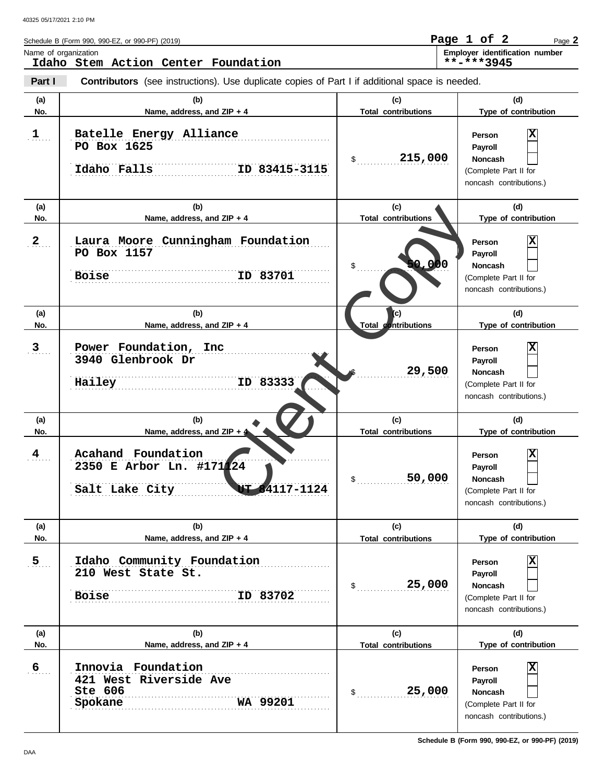|              | Schedule B (Form 990, 990-EZ, or 990-PF) (2019)                                                       |                                   | Page 1 of 2<br>Page 2                                                                          |
|--------------|-------------------------------------------------------------------------------------------------------|-----------------------------------|------------------------------------------------------------------------------------------------|
|              | Name of organization<br>Idaho Stem Action Center Foundation                                           |                                   | Employer identification number<br>**-***3945                                                   |
| Part I       | <b>Contributors</b> (see instructions). Use duplicate copies of Part I if additional space is needed. |                                   |                                                                                                |
| (a)<br>No.   | (b)<br>Name, address, and ZIP + 4                                                                     | (c)<br><b>Total contributions</b> | (d)<br>Type of contribution                                                                    |
| 1            | Batelle Energy Alliance<br>PO Box 1625<br>Idaho Falls<br>ID 83415-3115                                | 215,000<br>$\frac{1}{2}$          | <b>Person</b><br>Payroll<br><b>Noncash</b><br>(Complete Part II for<br>noncash contributions.) |
| (a)          | (b)                                                                                                   | (c)                               | (d)                                                                                            |
| No.          | Name, address, and ZIP + 4                                                                            | <b>Total contributions</b>        | Type of contribution                                                                           |
| $\mathbf{2}$ | Laura Moore Cunningham Foundation<br>PO Box 1157<br>ID 83701<br><b>Boise</b>                          | 0,000<br>\$                       | Person<br>Payroll<br><b>Noncash</b><br>(Complete Part II for<br>noncash contributions.)        |
| (a)          | (b)                                                                                                   | (c)                               | (d)                                                                                            |
| No.          | Name, address, and ZIP + 4                                                                            | Total contributions               | Type of contribution                                                                           |
| $\mathbf{3}$ | Power Foundation, Inc.<br>3940 Glenbrook Dr<br>ID 83333<br>Hailey                                     | 29,500                            | <b>Person</b><br>Payroll<br><b>Noncash</b><br>(Complete Part II for<br>noncash contributions.) |
| (a)          | (b)                                                                                                   | (c)                               | (d)                                                                                            |
| No.          | Name, address, and ZIP + 4                                                                            | <b>Total contributions</b>        | Type of contribution                                                                           |
| 4            | Acahand Foundation<br>2350 E Arbor Ln. #171124<br>JT 84117-1124<br>Salt Lake City                     | 50,000                            | X<br><b>Person</b><br>Payroll<br>Noncash<br>(Complete Part II for<br>noncash contributions.)   |
| (a)          | (b)                                                                                                   | (c)                               | (d)                                                                                            |
| No.          | Name, address, and ZIP + 4                                                                            | <b>Total contributions</b>        | Type of contribution                                                                           |
| 5            | Idaho Community Foundation<br>210 West State St.<br>ID 83702<br><b>Boise</b>                          | 25,000<br>\$                      | х<br>Person<br>Payroll<br><b>Noncash</b><br>(Complete Part II for<br>noncash contributions.)   |
| (a)          | (b)                                                                                                   | (c)                               | (d)                                                                                            |
| No.          | Name, address, and ZIP + 4                                                                            | <b>Total contributions</b>        | Type of contribution                                                                           |
| 6            | Innovia Foundation<br>421 West Riverside Ave<br><b>Ste 606</b><br><b>WA 99201</b><br>Spokane          | 25,000<br>\$                      | Χ<br>Person<br>Payroll<br><b>Noncash</b><br>(Complete Part II for<br>noncash contributions.)   |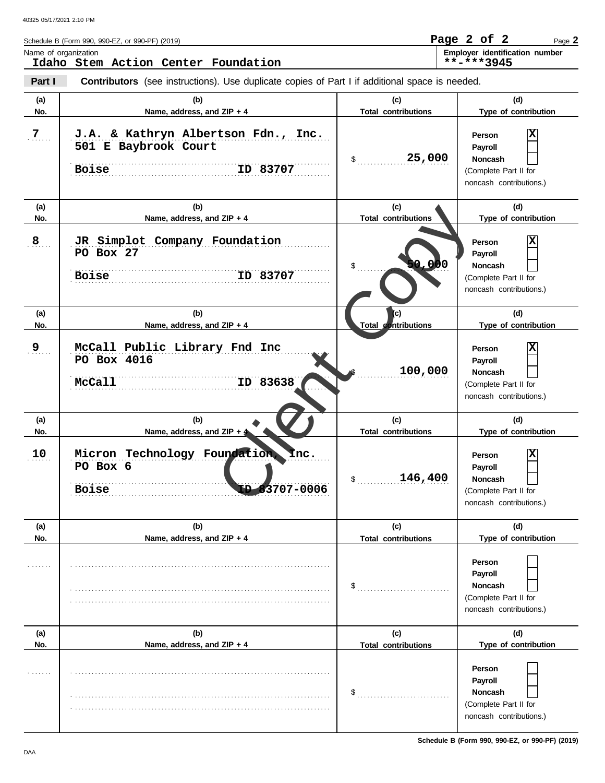|                | Schedule B (Form 990, 990-EZ, or 990-PF) (2019)                                                       |                                           | Page 2 of 2<br>Page 2                                                                                           |
|----------------|-------------------------------------------------------------------------------------------------------|-------------------------------------------|-----------------------------------------------------------------------------------------------------------------|
|                | Name of organization<br>Idaho Stem Action Center Foundation                                           |                                           | Employer identification number<br>**-***3945                                                                    |
| Part I         | <b>Contributors</b> (see instructions). Use duplicate copies of Part I if additional space is needed. |                                           |                                                                                                                 |
| (a)<br>No.     | (b)<br>Name, address, and ZIP + 4                                                                     | (c)<br><b>Total contributions</b>         | (d)<br>Type of contribution                                                                                     |
| $\overline{7}$ | J.A. & Kathryn Albertson Fdn., Inc.<br>501 E Baybrook Court<br>ID 83707<br><b>Boise</b>               | 25,000<br>\$                              | Person<br>Payroll<br><b>Noncash</b><br>(Complete Part II for<br>noncash contributions.)                         |
| (a)            | (b)                                                                                                   | (c)                                       | (d)                                                                                                             |
| No.<br>8       | Name, address, and ZIP + 4<br>JR Simplot Company Foundation<br>PO Box 27<br>ID 83707<br><b>Boise</b>  | <b>Total contributions</b><br>0,000<br>\$ | Type of contribution<br>Person<br>Payroll<br><b>Noncash</b><br>(Complete Part II for<br>noncash contributions.) |
| (a)<br>No.     | (b)<br>Name, address, and ZIP + 4                                                                     | (c)<br>Total contributions                | (d)<br>Type of contribution                                                                                     |
| 9              | McCall Public Library Fnd Inc<br>PO Box 4016<br>ID 83638<br>McCall                                    | 100,000                                   | Person<br>Payroll<br><b>Noncash</b><br>(Complete Part II for<br>noncash contributions.)                         |
| (a)<br>No.     | (b)<br>Name, address, and ZIP + 4                                                                     | (c)<br><b>Total contributions</b>         | (d)<br>Type of contribution                                                                                     |
| 10             | Micron Technology Foundation.<br><b>Inc.</b><br>PO Box 6<br>3707-0006<br><b>Boise</b>                 | 146,400                                   | X<br>Person<br>Payroll<br>Noncash<br>(Complete Part II for<br>noncash contributions.)                           |
| (a)<br>No.     | (b)<br>Name, address, and ZIP + 4                                                                     | (c)<br><b>Total contributions</b>         | (d)<br>Type of contribution                                                                                     |
|                |                                                                                                       | \$                                        | Person<br>Payroll<br><b>Noncash</b><br>(Complete Part II for<br>noncash contributions.)                         |
| (a)            | (b)                                                                                                   | (c)                                       | (d)                                                                                                             |
| No.            | Name, address, and ZIP + 4                                                                            | <b>Total contributions</b><br>\$          | Type of contribution<br>Person<br>Payroll<br><b>Noncash</b><br>(Complete Part II for<br>noncash contributions.) |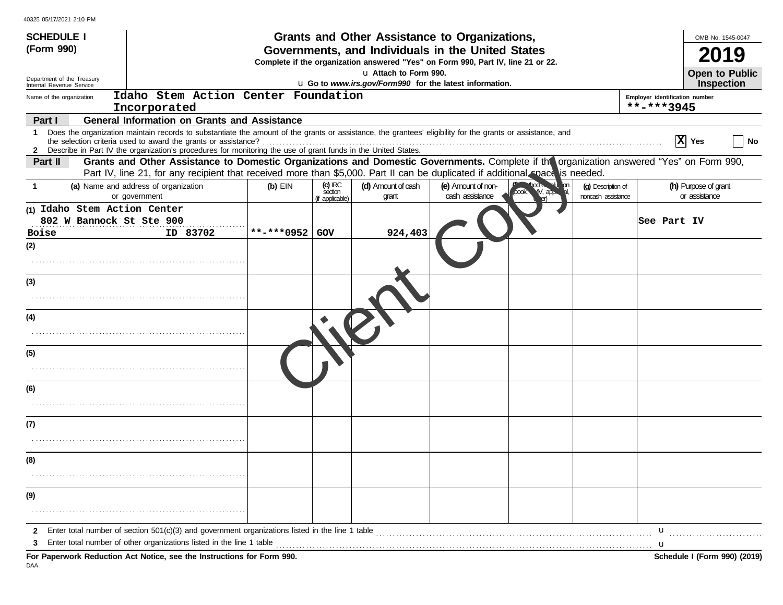| <b>SCHEDULE I</b>                                        |                                                                                                                                                                                                                                                                               |                                                                                                                                       |                                         | Grants and Other Assistance to Organizations, |                                       |                                            |                                          |                                | OMB No. 1545-0047                     |  |  |
|----------------------------------------------------------|-------------------------------------------------------------------------------------------------------------------------------------------------------------------------------------------------------------------------------------------------------------------------------|---------------------------------------------------------------------------------------------------------------------------------------|-----------------------------------------|-----------------------------------------------|---------------------------------------|--------------------------------------------|------------------------------------------|--------------------------------|---------------------------------------|--|--|
| (Form 990)                                               |                                                                                                                                                                                                                                                                               | Governments, and Individuals in the United States<br>Complete if the organization answered "Yes" on Form 990, Part IV, line 21 or 22. |                                         |                                               |                                       |                                            |                                          |                                |                                       |  |  |
| Department of the Treasury                               |                                                                                                                                                                                                                                                                               | La Attach to Form 990.<br>Open to Public<br>LI Go to www.irs.gov/Form990 for the latest information.                                  |                                         |                                               |                                       |                                            |                                          |                                |                                       |  |  |
| Internal Revenue Service<br>Name of the organization     | Idaho Stem Action Center Foundation                                                                                                                                                                                                                                           |                                                                                                                                       |                                         |                                               |                                       |                                            |                                          | Employer identification number | <b>Inspection</b>                     |  |  |
|                                                          | Incorporated                                                                                                                                                                                                                                                                  |                                                                                                                                       |                                         |                                               |                                       |                                            |                                          | **-***3945                     |                                       |  |  |
| Part I                                                   | <b>General Information on Grants and Assistance</b>                                                                                                                                                                                                                           |                                                                                                                                       |                                         |                                               |                                       |                                            |                                          |                                |                                       |  |  |
| 1.                                                       | Does the organization maintain records to substantiate the amount of the grants or assistance, the grantees' eligibility for the grants or assistance, and<br>2 Describe in Part IV the organization's procedures for monitoring the use of grant funds in the United States. |                                                                                                                                       |                                         |                                               |                                       |                                            |                                          |                                | X Yes<br>No                           |  |  |
| Part II                                                  | Grants and Other Assistance to Domestic Organizations and Domestic Governments. Complete if the organization answered "Yes" on Form 990,<br>Part IV, line 21, for any recipient that received more than \$5,000. Part II can be duplicated if additional nace is needed.      |                                                                                                                                       |                                         |                                               |                                       |                                            |                                          |                                |                                       |  |  |
| -1                                                       | (a) Name and address of organization<br>or government                                                                                                                                                                                                                         | $(b)$ EIN                                                                                                                             | $(c)$ IRC<br>section<br>(if applicable) | (d) Amount of cash<br>grant                   | (e) Amount of non-<br>cash assistance | <b>Contempt of Contempt of</b><br>IV, аръ. | (g) Description of<br>noncash assistance |                                | (h) Purpose of grant<br>or assistance |  |  |
| (1) Idaho Stem Action Center<br>802 W Bannock St Ste 900 |                                                                                                                                                                                                                                                                               |                                                                                                                                       |                                         |                                               |                                       |                                            |                                          | See Part IV                    |                                       |  |  |
| <b>Boise</b>                                             | ID 83702                                                                                                                                                                                                                                                                      | **-***0952                                                                                                                            | GOV                                     | 924,403                                       |                                       |                                            |                                          |                                |                                       |  |  |
| (2)                                                      |                                                                                                                                                                                                                                                                               |                                                                                                                                       |                                         |                                               |                                       |                                            |                                          |                                |                                       |  |  |
|                                                          |                                                                                                                                                                                                                                                                               |                                                                                                                                       |                                         |                                               |                                       |                                            |                                          |                                |                                       |  |  |
| (3)                                                      |                                                                                                                                                                                                                                                                               |                                                                                                                                       |                                         |                                               |                                       |                                            |                                          |                                |                                       |  |  |
| (4)                                                      |                                                                                                                                                                                                                                                                               |                                                                                                                                       |                                         |                                               |                                       |                                            |                                          |                                |                                       |  |  |
|                                                          |                                                                                                                                                                                                                                                                               |                                                                                                                                       |                                         |                                               |                                       |                                            |                                          |                                |                                       |  |  |
| (5)                                                      |                                                                                                                                                                                                                                                                               |                                                                                                                                       |                                         |                                               |                                       |                                            |                                          |                                |                                       |  |  |
|                                                          |                                                                                                                                                                                                                                                                               |                                                                                                                                       |                                         |                                               |                                       |                                            |                                          |                                |                                       |  |  |
| (6)                                                      |                                                                                                                                                                                                                                                                               |                                                                                                                                       |                                         |                                               |                                       |                                            |                                          |                                |                                       |  |  |
|                                                          |                                                                                                                                                                                                                                                                               |                                                                                                                                       |                                         |                                               |                                       |                                            |                                          |                                |                                       |  |  |
| (7)                                                      |                                                                                                                                                                                                                                                                               |                                                                                                                                       |                                         |                                               |                                       |                                            |                                          |                                |                                       |  |  |
|                                                          |                                                                                                                                                                                                                                                                               |                                                                                                                                       |                                         |                                               |                                       |                                            |                                          |                                |                                       |  |  |
| (8)                                                      |                                                                                                                                                                                                                                                                               |                                                                                                                                       |                                         |                                               |                                       |                                            |                                          |                                |                                       |  |  |
|                                                          |                                                                                                                                                                                                                                                                               |                                                                                                                                       |                                         |                                               |                                       |                                            |                                          |                                |                                       |  |  |
| (9)                                                      |                                                                                                                                                                                                                                                                               |                                                                                                                                       |                                         |                                               |                                       |                                            |                                          |                                |                                       |  |  |
|                                                          |                                                                                                                                                                                                                                                                               |                                                                                                                                       |                                         |                                               |                                       |                                            |                                          |                                |                                       |  |  |
| $\mathbf{2}$<br>3                                        | Enter total number of section 501(c)(3) and government organizations listed in the line 1 table<br>Enter total number of other organizations listed in the line 1 table                                                                                                       |                                                                                                                                       |                                         |                                               |                                       |                                            |                                          | u<br>u                         |                                       |  |  |
|                                                          | For Paperwork Reduction Act Notice, see the Instructions for Form 990.                                                                                                                                                                                                        |                                                                                                                                       |                                         |                                               |                                       |                                            |                                          |                                | Schedule I (Form 990) (2019)          |  |  |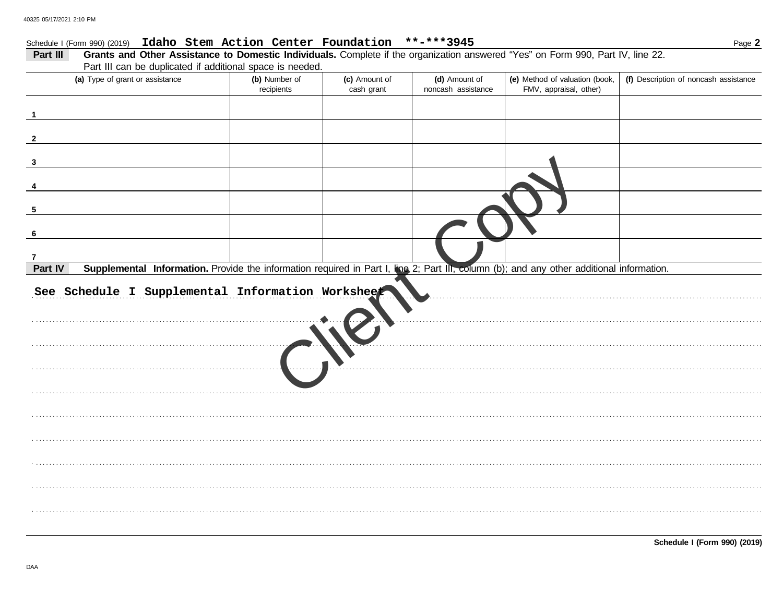## Schedule I (Form 990) (2019) Idaho Stem Action Center Foundation \*\*-\*\*\*3945

| Grants and Other Assistance to Domestic Individuals. Complete if the organization answered "Yes" on Form 990, Part IV, line 22.<br>Part III         |                             |                             |                                     |                                                          |                                       |  |  |  |  |  |
|-----------------------------------------------------------------------------------------------------------------------------------------------------|-----------------------------|-----------------------------|-------------------------------------|----------------------------------------------------------|---------------------------------------|--|--|--|--|--|
| Part III can be duplicated if additional space is needed.                                                                                           |                             |                             |                                     |                                                          |                                       |  |  |  |  |  |
| (a) Type of grant or assistance                                                                                                                     | (b) Number of<br>recipients | (c) Amount of<br>cash grant | (d) Amount of<br>noncash assistance | (e) Method of valuation (book,<br>FMV, appraisal, other) | (f) Description of noncash assistance |  |  |  |  |  |
|                                                                                                                                                     |                             |                             |                                     |                                                          |                                       |  |  |  |  |  |
|                                                                                                                                                     |                             |                             |                                     |                                                          |                                       |  |  |  |  |  |
|                                                                                                                                                     |                             |                             |                                     |                                                          |                                       |  |  |  |  |  |
|                                                                                                                                                     |                             |                             |                                     |                                                          |                                       |  |  |  |  |  |
| 5                                                                                                                                                   |                             |                             |                                     |                                                          |                                       |  |  |  |  |  |
|                                                                                                                                                     |                             |                             |                                     |                                                          |                                       |  |  |  |  |  |
| 7                                                                                                                                                   |                             |                             |                                     |                                                          |                                       |  |  |  |  |  |
| Supplemental Information. Provide the information required in Part I, Ihe 2; Part III, column (b); and any other additional information.<br>Part IV |                             |                             |                                     |                                                          |                                       |  |  |  |  |  |
| See Schedule I Supplemental Information Worksheet                                                                                                   |                             |                             |                                     |                                                          |                                       |  |  |  |  |  |
|                                                                                                                                                     |                             |                             |                                     |                                                          |                                       |  |  |  |  |  |
|                                                                                                                                                     |                             |                             |                                     |                                                          |                                       |  |  |  |  |  |
|                                                                                                                                                     |                             |                             |                                     |                                                          |                                       |  |  |  |  |  |
|                                                                                                                                                     |                             |                             |                                     |                                                          |                                       |  |  |  |  |  |
|                                                                                                                                                     |                             |                             |                                     |                                                          |                                       |  |  |  |  |  |
|                                                                                                                                                     |                             |                             |                                     |                                                          |                                       |  |  |  |  |  |
|                                                                                                                                                     |                             |                             |                                     |                                                          |                                       |  |  |  |  |  |
|                                                                                                                                                     |                             |                             |                                     |                                                          |                                       |  |  |  |  |  |
|                                                                                                                                                     |                             |                             |                                     |                                                          |                                       |  |  |  |  |  |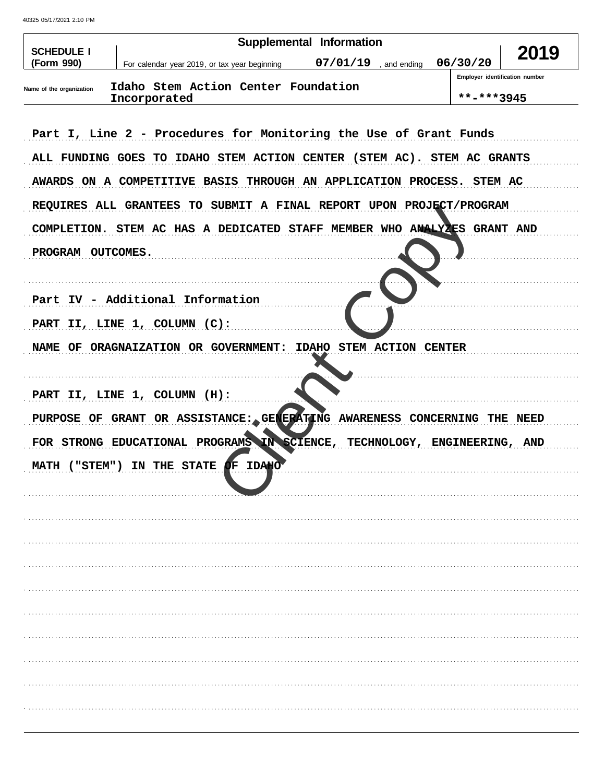40325 05/17/2021 2:10 PM

| <b>SCHEDULE I</b>        |                                                                          | <b>Supplemental Information</b> |                              |                                              | 2019 |
|--------------------------|--------------------------------------------------------------------------|---------------------------------|------------------------------|----------------------------------------------|------|
| (Form 990)               | For calendar year 2019, or tax year beginning                            | 07/01/19                        | , and ending                 | 06/30/20                                     |      |
| Name of the organization | Idaho Stem Action Center Foundation                                      |                                 |                              | Employer identification number<br>**-***3945 |      |
|                          | Incorporated                                                             |                                 |                              |                                              |      |
|                          | Part I, Line 2 - Procedures for Monitoring the Use of Grant Funds        |                                 |                              |                                              |      |
|                          | ALL FUNDING GOES TO IDAHO STEM ACTION CENTER (STEM AC). STEM AC GRANTS   |                                 |                              |                                              |      |
|                          | AWARDS ON A COMPETITIVE BASIS THROUGH AN APPLICATION PROCESS. STEM AC    |                                 |                              |                                              |      |
|                          | REQUIRES ALL GRANTEES TO SUBMIT A FINAL REPORT UPON PROJECT/PROGRAM      |                                 |                              |                                              |      |
|                          | COMPLETION. STEM AC HAS A DEDICATED STAFF MEMBER WHO ANALYZES GRANT AND  |                                 |                              |                                              |      |
| PROGRAM OUTCOMES.        |                                                                          |                                 |                              |                                              |      |
|                          |                                                                          |                                 |                              |                                              |      |
|                          | Part IV - Additional Information                                         |                                 |                              |                                              |      |
|                          | PART II, LINE 1, COLUMN (C):                                             |                                 |                              |                                              |      |
|                          | NAME OF ORAGNAIZATION OR GOVERNMENT:                                     | IDAHO STEM ACTION CENTER        |                              |                                              |      |
|                          |                                                                          |                                 |                              |                                              |      |
|                          | PART II, LINE 1, COLUMN (H):                                             |                                 |                              |                                              |      |
|                          | PURPOSE OF GRANT OR ASSISTANCE: GENERATING AWARENESS CONCERNING THE NEED |                                 |                              |                                              |      |
|                          | FOR STRONG EDUCATIONAL PROGRAMS IN SCIENCE,                              |                                 | TECHNOLOGY, ENGINEERING, AND |                                              |      |
|                          | MATH ("STEM") IN THE STATE OF IDAHO                                      |                                 |                              |                                              |      |
|                          |                                                                          |                                 |                              |                                              |      |
|                          |                                                                          |                                 |                              |                                              |      |
|                          |                                                                          |                                 |                              |                                              |      |
|                          |                                                                          |                                 |                              |                                              |      |
|                          |                                                                          |                                 |                              |                                              |      |
|                          |                                                                          |                                 |                              |                                              |      |
|                          |                                                                          |                                 |                              |                                              |      |
|                          |                                                                          |                                 |                              |                                              |      |
|                          |                                                                          |                                 |                              |                                              |      |
|                          |                                                                          |                                 |                              |                                              |      |
|                          |                                                                          |                                 |                              |                                              |      |
|                          |                                                                          |                                 |                              |                                              |      |
|                          |                                                                          |                                 |                              |                                              |      |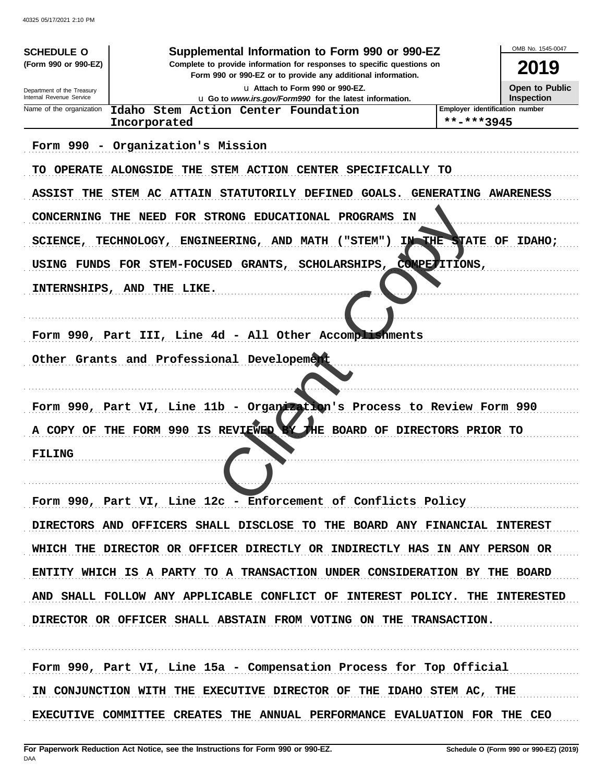40325 05/17/2021 2:10 PM

| <b>SCHEDULE O</b>          | Supplemental Information to Form 990 or 990-EZ                                                                                         |                                              | OMB No. 1545-0047     |
|----------------------------|----------------------------------------------------------------------------------------------------------------------------------------|----------------------------------------------|-----------------------|
| (Form 990 or 990-EZ)       | Complete to provide information for responses to specific questions on<br>Form 990 or 990-EZ or to provide any additional information. |                                              | 2019                  |
| Department of the Treasury | La Attach to Form 990 or 990-EZ.                                                                                                       |                                              | <b>Open to Public</b> |
| Internal Revenue Service   | U Go to www.irs.gov/Form990 for the latest information.                                                                                |                                              | <b>Inspection</b>     |
| Name of the organization   | Idaho Stem Action Center Foundation<br>Incorporated                                                                                    | Employer identification number<br>**-***3945 |                       |
|                            |                                                                                                                                        |                                              |                       |
|                            | Form 990 - Organization's Mission                                                                                                      |                                              |                       |
|                            | TO OPERATE ALONGSIDE THE STEM ACTION CENTER SPECIFICALLY TO                                                                            |                                              |                       |
|                            | ASSIST THE STEM AC ATTAIN STATUTORILY DEFINED GOALS. GENERATING AWARENESS                                                              |                                              |                       |
|                            | CONCERNING THE NEED FOR STRONG EDUCATIONAL PROGRAMS<br><b>IN</b>                                                                       |                                              |                       |
|                            | SCIENCE, TECHNOLOGY, ENGINEERING, AND MATH ("STEM")                                                                                    | IN THE STATE OF IDAHO;                       |                       |
|                            | USING FUNDS FOR STEM-FOCUSED GRANTS,<br>SCHOLARSHIPS,                                                                                  | COMPETITIONS,                                |                       |
|                            | INTERNSHIPS, AND THE LIKE.                                                                                                             |                                              |                       |
|                            |                                                                                                                                        |                                              |                       |
|                            | Form 990, Part III, Line 4d - All Other Accomplishments                                                                                |                                              |                       |
|                            | Other Grants and Professional Developement                                                                                             |                                              |                       |
|                            | Form 990, Part VI, Line 11b - Organization's Process to Review Form 990                                                                |                                              |                       |
| A COPY OF                  | THE FORM 990 IS REVIEWED BY THE BOARD OF DIRECTORS PRIOR TO                                                                            |                                              |                       |
| <b>FILING</b>              |                                                                                                                                        |                                              |                       |
|                            |                                                                                                                                        |                                              |                       |
|                            | Form 990, Part VI, Line 12c - Enforcement of Conflicts Policy                                                                          |                                              |                       |
|                            | DIRECTORS AND OFFICERS SHALL DISCLOSE TO THE BOARD ANY FINANCIAL INTEREST                                                              |                                              |                       |
|                            | WHICH THE DIRECTOR OR OFFICER DIRECTLY OR INDIRECTLY HAS IN ANY PERSON OR                                                              |                                              |                       |
|                            | ENTITY WHICH IS A PARTY TO A TRANSACTION UNDER CONSIDERATION BY THE BOARD                                                              |                                              |                       |
|                            | AND SHALL FOLLOW ANY APPLICABLE CONFLICT OF INTEREST POLICY. THE INTERESTED                                                            |                                              |                       |
|                            | DIRECTOR OR OFFICER SHALL ABSTAIN FROM VOTING ON THE TRANSACTION.                                                                      |                                              |                       |
|                            | Form 990, Part VI, Line 15a - Compensation Process for Top Official                                                                    |                                              |                       |
|                            | IN CONJUNCTION WITH THE EXECUTIVE DIRECTOR OF THE IDAHO STEM AC, THE                                                                   |                                              |                       |

EXECUTIVE COMMITTEE CREATES THE ANNUAL PERFORMANCE EVALUATION FOR THE CEO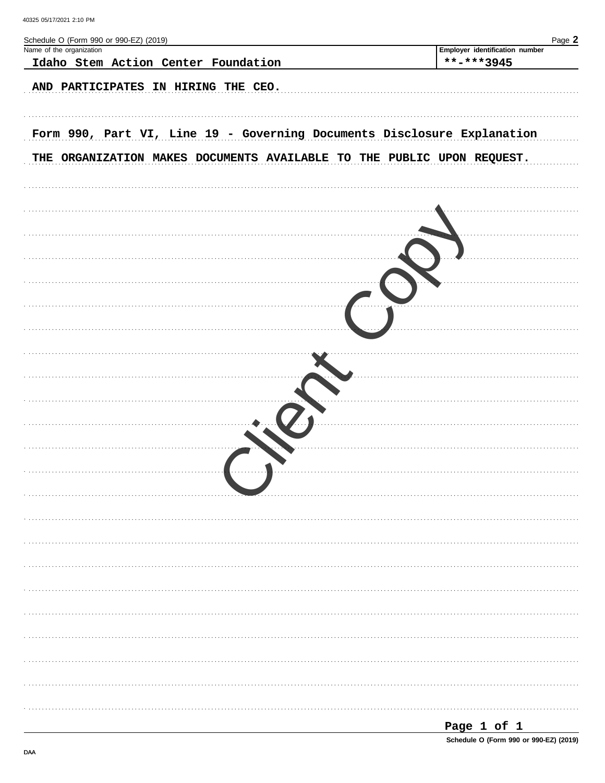| Schedule O (Form 990 or 990-EZ) (2019)                                  | Page 2                                       |
|-------------------------------------------------------------------------|----------------------------------------------|
| Name of the organization                                                | Employer identification number<br>**-***3945 |
| Idaho Stem Action Center Foundation                                     |                                              |
| AND PARTICIPATES IN HIRING THE CEO.                                     |                                              |
|                                                                         |                                              |
|                                                                         |                                              |
| Form 990, Part VI, Line 19 - Governing Documents Disclosure Explanation |                                              |
|                                                                         |                                              |
| THE ORGANIZATION MAKES DOCUMENTS AVAILABLE TO THE PUBLIC UPON REQUEST.  |                                              |
|                                                                         |                                              |
|                                                                         |                                              |
|                                                                         |                                              |
|                                                                         |                                              |
|                                                                         |                                              |
|                                                                         |                                              |
|                                                                         |                                              |
|                                                                         |                                              |
|                                                                         |                                              |
|                                                                         |                                              |
|                                                                         |                                              |
|                                                                         |                                              |
|                                                                         |                                              |
|                                                                         |                                              |
|                                                                         |                                              |
|                                                                         |                                              |
|                                                                         |                                              |
|                                                                         |                                              |
|                                                                         |                                              |
|                                                                         |                                              |
|                                                                         |                                              |
|                                                                         |                                              |
|                                                                         |                                              |
|                                                                         |                                              |
|                                                                         |                                              |
|                                                                         |                                              |
|                                                                         |                                              |
|                                                                         |                                              |
|                                                                         |                                              |
|                                                                         |                                              |
|                                                                         |                                              |
|                                                                         |                                              |
|                                                                         |                                              |
|                                                                         |                                              |
|                                                                         |                                              |
|                                                                         |                                              |
|                                                                         | Page 1 of 1                                  |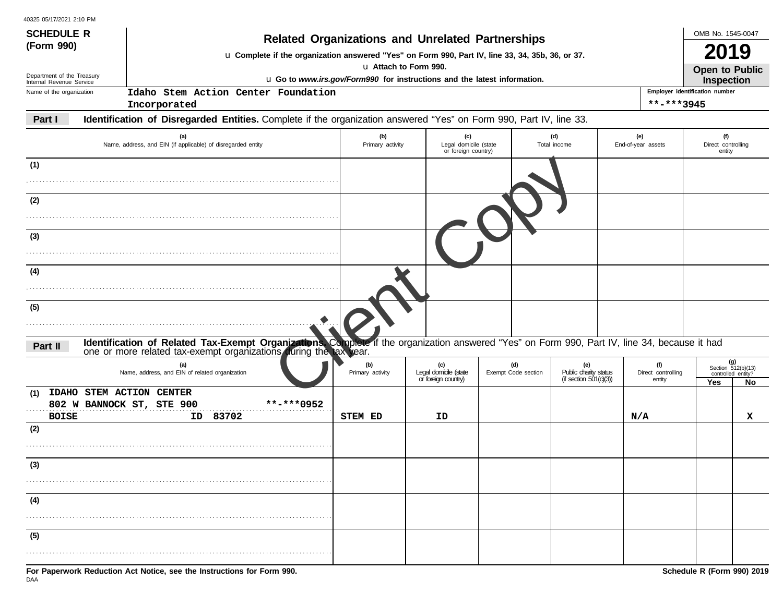| 40325 05/17/2021 2:10 PM |  |
|--------------------------|--|
|--------------------------|--|

| <b>SCHEDULE R</b>                                      |                                                                                                                                                                                                                    |                                                                          | <b>Related Organizations and Unrelated Partnerships</b> |                            |                              |                                              | OMB No. 1545-0047                                 |    |  |  |
|--------------------------------------------------------|--------------------------------------------------------------------------------------------------------------------------------------------------------------------------------------------------------------------|--------------------------------------------------------------------------|---------------------------------------------------------|----------------------------|------------------------------|----------------------------------------------|---------------------------------------------------|----|--|--|
| (Form 990)                                             | L Complete if the organization answered "Yes" on Form 990, Part IV, line 33, 34, 35b, 36, or 37.                                                                                                                   |                                                                          |                                                         |                            |                              |                                              | <b>2019</b>                                       |    |  |  |
|                                                        |                                                                                                                                                                                                                    | u Attach to Form 990.                                                    |                                                         |                            |                              |                                              |                                                   |    |  |  |
| Department of the Treasury<br>Internal Revenue Service |                                                                                                                                                                                                                    | u Go to www.irs.gov/Form990 for instructions and the latest information. |                                                         |                            |                              |                                              |                                                   |    |  |  |
| Name of the organization                               | Idaho Stem Action Center Foundation                                                                                                                                                                                |                                                                          |                                                         |                            |                              | Employer identification number<br>**-***3945 |                                                   |    |  |  |
|                                                        | Incorporated                                                                                                                                                                                                       |                                                                          |                                                         |                            |                              |                                              |                                                   |    |  |  |
| Part I                                                 | Identification of Disregarded Entities. Complete if the organization answered "Yes" on Form 990, Part IV, line 33.                                                                                                 |                                                                          |                                                         |                            |                              |                                              |                                                   |    |  |  |
|                                                        | (a)<br>Name, address, and EIN (if applicable) of disregarded entity                                                                                                                                                | (b)<br>Primary activity                                                  | (c)<br>Legal domicile (state<br>or foreign country)     |                            | (d)<br>Total income          | (e)<br>End-of-year assets                    | (f)<br>Direct controlling<br>entity               |    |  |  |
| (1)                                                    |                                                                                                                                                                                                                    |                                                                          |                                                         |                            |                              |                                              |                                                   |    |  |  |
| (2)                                                    |                                                                                                                                                                                                                    |                                                                          |                                                         |                            |                              |                                              |                                                   |    |  |  |
|                                                        |                                                                                                                                                                                                                    |                                                                          |                                                         |                            |                              |                                              |                                                   |    |  |  |
| (3)                                                    |                                                                                                                                                                                                                    |                                                                          |                                                         |                            |                              |                                              |                                                   |    |  |  |
|                                                        |                                                                                                                                                                                                                    |                                                                          |                                                         |                            |                              |                                              |                                                   |    |  |  |
| (4)                                                    |                                                                                                                                                                                                                    |                                                                          |                                                         |                            |                              |                                              |                                                   |    |  |  |
|                                                        |                                                                                                                                                                                                                    |                                                                          |                                                         |                            |                              |                                              |                                                   |    |  |  |
| (5)                                                    |                                                                                                                                                                                                                    |                                                                          |                                                         |                            |                              |                                              |                                                   |    |  |  |
| Part II                                                | Identification of Related Tax-Exempt Organizations. Complete if the organization answered "Yes" on Form 990, Part IV, line 34, because it had<br>one or more related tax-exempt organizations during the tax year. |                                                                          |                                                         |                            |                              |                                              |                                                   |    |  |  |
|                                                        | (a)<br>Name, address, and EIN of related organization                                                                                                                                                              | (b)<br>Primary activity                                                  | (c)<br>Legal domicile (state                            | (d)<br>Exempt Code section | (e)<br>Public charity status | (f)<br>Direct controlling                    | $(g)$<br>Section 512(b)(13)<br>controlled entity? |    |  |  |
| (1)                                                    | IDAHO STEM ACTION CENTER                                                                                                                                                                                           |                                                                          | or foreign country)                                     |                            | (if section $501(c)(3)$ )    | entity                                       | Yes                                               | No |  |  |
| <b>BOISE</b>                                           | **-***0952<br>802 W BANNOCK ST, STE 900<br>ID 83702                                                                                                                                                                | STEM ED                                                                  | ID                                                      |                            |                              | N/A                                          |                                                   | x  |  |  |
| (2)                                                    |                                                                                                                                                                                                                    |                                                                          |                                                         |                            |                              |                                              |                                                   |    |  |  |
|                                                        |                                                                                                                                                                                                                    |                                                                          |                                                         |                            |                              |                                              |                                                   |    |  |  |
| (3)                                                    |                                                                                                                                                                                                                    |                                                                          |                                                         |                            |                              |                                              |                                                   |    |  |  |
|                                                        |                                                                                                                                                                                                                    |                                                                          |                                                         |                            |                              |                                              |                                                   |    |  |  |
| (4)                                                    |                                                                                                                                                                                                                    |                                                                          |                                                         |                            |                              |                                              |                                                   |    |  |  |
|                                                        |                                                                                                                                                                                                                    |                                                                          |                                                         |                            |                              |                                              |                                                   |    |  |  |
| (5)                                                    |                                                                                                                                                                                                                    |                                                                          |                                                         |                            |                              |                                              |                                                   |    |  |  |
|                                                        |                                                                                                                                                                                                                    |                                                                          |                                                         |                            |                              |                                              |                                                   |    |  |  |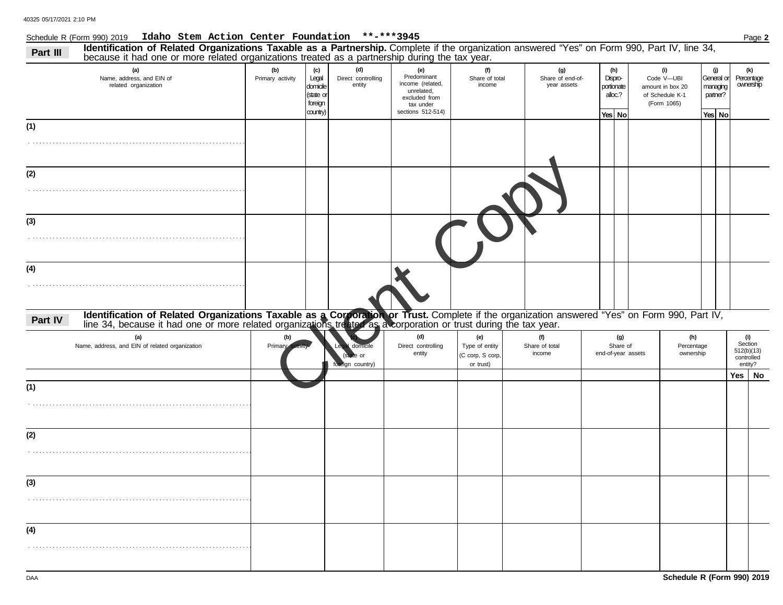#### Schedule R (Form 990) 2019 **Idaho Stem Action Center Foundation \*\*-\*\*\*3945** Page **2**

| Part III | Identification of Related Organizations Taxable as a Partnership. Complete if the organization answered "Yes" on Form 990, Part IV, line 34,<br>because it had one or more related organizations treated as a partnership during the tax year. |                         |                                                              |                                     |                                                                                                         |                                                        |                                        |                                                     |                                                                         |                                                     |                                                       |
|----------|------------------------------------------------------------------------------------------------------------------------------------------------------------------------------------------------------------------------------------------------|-------------------------|--------------------------------------------------------------|-------------------------------------|---------------------------------------------------------------------------------------------------------|--------------------------------------------------------|----------------------------------------|-----------------------------------------------------|-------------------------------------------------------------------------|-----------------------------------------------------|-------------------------------------------------------|
|          | (a)<br>Name, address, and EIN of<br>related organization                                                                                                                                                                                       | (b)<br>Primary activity | (c)<br>Legal<br>domicile<br>(state or<br>foreign<br>country) | (d)<br>Direct controlling<br>entity | (e)<br>Predominant<br>income (related,<br>unrelated,<br>excluded from<br>tax under<br>sections 512-514) | (f)<br>Share of total<br>income                        | (g)<br>Share of end-of-<br>year assets | (h)<br>Dispro-<br>portionate<br>alloc.?<br>Yes   No | (i)<br>Code V-UBI<br>amount in box 20<br>of Schedule K-1<br>(Form 1065) | (j)<br>General or<br>managing<br>partner?<br>Yes No | (k)<br>Percentage<br>ownership                        |
| (1)      |                                                                                                                                                                                                                                                |                         |                                                              |                                     |                                                                                                         |                                                        |                                        |                                                     |                                                                         |                                                     |                                                       |
|          |                                                                                                                                                                                                                                                |                         |                                                              |                                     |                                                                                                         |                                                        |                                        |                                                     |                                                                         |                                                     |                                                       |
| (2)      |                                                                                                                                                                                                                                                |                         |                                                              |                                     |                                                                                                         |                                                        |                                        |                                                     |                                                                         |                                                     |                                                       |
|          |                                                                                                                                                                                                                                                |                         |                                                              |                                     |                                                                                                         |                                                        |                                        |                                                     |                                                                         |                                                     |                                                       |
| (3)      |                                                                                                                                                                                                                                                |                         |                                                              |                                     |                                                                                                         |                                                        |                                        |                                                     |                                                                         |                                                     |                                                       |
|          |                                                                                                                                                                                                                                                |                         |                                                              |                                     |                                                                                                         |                                                        |                                        |                                                     |                                                                         |                                                     |                                                       |
| (4)      |                                                                                                                                                                                                                                                |                         |                                                              |                                     |                                                                                                         |                                                        |                                        |                                                     |                                                                         |                                                     |                                                       |
|          |                                                                                                                                                                                                                                                |                         |                                                              |                                     |                                                                                                         |                                                        |                                        |                                                     |                                                                         |                                                     |                                                       |
| Part IV  | Identification of Related Organizations Taxable as a Corporation or Trust. Complete if the organization answered "Yes" on Form 990, Part IV, line 34, because it had one or more related organizations treated as a corporatio                 |                         |                                                              |                                     |                                                                                                         |                                                        |                                        |                                                     |                                                                         |                                                     |                                                       |
|          | (a)<br>Name, address, and EIN of related organization                                                                                                                                                                                          | (b)<br>Primap           |                                                              | oreign country)                     | (d)<br>Direct controlling<br>entity                                                                     | (e)<br>Type of entity<br>(C corp, S corp,<br>or trust) | (f)<br>Share of total<br>income        | (g)<br>Share of<br>end-of-year assets               | (h)<br>Percentage<br>ownership                                          |                                                     | (i)<br>Section<br>512(b)(13)<br>controlled<br>entity? |
| (1)      |                                                                                                                                                                                                                                                |                         |                                                              |                                     |                                                                                                         |                                                        |                                        |                                                     |                                                                         |                                                     | Yes   No                                              |
|          |                                                                                                                                                                                                                                                |                         |                                                              |                                     |                                                                                                         |                                                        |                                        |                                                     |                                                                         |                                                     |                                                       |
| (2)      |                                                                                                                                                                                                                                                |                         |                                                              |                                     |                                                                                                         |                                                        |                                        |                                                     |                                                                         |                                                     |                                                       |
|          |                                                                                                                                                                                                                                                |                         |                                                              |                                     |                                                                                                         |                                                        |                                        |                                                     |                                                                         |                                                     |                                                       |
| (3)      |                                                                                                                                                                                                                                                |                         |                                                              |                                     |                                                                                                         |                                                        |                                        |                                                     |                                                                         |                                                     |                                                       |
|          |                                                                                                                                                                                                                                                |                         |                                                              |                                     |                                                                                                         |                                                        |                                        |                                                     |                                                                         |                                                     |                                                       |
| (4)      |                                                                                                                                                                                                                                                |                         |                                                              |                                     |                                                                                                         |                                                        |                                        |                                                     |                                                                         |                                                     |                                                       |
|          |                                                                                                                                                                                                                                                |                         |                                                              |                                     |                                                                                                         |                                                        |                                        |                                                     |                                                                         |                                                     |                                                       |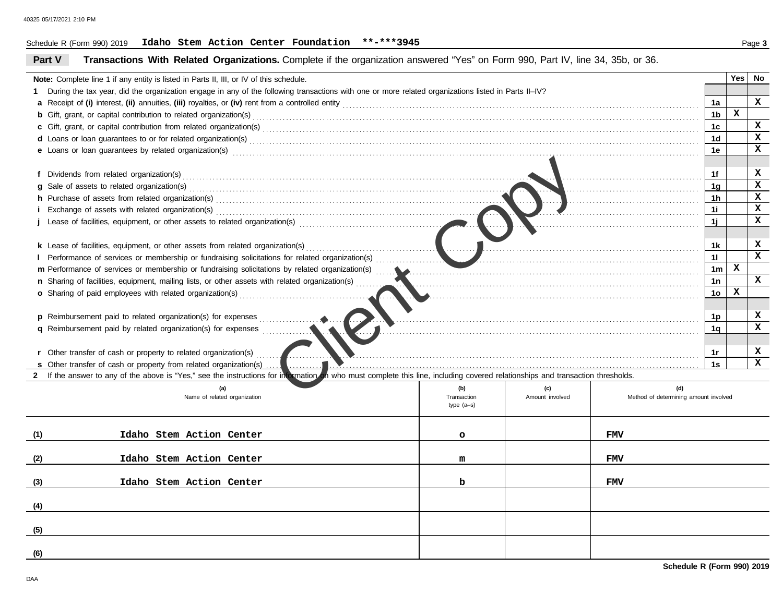### Schedule R (Form 990) 2019 **Idaho Stem Action Center Foundation \*\*-\*\*\*3945** Page **3**

| Part V                                                                                                | Transactions With Related Organizations. Complete if the organization answered "Yes" on Form 990, Part IV, line 34, 35b, or 36.                                                |                            |                 |                                       |                |   |               |  |  |
|-------------------------------------------------------------------------------------------------------|--------------------------------------------------------------------------------------------------------------------------------------------------------------------------------|----------------------------|-----------------|---------------------------------------|----------------|---|---------------|--|--|
|                                                                                                       | Note: Complete line 1 if any entity is listed in Parts II, III, or IV of this schedule.                                                                                        |                            |                 |                                       |                |   | $Yes \mid No$ |  |  |
|                                                                                                       | During the tax year, did the organization engage in any of the following transactions with one or more related organizations listed in Parts II–IV?                            |                            |                 |                                       |                |   |               |  |  |
|                                                                                                       |                                                                                                                                                                                |                            |                 |                                       | 1a             |   | x             |  |  |
|                                                                                                       |                                                                                                                                                                                |                            |                 |                                       |                |   |               |  |  |
|                                                                                                       |                                                                                                                                                                                |                            |                 |                                       |                |   |               |  |  |
|                                                                                                       | d Loans or loan guarantees to or for related organization(s) encourance contains an according to the container                                                                 |                            |                 |                                       | 1d             |   | $\mathbf x$   |  |  |
|                                                                                                       |                                                                                                                                                                                |                            |                 |                                       | 1e             |   | x             |  |  |
|                                                                                                       |                                                                                                                                                                                |                            |                 |                                       |                |   |               |  |  |
|                                                                                                       |                                                                                                                                                                                |                            |                 |                                       | 1f             |   | x             |  |  |
|                                                                                                       | g Sale of assets to related organization(s)                                                                                                                                    |                            |                 |                                       | 1 <sub>g</sub> |   | x             |  |  |
|                                                                                                       |                                                                                                                                                                                |                            |                 |                                       | 1h             |   | x             |  |  |
|                                                                                                       |                                                                                                                                                                                |                            |                 |                                       | 1i             |   | x             |  |  |
|                                                                                                       |                                                                                                                                                                                |                            |                 |                                       | 1j             |   | x             |  |  |
|                                                                                                       |                                                                                                                                                                                |                            |                 |                                       |                |   |               |  |  |
|                                                                                                       |                                                                                                                                                                                |                            |                 |                                       | 1k             |   | x             |  |  |
|                                                                                                       | I Performance of services or membership or fundraising solicitations for related organization(s)                                                                               |                            |                 |                                       | 11             |   | x             |  |  |
|                                                                                                       | m Performance of services or membership or fundraising solicitations by related organization(s)                                                                                |                            |                 |                                       | 1 <sub>m</sub> | x |               |  |  |
| n Sharing of facilities, equipment, mailing lists, or other assets with related organization(s)<br>1n |                                                                                                                                                                                |                            |                 |                                       |                |   | x             |  |  |
|                                                                                                       |                                                                                                                                                                                |                            |                 |                                       | 1 <sub>o</sub> | x |               |  |  |
|                                                                                                       |                                                                                                                                                                                |                            |                 |                                       |                |   |               |  |  |
|                                                                                                       | <b>p</b> Reimbursement paid to related organization(s) for expenses                                                                                                            |                            |                 |                                       | 1p             |   | x             |  |  |
|                                                                                                       | <b>q</b> Reimbursement paid by related organization(s) for expenses                                                                                                            |                            |                 |                                       | 1q             |   | x             |  |  |
|                                                                                                       |                                                                                                                                                                                |                            |                 |                                       |                |   |               |  |  |
|                                                                                                       | r Other transfer of cash or property to related organization(s)                                                                                                                |                            |                 |                                       | 1r             |   | x             |  |  |
|                                                                                                       | s Other transfer of cash or property from related organization(s)                                                                                                              |                            |                 |                                       | 1s             |   | x             |  |  |
|                                                                                                       | 2 If the answer to any of the above is "Yes," see the instructions for intormation on who must complete this line, including covered relationships and transaction thresholds. |                            |                 |                                       |                |   |               |  |  |
|                                                                                                       | (a)                                                                                                                                                                            | (b)                        | (c)             | (d)                                   |                |   |               |  |  |
|                                                                                                       | Name of related organization                                                                                                                                                   | Transaction<br>$type(a-s)$ | Amount involved | Method of determining amount involved |                |   |               |  |  |
|                                                                                                       |                                                                                                                                                                                |                            |                 |                                       |                |   |               |  |  |
|                                                                                                       |                                                                                                                                                                                |                            |                 |                                       |                |   |               |  |  |
| (1)                                                                                                   | Idaho Stem Action Center                                                                                                                                                       | $\circ$                    |                 | <b>FMV</b>                            |                |   |               |  |  |
|                                                                                                       |                                                                                                                                                                                |                            |                 |                                       |                |   |               |  |  |
| (2)                                                                                                   | Idaho Stem Action Center                                                                                                                                                       | m                          |                 | <b>FMV</b>                            |                |   |               |  |  |
|                                                                                                       |                                                                                                                                                                                |                            |                 |                                       |                |   |               |  |  |
| (3)                                                                                                   | Idaho Stem Action Center                                                                                                                                                       | b                          |                 | FMV                                   |                |   |               |  |  |
|                                                                                                       |                                                                                                                                                                                |                            |                 |                                       |                |   |               |  |  |
| (4)                                                                                                   |                                                                                                                                                                                |                            |                 |                                       |                |   |               |  |  |
|                                                                                                       |                                                                                                                                                                                |                            |                 |                                       |                |   |               |  |  |
| (5)                                                                                                   |                                                                                                                                                                                |                            |                 |                                       |                |   |               |  |  |
| (6)                                                                                                   |                                                                                                                                                                                |                            |                 |                                       |                |   |               |  |  |
|                                                                                                       |                                                                                                                                                                                |                            |                 |                                       |                |   |               |  |  |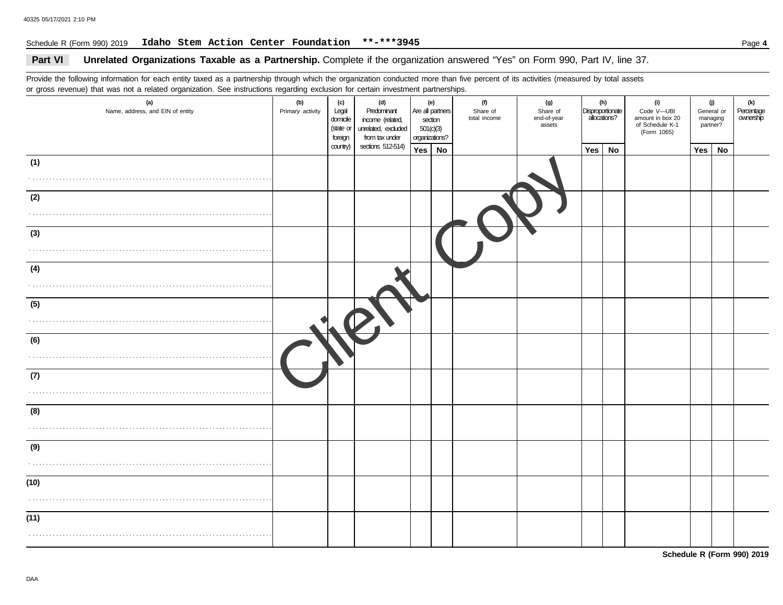### Schedule R (Form 990) 2019 **Idaho Stem Action Center Foundation \*\*-\*\*\*3945** Page **4**

### Part VI Unrelated Organizations Taxable as a Partnership. Complete if the organization answered "Yes" on Form 990, Part IV, line 37.

Provide the following information for each entity taxed as a partnership through which the organization conducted more than five percent of its activities (measured by total assets or gross revenue) that was not a related organization. See instructions regarding exclusion for certain investment partnerships.

| $\tilde{\phantom{a}}$<br>(a)<br>Name, address, and EIN of entity | ັ<br>(b)<br>Primary activity | (c)<br>Legal<br>domicile<br>(state or<br>foreign | (d)<br>Predominant<br>income (related,<br>unrelated, excluded<br>from tax under | 501(c)(3)<br>organizations? | (e)<br>Are all partners<br>section | (f)<br>Share of<br>total income | (g)<br>Share of<br>end-of-year<br>assets | Disproportionate<br>allocations? | (h) | (i)<br>Code V-UBI<br>amount in box 20<br>of Schedule K-1<br>(Form 1065) | $\omega$<br>General or<br>managing<br>partner? |    | (k)<br>Percentage<br>ownership |
|------------------------------------------------------------------|------------------------------|--------------------------------------------------|---------------------------------------------------------------------------------|-----------------------------|------------------------------------|---------------------------------|------------------------------------------|----------------------------------|-----|-------------------------------------------------------------------------|------------------------------------------------|----|--------------------------------|
|                                                                  |                              | country)                                         | sections 512-514)                                                               | Yes                         | No                                 |                                 |                                          | Yes                              | No  |                                                                         | Yes $ $                                        | No |                                |
| (1)                                                              |                              |                                                  |                                                                                 |                             |                                    |                                 |                                          |                                  |     |                                                                         |                                                |    |                                |
| .                                                                |                              |                                                  |                                                                                 |                             |                                    |                                 |                                          |                                  |     |                                                                         |                                                |    |                                |
| (2)                                                              |                              |                                                  |                                                                                 |                             |                                    |                                 |                                          |                                  |     |                                                                         |                                                |    |                                |
|                                                                  |                              |                                                  |                                                                                 |                             |                                    |                                 |                                          |                                  |     |                                                                         |                                                |    |                                |
| (3)                                                              |                              |                                                  |                                                                                 |                             |                                    |                                 |                                          |                                  |     |                                                                         |                                                |    |                                |
|                                                                  |                              |                                                  |                                                                                 |                             |                                    |                                 |                                          |                                  |     |                                                                         |                                                |    |                                |
| (4)                                                              |                              |                                                  |                                                                                 |                             |                                    |                                 |                                          |                                  |     |                                                                         |                                                |    |                                |
|                                                                  |                              |                                                  |                                                                                 |                             |                                    |                                 |                                          |                                  |     |                                                                         |                                                |    |                                |
| (5)                                                              |                              |                                                  |                                                                                 |                             |                                    |                                 |                                          |                                  |     |                                                                         |                                                |    |                                |
|                                                                  |                              |                                                  |                                                                                 |                             |                                    |                                 |                                          |                                  |     |                                                                         |                                                |    |                                |
| (6)                                                              |                              |                                                  |                                                                                 |                             |                                    |                                 |                                          |                                  |     |                                                                         |                                                |    |                                |
|                                                                  |                              |                                                  |                                                                                 |                             |                                    |                                 |                                          |                                  |     |                                                                         |                                                |    |                                |
|                                                                  |                              |                                                  |                                                                                 |                             |                                    |                                 |                                          |                                  |     |                                                                         |                                                |    |                                |
| (7)                                                              |                              |                                                  |                                                                                 |                             |                                    |                                 |                                          |                                  |     |                                                                         |                                                |    |                                |
|                                                                  |                              |                                                  |                                                                                 |                             |                                    |                                 |                                          |                                  |     |                                                                         |                                                |    |                                |
| (8)                                                              |                              |                                                  |                                                                                 |                             |                                    |                                 |                                          |                                  |     |                                                                         |                                                |    |                                |
|                                                                  |                              |                                                  |                                                                                 |                             |                                    |                                 |                                          |                                  |     |                                                                         |                                                |    |                                |
| (9)                                                              |                              |                                                  |                                                                                 |                             |                                    |                                 |                                          |                                  |     |                                                                         |                                                |    |                                |
|                                                                  |                              |                                                  |                                                                                 |                             |                                    |                                 |                                          |                                  |     |                                                                         |                                                |    |                                |
| (10)                                                             |                              |                                                  |                                                                                 |                             |                                    |                                 |                                          |                                  |     |                                                                         |                                                |    |                                |
|                                                                  |                              |                                                  |                                                                                 |                             |                                    |                                 |                                          |                                  |     |                                                                         |                                                |    |                                |
| (11)                                                             |                              |                                                  |                                                                                 |                             |                                    |                                 |                                          |                                  |     |                                                                         |                                                |    |                                |
|                                                                  |                              |                                                  |                                                                                 |                             |                                    |                                 |                                          |                                  |     |                                                                         |                                                |    |                                |
|                                                                  |                              |                                                  |                                                                                 |                             |                                    |                                 |                                          |                                  |     |                                                                         |                                                |    |                                |

**Schedule R (Form 990) 2019**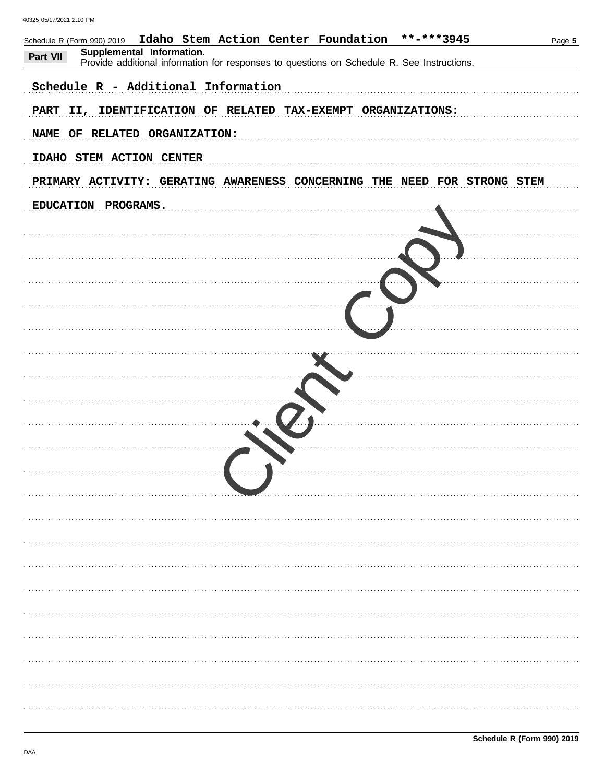| Idaho Stem Action Center Foundation **-***3945<br>Schedule R (Form 990) 2019<br>Supplemental Information.<br>Part VII<br>Provide additional information for responses to questions on Schedule R. See Instructions. | Page 5 |
|---------------------------------------------------------------------------------------------------------------------------------------------------------------------------------------------------------------------|--------|
| Schedule R - Additional Information                                                                                                                                                                                 |        |
| PART II, IDENTIFICATION OF RELATED TAX-EXEMPT ORGANIZATIONS:                                                                                                                                                        |        |
| NAME OF RELATED ORGANIZATION:                                                                                                                                                                                       |        |
| IDAHO STEM ACTION CENTER                                                                                                                                                                                            |        |
| PRIMARY ACTIVITY: GERATING AWARENESS CONCERNING THE NEED FOR STRONG STEM                                                                                                                                            |        |
| EDUCATION PROGRAMS.                                                                                                                                                                                                 |        |
|                                                                                                                                                                                                                     |        |
|                                                                                                                                                                                                                     |        |
|                                                                                                                                                                                                                     |        |
|                                                                                                                                                                                                                     |        |
|                                                                                                                                                                                                                     |        |
|                                                                                                                                                                                                                     |        |
|                                                                                                                                                                                                                     |        |
|                                                                                                                                                                                                                     |        |
|                                                                                                                                                                                                                     |        |
|                                                                                                                                                                                                                     |        |
|                                                                                                                                                                                                                     |        |
|                                                                                                                                                                                                                     |        |
|                                                                                                                                                                                                                     |        |
|                                                                                                                                                                                                                     |        |
|                                                                                                                                                                                                                     |        |
|                                                                                                                                                                                                                     | .      |
|                                                                                                                                                                                                                     |        |
|                                                                                                                                                                                                                     |        |
|                                                                                                                                                                                                                     |        |
|                                                                                                                                                                                                                     |        |
|                                                                                                                                                                                                                     |        |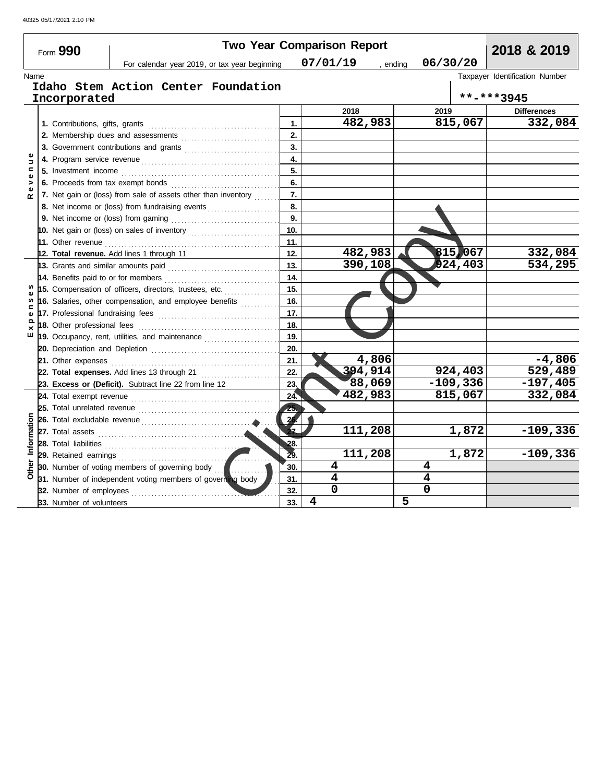|                   | Form 990                 |                                                                   |     | <b>Two Year Comparison Report</b> |            | 2018 & 2019                    |
|-------------------|--------------------------|-------------------------------------------------------------------|-----|-----------------------------------|------------|--------------------------------|
|                   |                          | For calendar year 2019, or tax year beginning                     |     | 07/01/19<br>, ending              | 06/30/20   |                                |
| Name              |                          |                                                                   |     |                                   |            | Taxpayer Identification Number |
|                   |                          | Idaho Stem Action Center Foundation                               |     |                                   |            |                                |
|                   | Incorporated             |                                                                   |     |                                   |            | **-***3945                     |
|                   |                          |                                                                   |     | 2018                              | 2019       | <b>Differences</b>             |
|                   |                          |                                                                   | 1.  | 482,983                           | 815,067    | 332,084                        |
|                   |                          |                                                                   | 2.  |                                   |            |                                |
|                   |                          |                                                                   | 3.  |                                   |            |                                |
| Ξ                 |                          |                                                                   | 4.  |                                   |            |                                |
| c<br>$\mathbf{Q}$ | 5. Investment income     |                                                                   | 5.  |                                   |            |                                |
| ><br>$\mathbf{Q}$ |                          | 6. Proceeds from tax exempt bonds                                 | 6.  |                                   |            |                                |
| $\alpha$          |                          | 7. Net gain or (loss) from sale of assets other than inventory    | 7.  |                                   |            |                                |
|                   |                          | 8. Net income or (loss) from fundraising events                   | 8.  |                                   |            |                                |
|                   |                          |                                                                   | 9.  |                                   |            |                                |
|                   |                          | 10. Net gain or (loss) on sales of inventory                      | 10. |                                   |            |                                |
|                   |                          |                                                                   | 11. |                                   |            |                                |
|                   |                          | 12. Total revenue. Add lines 1 through 11                         | 12. | 482,983                           | 815,067    | 332,084                        |
|                   |                          |                                                                   | 13. | 390,108                           | 924,403    | 534,295                        |
|                   |                          | 14. Benefits paid to or for members $\ldots$                      | 14. |                                   |            |                                |
|                   |                          | 15. Compensation of officers, directors, trustees, etc.           | 15. |                                   |            |                                |
| ⊂                 |                          | 16. Salaries, other compensation, and employee benefits           | 16. |                                   |            |                                |
| ω                 |                          |                                                                   | 17. |                                   |            |                                |
| ×                 |                          |                                                                   | 18. |                                   |            |                                |
| ш                 |                          | 19. Occupancy, rent, utilities, and maintenance                   | 19. |                                   |            |                                |
|                   |                          |                                                                   | 20. |                                   |            |                                |
|                   |                          | 21. Other expenses <b>constants</b> and <b>21.</b> Other expenses | 21. | 4,806                             |            | $-4,806$                       |
|                   |                          | 22. Total expenses. Add lines 13 through 21                       | 22. | 394,914                           | 924,403    | 529,489                        |
|                   |                          | 23. Excess or (Deficit). Subtract line 22 from line 12            | 23. | 88,069                            | $-109,336$ | $-197,405$                     |
|                   |                          |                                                                   | 24. | 482,983                           | 815,067    | 332,084                        |
|                   |                          |                                                                   | 25. |                                   |            |                                |
|                   |                          |                                                                   | 26. |                                   |            |                                |
|                   |                          |                                                                   | 5   | 111,208                           | 1,872      | $-109,336$                     |
| Information       | 28. Total liabilities    |                                                                   | 28. |                                   |            |                                |
|                   |                          |                                                                   | 29. | 111,208                           | 1,872      | $-109,336$                     |
|                   |                          | 30. Number of voting members of governing body                    | 30. | 4                                 | 4          |                                |
|                   |                          | 31. Number of independent voting members of governing body        | 31. | 4                                 | 4          |                                |
|                   | 32. Number of employees  | .                                                                 | 32. | 0                                 | 0          |                                |
|                   | 33. Number of volunteers |                                                                   | 33. | 4                                 | 5          |                                |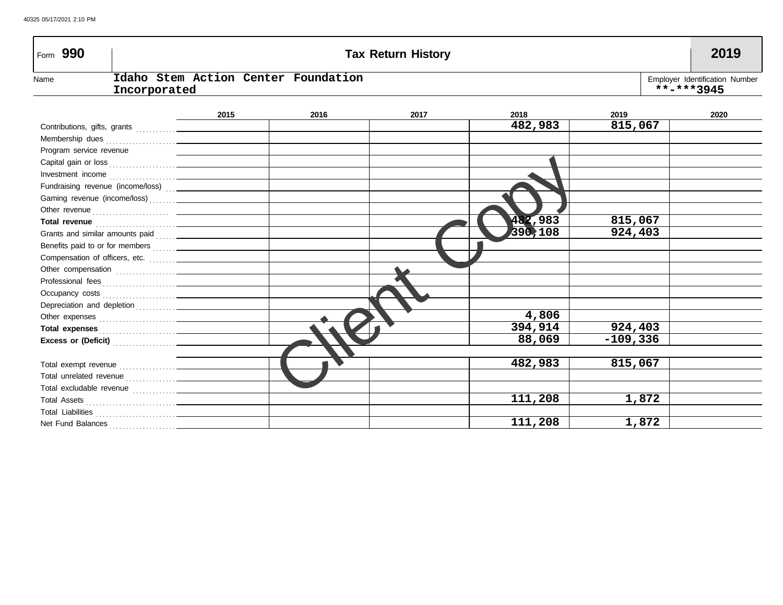| Form 990                |              |                                     |      | <b>Tax Return History</b> |         |          | 2019                                         |
|-------------------------|--------------|-------------------------------------|------|---------------------------|---------|----------|----------------------------------------------|
| Name                    | Incorporated | Idaho Stem Action Center Foundation |      |                           |         |          | Employer Identification Number<br>**-***3945 |
|                         |              | 2015                                | 2016 | 2017                      | 2018    | 2019     | 2020                                         |
|                         |              |                                     |      |                           | 482,983 | 815,067  |                                              |
|                         |              |                                     |      |                           |         |          |                                              |
| Program service revenue |              |                                     |      |                           |         |          |                                              |
|                         |              |                                     |      |                           |         |          |                                              |
|                         |              |                                     |      |                           |         |          |                                              |
|                         |              |                                     |      |                           |         |          |                                              |
|                         |              |                                     |      |                           |         |          |                                              |
|                         |              |                                     |      |                           |         |          |                                              |
|                         |              |                                     |      |                           | 482,983 | 815,067  |                                              |
|                         |              |                                     |      |                           | 390,108 | 924,403  |                                              |
|                         |              |                                     |      |                           |         |          |                                              |
|                         |              |                                     |      |                           |         |          |                                              |
|                         |              |                                     |      |                           |         |          |                                              |
|                         |              |                                     |      |                           |         |          |                                              |
|                         |              |                                     |      |                           |         |          |                                              |
|                         |              |                                     |      |                           |         |          |                                              |
|                         |              |                                     |      |                           | 4,806   |          |                                              |
|                         |              |                                     |      |                           | 394,914 | 924,403  |                                              |
|                         |              |                                     |      |                           | 88,069  | -109,336 |                                              |
|                         |              |                                     |      |                           |         |          |                                              |
|                         |              |                                     |      |                           | 482,983 | 815,067  |                                              |
|                         |              |                                     |      |                           |         |          |                                              |
|                         |              |                                     |      |                           |         |          |                                              |
|                         |              |                                     |      |                           | 111,208 | 1,872    |                                              |
|                         |              |                                     |      |                           |         |          |                                              |
|                         |              |                                     |      |                           | 111,208 | 1,872    |                                              |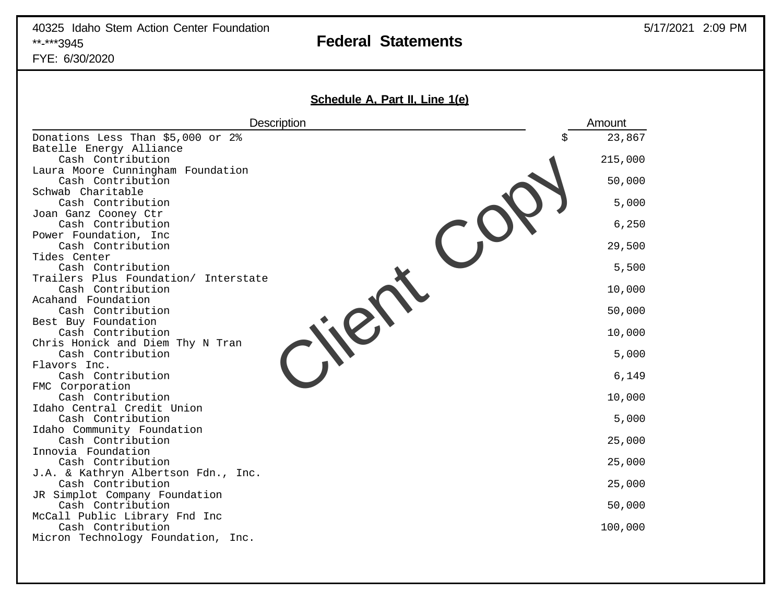# 40325 Idaho Stem Action Center Foundation \*\*-\*\*\*3945 **Federal Statements**

FYE: 6/30/2020

| Description<br>Amount<br>23,867<br>Donations Less Than \$5,000 or 2%<br>\$<br>Batelle Energy Alliance<br>Cash Contribution<br>215,000<br>Laura Moore Cunningham Foundation<br>50,000<br>Cash Contribution<br>Schwab Charitable<br>5,000<br>Cash Contribution<br>Joan Ganz Cooney Ctr<br>6, 250<br>Cash Contribution<br>Power Foundation, Inc<br>29,500<br>Cash Contribution<br>Tides Center<br>Cash Contribution<br>5,500<br>Trailers Plus Foundation/ Interstate<br>Cash Contribution<br>10,000<br>Acahand Foundation |
|------------------------------------------------------------------------------------------------------------------------------------------------------------------------------------------------------------------------------------------------------------------------------------------------------------------------------------------------------------------------------------------------------------------------------------------------------------------------------------------------------------------------|
|                                                                                                                                                                                                                                                                                                                                                                                                                                                                                                                        |
|                                                                                                                                                                                                                                                                                                                                                                                                                                                                                                                        |
|                                                                                                                                                                                                                                                                                                                                                                                                                                                                                                                        |
|                                                                                                                                                                                                                                                                                                                                                                                                                                                                                                                        |
|                                                                                                                                                                                                                                                                                                                                                                                                                                                                                                                        |
|                                                                                                                                                                                                                                                                                                                                                                                                                                                                                                                        |
|                                                                                                                                                                                                                                                                                                                                                                                                                                                                                                                        |
|                                                                                                                                                                                                                                                                                                                                                                                                                                                                                                                        |
|                                                                                                                                                                                                                                                                                                                                                                                                                                                                                                                        |
|                                                                                                                                                                                                                                                                                                                                                                                                                                                                                                                        |
|                                                                                                                                                                                                                                                                                                                                                                                                                                                                                                                        |
|                                                                                                                                                                                                                                                                                                                                                                                                                                                                                                                        |
|                                                                                                                                                                                                                                                                                                                                                                                                                                                                                                                        |
|                                                                                                                                                                                                                                                                                                                                                                                                                                                                                                                        |
|                                                                                                                                                                                                                                                                                                                                                                                                                                                                                                                        |
| 50,000<br>Cash Contribution                                                                                                                                                                                                                                                                                                                                                                                                                                                                                            |
| Best Buy Foundation<br>Cash Contribution<br>10,000                                                                                                                                                                                                                                                                                                                                                                                                                                                                     |
| Chris Honick and Diem Thy N Tran                                                                                                                                                                                                                                                                                                                                                                                                                                                                                       |
| 5,000<br>Cash Contribution                                                                                                                                                                                                                                                                                                                                                                                                                                                                                             |
| Flavors Inc.                                                                                                                                                                                                                                                                                                                                                                                                                                                                                                           |
| 6,149<br>Cash Contribution                                                                                                                                                                                                                                                                                                                                                                                                                                                                                             |
| FMC Corporation                                                                                                                                                                                                                                                                                                                                                                                                                                                                                                        |
| 10,000<br>Cash Contribution                                                                                                                                                                                                                                                                                                                                                                                                                                                                                            |
| Idaho Central Credit Union                                                                                                                                                                                                                                                                                                                                                                                                                                                                                             |
| 5,000<br>Cash Contribution                                                                                                                                                                                                                                                                                                                                                                                                                                                                                             |
| Idaho Community Foundation<br>25,000<br>Cash Contribution                                                                                                                                                                                                                                                                                                                                                                                                                                                              |
| Innovia Foundation                                                                                                                                                                                                                                                                                                                                                                                                                                                                                                     |
| 25,000<br>Cash Contribution                                                                                                                                                                                                                                                                                                                                                                                                                                                                                            |
| J.A. & Kathryn Albertson Fdn., Inc.                                                                                                                                                                                                                                                                                                                                                                                                                                                                                    |
| Cash Contribution<br>25,000                                                                                                                                                                                                                                                                                                                                                                                                                                                                                            |
| JR Simplot Company Foundation                                                                                                                                                                                                                                                                                                                                                                                                                                                                                          |
| Cash Contribution<br>50,000                                                                                                                                                                                                                                                                                                                                                                                                                                                                                            |
| McCall Public Library Fnd Inc<br>Cash Contribution<br>100,000                                                                                                                                                                                                                                                                                                                                                                                                                                                          |
| Micron Technology Foundation, Inc.                                                                                                                                                                                                                                                                                                                                                                                                                                                                                     |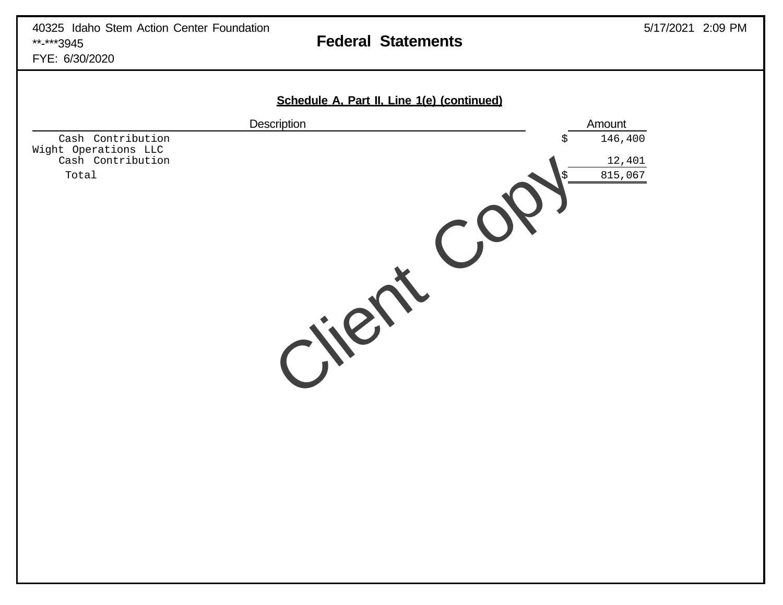FYE: 6/30/2020

|                                                                | Schedule A, Part II, Line 1(e) (continued) |                         |
|----------------------------------------------------------------|--------------------------------------------|-------------------------|
|                                                                | Description                                | Amount                  |
| Cash Contribution<br>Wight Operations LLC<br>Cash Contribution |                                            | 146,400<br>\$<br>12,401 |
| Total                                                          |                                            | 815,067<br>$\mathbf{C}$ |
|                                                                | Cilent                                     |                         |
|                                                                |                                            |                         |